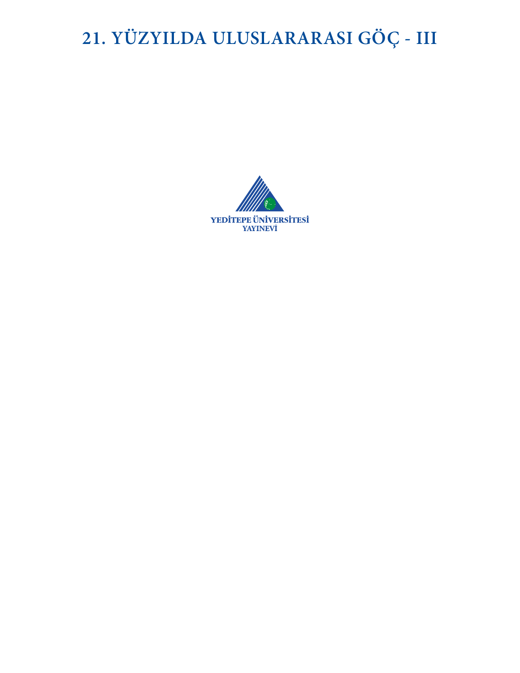# **21. YÜZYILDA ULUSLARARASI GÖÇ - III**

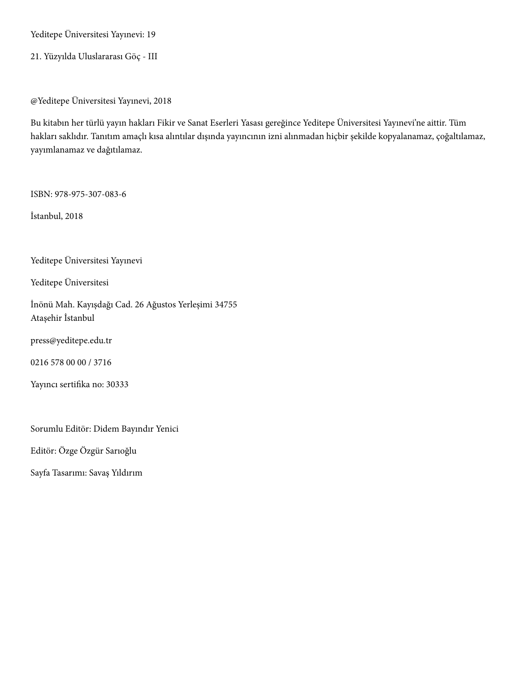Yeditepe Üniversitesi Yayınevi: 19

21. Yüzyılda Uluslararası Göç - III

@Yeditepe Üniversitesi Yayınevi, 2018

Bu kitabın her türlü yayın hakları Fikir ve Sanat Eserleri Yasası gereğince Yeditepe Üniversitesi Yayınevi'ne aittir. Tüm hakları saklıdır. Tanıtım amaçlı kısa alıntılar dışında yayıncının izni alınmadan hiçbir şekilde kopyalanamaz, çoğaltılamaz, yayımlanamaz ve dağıtılamaz.

ISBN: 978-975-307-083-6

İstanbul, 2018

Yeditepe Üniversitesi Yayınevi

Yeditepe Üniversitesi

İnönü Mah. Kayışdağı Cad. 26 Ağustos Yerleşimi 34755 Ataşehir İstanbul

press@yeditepe.edu.tr

0216 578 00 00 / 3716

Yayıncı sertifika no: 30333

Sorumlu Editör: Didem Bayındır Yenici

Editör: Özge Özgür Sarıoğlu

Sayfa Tasarımı: Savaş Yıldırım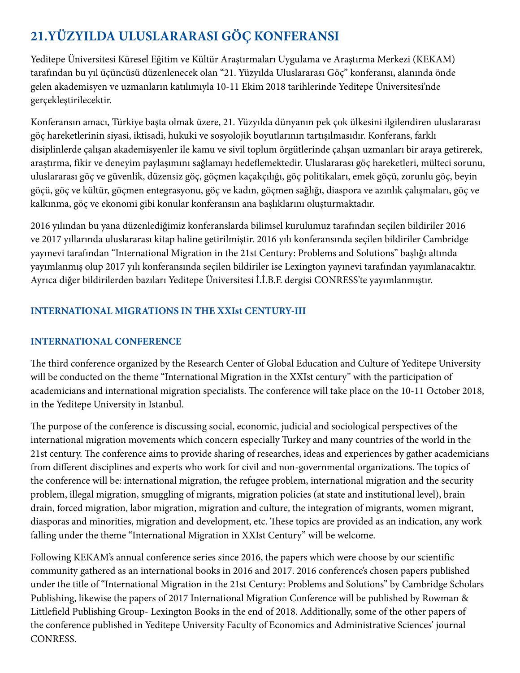## **21.YÜZYILDA ULUSLARARASI GÖÇ KONFERANSI**

Yeditepe Üniversitesi Küresel Eğitim ve Kültür Araştırmaları Uygulama ve Araştırma Merkezi (KEKAM) tarafından bu yıl üçüncüsü düzenlenecek olan "21. Yüzyılda Uluslararası Göç" konferansı, alanında önde gelen akademisyen ve uzmanların katılımıyla 10-11 Ekim 2018 tarihlerinde Yeditepe Üniversitesi'nde gerçekleştirilecektir.

Konferansın amacı, Türkiye başta olmak üzere, 21. Yüzyılda dünyanın pek çok ülkesini ilgilendiren uluslararası göç hareketlerinin siyasi, iktisadi, hukuki ve sosyolojik boyutlarının tartışılmasıdır. Konferans, farklı disiplinlerde çalışan akademisyenler ile kamu ve sivil toplum örgütlerinde çalışan uzmanları bir araya getirerek, araştırma, fikir ve deneyim paylaşımını sağlamayı hedeflemektedir. Uluslararası göç hareketleri, mülteci sorunu, uluslararası göç ve güvenlik, düzensiz göç, göçmen kaçakçılığı, göç politikaları, emek göçü, zorunlu göç, beyin göçü, göç ve kültür, göçmen entegrasyonu, göç ve kadın, göçmen sağlığı, diaspora ve azınlık çalışmaları, göç ve kalkınma, göç ve ekonomi gibi konular konferansın ana başlıklarını oluşturmaktadır.

2016 yılından bu yana düzenlediğimiz konferanslarda bilimsel kurulumuz tarafından seçilen bildiriler 2016 ve 2017 yıllarında uluslararası kitap haline getirilmiştir. 2016 yılı konferansında seçilen bildiriler Cambridge yayınevi tarafından "International Migration in the 21st Century: Problems and Solutions" başlığı altında yayımlanmış olup 2017 yılı konferansında seçilen bildiriler ise Lexington yayınevi tarafından yayımlanacaktır. Ayrıca diğer bildirilerden bazıları Yeditepe Üniversitesi İ.İ.B.F. dergisi CONRESS'te yayımlanmıştır.

## **INTERNATIONAL MIGRATIONS IN THE XXIst CENTURY-III**

## **INTERNATIONAL CONFERENCE**

The third conference organized by the Research Center of Global Education and Culture of Yeditepe University will be conducted on the theme "International Migration in the XXIst century" with the participation of academicians and international migration specialists. The conference will take place on the 10-11 October 2018, in the Yeditepe University in Istanbul.

The purpose of the conference is discussing social, economic, judicial and sociological perspectives of the international migration movements which concern especially Turkey and many countries of the world in the 21st century. The conference aims to provide sharing of researches, ideas and experiences by gather academicians from different disciplines and experts who work for civil and non-governmental organizations. The topics of the conference will be: international migration, the refugee problem, international migration and the security problem, illegal migration, smuggling of migrants, migration policies (at state and institutional level), brain drain, forced migration, labor migration, migration and culture, the integration of migrants, women migrant, diasporas and minorities, migration and development, etc. These topics are provided as an indication, any work falling under the theme "International Migration in XXIst Century" will be welcome.

Following KEKAM's annual conference series since 2016, the papers which were choose by our scientific community gathered as an international books in 2016 and 2017. 2016 conference's chosen papers published under the title of "International Migration in the 21st Century: Problems and Solutions" by Cambridge Scholars Publishing, likewise the papers of 2017 International Migration Conference will be published by Rowman & Littlefield Publishing Group- Lexington Books in the end of 2018. Additionally, some of the other papers of the conference published in Yeditepe University Faculty of Economics and Administrative Sciences' journal CONRESS.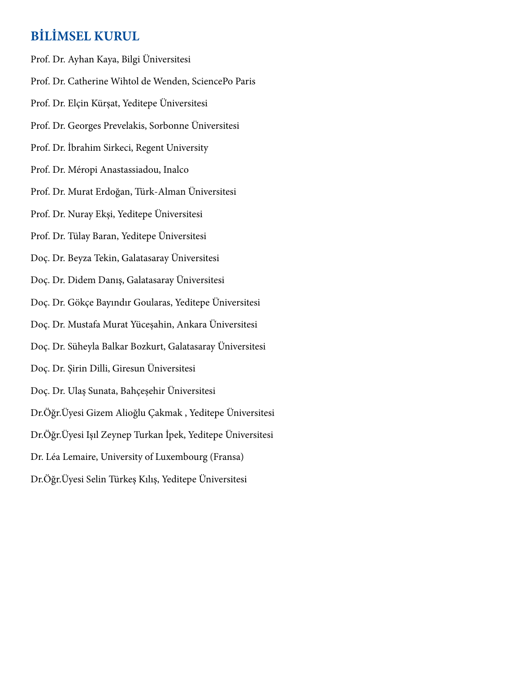## **BİLİMSEL KURUL**

Prof. Dr. Ayhan Kaya, Bilgi Üniversitesi Prof. Dr. Catherine Wihtol de Wenden, SciencePo Paris Prof. Dr. Elçin Kürşat, Yeditepe Üniversitesi Prof. Dr. Georges Prevelakis, Sorbonne Üniversitesi Prof. Dr. İbrahim Sirkeci, Regent University Prof. Dr. Méropi Anastassiadou, Inalco Prof. Dr. Murat Erdoğan, Türk-Alman Üniversitesi Prof. Dr. Nuray Ekşi, Yeditepe Üniversitesi Prof. Dr. Tülay Baran, Yeditepe Üniversitesi Doç. Dr. Beyza Tekin, Galatasaray Üniversitesi Doç. Dr. Didem Danış, Galatasaray Üniversitesi Doç. Dr. Gökçe Bayındır Goularas, Yeditepe Üniversitesi Doç. Dr. Mustafa Murat Yüceşahin, Ankara Üniversitesi Doç. Dr. Süheyla Balkar Bozkurt, Galatasaray Üniversitesi Doç. Dr. Şirin Dilli, Giresun Üniversitesi Doç. Dr. Ulaş Sunata, Bahçeşehir Üniversitesi Dr.Öğr.Üyesi Gizem Alioğlu Çakmak , Yeditepe Üniversitesi Dr.Öğr.Üyesi Işıl Zeynep Turkan İpek, Yeditepe Üniversitesi Dr. Léa Lemaire, University of Luxembourg (Fransa) Dr.Öğr.Üyesi Selin Türkeş Kılış, Yeditepe Üniversitesi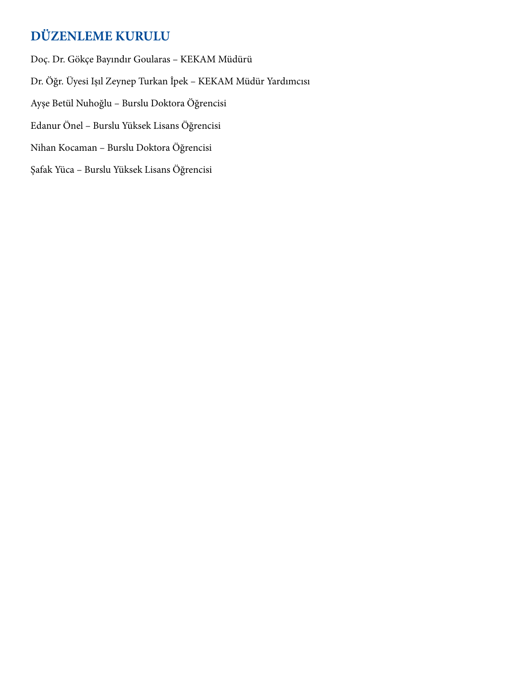## **DÜZENLEME KURULU**

Doç. Dr. Gökçe Bayındır Goularas – KEKAM Müdürü Dr. Öğr. Üyesi Işıl Zeynep Turkan İpek – KEKAM Müdür Yardımcısı Ayşe Betül Nuhoğlu – Burslu Doktora Öğrencisi Edanur Önel – Burslu Yüksek Lisans Öğrencisi Nihan Kocaman – Burslu Doktora Öğrencisi Şafak Yüca – Burslu Yüksek Lisans Öğrencisi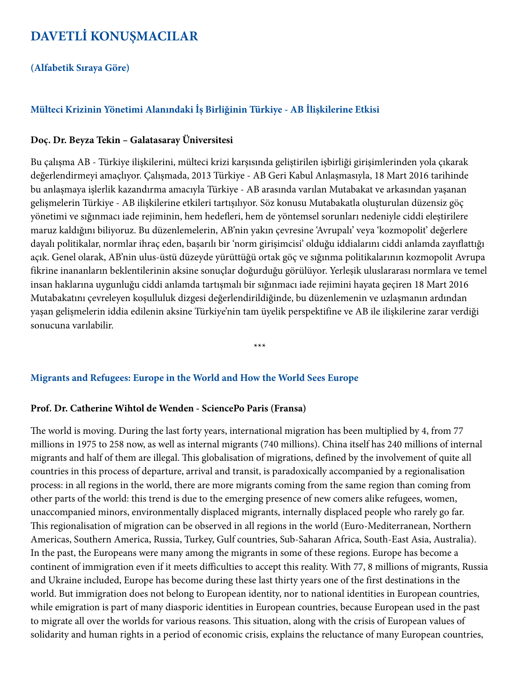## **DAVETLİ KONUŞMACILAR**

### **(Alfabetik Sıraya Göre)**

#### **Mülteci Krizinin Yönetimi Alanındaki İş Birliğinin Türkiye - AB İlişkilerine Etkisi**

#### **Doç. Dr. Beyza Tekin – Galatasaray Üniversitesi**

Bu çalışma AB - Türkiye ilişkilerini, mülteci krizi karşısında geliştirilen işbirliği girişimlerinden yola çıkarak değerlendirmeyi amaçlıyor. Çalışmada, 2013 Türkiye - AB Geri Kabul Anlaşmasıyla, 18 Mart 2016 tarihinde bu anlaşmaya işlerlik kazandırma amacıyla Türkiye - AB arasında varılan Mutabakat ve arkasından yaşanan gelişmelerin Türkiye - AB ilişkilerine etkileri tartışılıyor. Söz konusu Mutabakatla oluşturulan düzensiz göç yönetimi ve sığınmacı iade rejiminin, hem hedefleri, hem de yöntemsel sorunları nedeniyle ciddi eleştirilere maruz kaldığını biliyoruz. Bu düzenlemelerin, AB'nin yakın çevresine 'Avrupalı' veya 'kozmopolit' değerlere dayalı politikalar, normlar ihraç eden, başarılı bir 'norm girişimcisi' olduğu iddialarını ciddi anlamda zayıflattığı açık. Genel olarak, AB'nin ulus-üstü düzeyde yürüttüğü ortak göç ve sığınma politikalarının kozmopolit Avrupa fikrine inananların beklentilerinin aksine sonuçlar doğurduğu görülüyor. Yerleşik uluslararası normlara ve temel insan haklarına uygunluğu ciddi anlamda tartışmalı bir sığınmacı iade rejimini hayata geçiren 18 Mart 2016 Mutabakatını çevreleyen koşulluluk dizgesi değerlendirildiğinde, bu düzenlemenin ve uzlaşmanın ardından yaşan gelişmelerin iddia edilenin aksine Türkiye'nin tam üyelik perspektifine ve AB ile ilişkilerine zarar verdiği sonucuna varılabilir.

\*\*\*

#### **Migrants and Refugees: Europe in the World and How the World Sees Europe**

#### **Prof. Dr. Catherine Wihtol de Wenden - SciencePo Paris (Fransa)**

The world is moving. During the last forty years, international migration has been multiplied by 4, from 77 millions in 1975 to 258 now, as well as internal migrants (740 millions). China itself has 240 millions of internal migrants and half of them are illegal. This globalisation of migrations, defined by the involvement of quite all countries in this process of departure, arrival and transit, is paradoxically accompanied by a regionalisation process: in all regions in the world, there are more migrants coming from the same region than coming from other parts of the world: this trend is due to the emerging presence of new comers alike refugees, women, unaccompanied minors, environmentally displaced migrants, internally displaced people who rarely go far. This regionalisation of migration can be observed in all regions in the world (Euro-Mediterranean, Northern Americas, Southern America, Russia, Turkey, Gulf countries, Sub-Saharan Africa, South-East Asia, Australia). In the past, the Europeans were many among the migrants in some of these regions. Europe has become a continent of immigration even if it meets difficulties to accept this reality. With 77, 8 millions of migrants, Russia and Ukraine included, Europe has become during these last thirty years one of the first destinations in the world. But immigration does not belong to European identity, nor to national identities in European countries, while emigration is part of many diasporic identities in European countries, because European used in the past to migrate all over the worlds for various reasons. This situation, along with the crisis of European values of solidarity and human rights in a period of economic crisis, explains the reluctance of many European countries,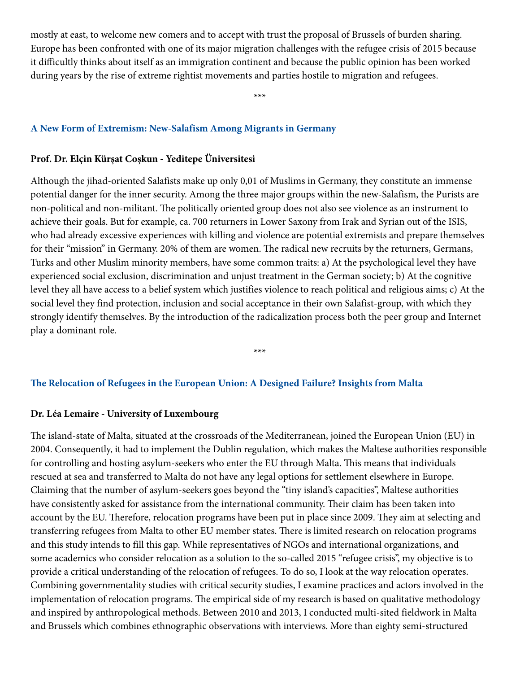mostly at east, to welcome new comers and to accept with trust the proposal of Brussels of burden sharing. Europe has been confronted with one of its major migration challenges with the refugee crisis of 2015 because it difficultly thinks about itself as an immigration continent and because the public opinion has been worked during years by the rise of extreme rightist movements and parties hostile to migration and refugees.

#### \*\*\*

#### **A New Form of Extremism: New-Salafism Among Migrants in Germany**

#### **Prof. Dr. Elçin Kürşat Coşkun - Yeditepe Üniversitesi**

Although the jihad-oriented Salafists make up only 0,01 of Muslims in Germany, they constitute an immense potential danger for the inner security. Among the three major groups within the new-Salafism, the Purists are non-political and non-militant. The politically oriented group does not also see violence as an instrument to achieve their goals. But for example, ca. 700 returners in Lower Saxony from Irak and Syrian out of the ISIS, who had already excessive experiences with killing and violence are potential extremists and prepare themselves for their "mission" in Germany. 20% of them are women. The radical new recruits by the returners, Germans, Turks and other Muslim minority members, have some common traits: a) At the psychological level they have experienced social exclusion, discrimination and unjust treatment in the German society; b) At the cognitive level they all have access to a belief system which justifies violence to reach political and religious aims; c) At the social level they find protection, inclusion and social acceptance in their own Salafist-group, with which they strongly identify themselves. By the introduction of the radicalization process both the peer group and Internet play a dominant role.

\*\*\*

#### **The Relocation of Refugees in the European Union: A Designed Failure? Insights from Malta**

#### **Dr. Léa Lemaire - University of Luxembourg**

The island-state of Malta, situated at the crossroads of the Mediterranean, joined the European Union (EU) in 2004. Consequently, it had to implement the Dublin regulation, which makes the Maltese authorities responsible for controlling and hosting asylum-seekers who enter the EU through Malta. This means that individuals rescued at sea and transferred to Malta do not have any legal options for settlement elsewhere in Europe. Claiming that the number of asylum-seekers goes beyond the "tiny island's capacities", Maltese authorities have consistently asked for assistance from the international community. Their claim has been taken into account by the EU. Therefore, relocation programs have been put in place since 2009. They aim at selecting and transferring refugees from Malta to other EU member states. There is limited research on relocation programs and this study intends to fill this gap. While representatives of NGOs and international organizations, and some academics who consider relocation as a solution to the so-called 2015 "refugee crisis", my objective is to provide a critical understanding of the relocation of refugees. To do so, I look at the way relocation operates. Combining governmentality studies with critical security studies, I examine practices and actors involved in the implementation of relocation programs. The empirical side of my research is based on qualitative methodology and inspired by anthropological methods. Between 2010 and 2013, I conducted multi-sited fieldwork in Malta and Brussels which combines ethnographic observations with interviews. More than eighty semi-structured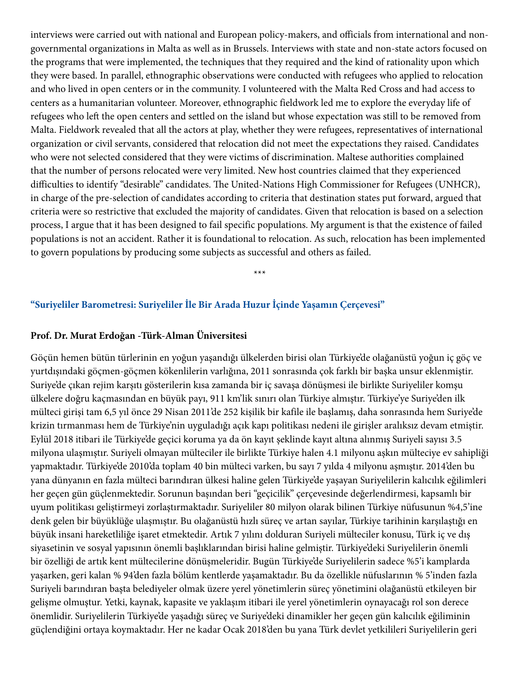interviews were carried out with national and European policy-makers, and officials from international and nongovernmental organizations in Malta as well as in Brussels. Interviews with state and non-state actors focused on the programs that were implemented, the techniques that they required and the kind of rationality upon which they were based. In parallel, ethnographic observations were conducted with refugees who applied to relocation and who lived in open centers or in the community. I volunteered with the Malta Red Cross and had access to centers as a humanitarian volunteer. Moreover, ethnographic fieldwork led me to explore the everyday life of refugees who left the open centers and settled on the island but whose expectation was still to be removed from Malta. Fieldwork revealed that all the actors at play, whether they were refugees, representatives of international organization or civil servants, considered that relocation did not meet the expectations they raised. Candidates who were not selected considered that they were victims of discrimination. Maltese authorities complained that the number of persons relocated were very limited. New host countries claimed that they experienced difficulties to identify "desirable" candidates. The United-Nations High Commissioner for Refugees (UNHCR), in charge of the pre-selection of candidates according to criteria that destination states put forward, argued that criteria were so restrictive that excluded the majority of candidates. Given that relocation is based on a selection process, I argue that it has been designed to fail specific populations. My argument is that the existence of failed populations is not an accident. Rather it is foundational to relocation. As such, relocation has been implemented to govern populations by producing some subjects as successful and others as failed.

\*\*\*

#### **"Suriyeliler Barometresi: Suriyeliler İle Bir Arada Huzur İçinde Yaşamın Çerçevesi"**

#### **Prof. Dr. Murat Erdoğan -Türk-Alman Üniversitesi**

Göçün hemen bütün türlerinin en yoğun yaşandığı ülkelerden birisi olan Türkiye'de olağanüstü yoğun iç göç ve yurtdışındaki göçmen-göçmen kökenlilerin varlığına, 2011 sonrasında çok farklı bir başka unsur eklenmiştir. Suriye'de çıkan rejim karşıtı gösterilerin kısa zamanda bir iç savaşa dönüşmesi ile birlikte Suriyeliler komşu ülkelere doğru kaçmasından en büyük payı, 911 km'lik sınırı olan Türkiye almıştır. Türkiye'ye Suriye'den ilk mülteci girişi tam 6,5 yıl önce 29 Nisan 2011'de 252 kişilik bir kafile ile başlamış, daha sonrasında hem Suriye'de krizin tırmanması hem de Türkiye'nin uyguladığı açık kapı politikası nedeni ile girişler aralıksız devam etmiştir. Eylül 2018 itibari ile Türkiye'de geçici koruma ya da ön kayıt şeklinde kayıt altına alınmış Suriyeli sayısı 3.5 milyona ulaşmıştır. Suriyeli olmayan mülteciler ile birlikte Türkiye halen 4.1 milyonu aşkın mülteciye ev sahipliği yapmaktadır. Türkiye'de 2010'da toplam 40 bin mülteci varken, bu sayı 7 yılda 4 milyonu aşmıştır. 2014'den bu yana dünyanın en fazla mülteci barındıran ülkesi haline gelen Türkiye'de yaşayan Suriyelilerin kalıcılık eğilimleri her geçen gün güçlenmektedir. Sorunun başından beri "geçicilik" çerçevesinde değerlendirmesi, kapsamlı bir uyum politikası geliştirmeyi zorlaştırmaktadır. Suriyeliler 80 milyon olarak bilinen Türkiye nüfusunun %4,5'ine denk gelen bir büyüklüğe ulaşmıştır. Bu olağanüstü hızlı süreç ve artan sayılar, Türkiye tarihinin karşılaştığı en büyük insani hareketliliğe işaret etmektedir. Artık 7 yılını dolduran Suriyeli mülteciler konusu, Türk iç ve dış siyasetinin ve sosyal yapısının önemli başlıklarından birisi haline gelmiştir. Türkiye'deki Suriyelilerin önemli bir özelliği de artık kent mültecilerine dönüşmeleridir. Bugün Türkiye'de Suriyelilerin sadece %5'i kamplarda yaşarken, geri kalan % 94'den fazla bölüm kentlerde yaşamaktadır. Bu da özellikle nüfuslarının % 5'inden fazla Suriyeli barındıran başta belediyeler olmak üzere yerel yönetimlerin süreç yönetimini olağanüstü etkileyen bir gelişme olmuştur. Yetki, kaynak, kapasite ve yaklaşım itibari ile yerel yönetimlerin oynayacağı rol son derece önemlidir. Suriyelilerin Türkiye'de yaşadığı süreç ve Suriye'deki dinamikler her geçen gün kalıcılık eğiliminin güçlendiğini ortaya koymaktadır. Her ne kadar Ocak 2018'den bu yana Türk devlet yetkilileri Suriyelilerin geri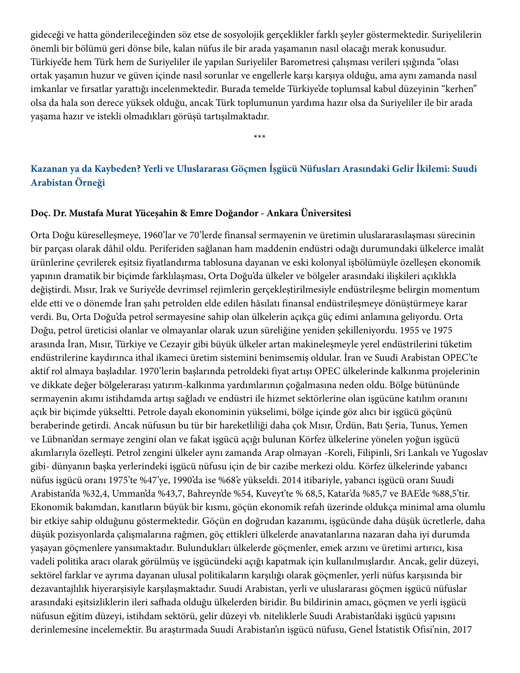gideceği ve hatta gönderileceğinden söz etse de sosyolojik gerçeklikler farklı şeyler göstermektedir. Suriyelilerin önemli bir bölümü geri dönse bile, kalan nüfus ile bir arada yaşamanın nasıl olacağı merak konusudur. Türkiye'de hem Türk hem de Suriyeliler ile yapılan Suriyeliler Barometresi çalışması verileri ışığında "olası ortak yaşamın huzur ve güven içinde nasıl sorunlar ve engellerle karşı karşıya olduğu, ama aynı zamanda nasıl imkanlar ve fırsatlar yarattığı incelenmektedir. Burada temelde Türkiye'de toplumsal kabul düzeyinin "kerhen" olsa da hala son derece yüksek olduğu, ancak Türk toplumunun yardıma hazır olsa da Suriyeliler ile bir arada yaşama hazır ve istekli olmadıkları görüşü tartışılmaktadır.

\*\*\*

## **Kazanan ya da Kaybeden? Yerli ve Uluslararası Göçmen İşgücü Nüfusları Arasındaki Gelir İkilemi: Suudi Arabistan Örneği**

#### **Doç. Dr. Mustafa Murat Yüceşahin & Emre Doğandor - Ankara Üniversitesi**

Orta Doğu küreselleşmeye, 1960'lar ve 70'lerde finansal sermayenin ve üretimin uluslararasılaşması sürecinin bir parçası olarak dâhil oldu. Periferiden sağlanan ham maddenin endüstri odağı durumundaki ülkelerce imalât ürünlerine çevrilerek eşitsiz fiyatlandırma tablosuna dayanan ve eski kolonyal işbölümüyle özelleşen ekonomik yapının dramatik bir biçimde farklılaşması, Orta Doğu'da ülkeler ve bölgeler arasındaki ilişkileri açıklıkla değiştirdi. Mısır, Irak ve Suriye'de devrimsel rejimlerin gerçekleştirilmesiyle endüstrileşme belirgin momentum elde etti ve o dönemde İran şahı petrolden elde edilen hâsılatı finansal endüstrileşmeye dönüştürmeye karar verdi. Bu, Orta Doğu'da petrol sermayesine sahip olan ülkelerin açıkça güç edimi anlamına geliyordu. Orta Doğu, petrol üreticisi olanlar ve olmayanlar olarak uzun süreliğine yeniden şekilleniyordu. 1955 ve 1975 arasında İran, Mısır, Türkiye ve Cezayir gibi büyük ülkeler artan makineleşmeyle yerel endüstrilerini tüketim endüstrilerine kaydırınca ithal ikameci üretim sistemini benimsemiş oldular. İran ve Suudi Arabistan OPEC'te aktif rol almaya başladılar. 1970'lerin başlarında petroldeki fiyat artışı OPEC ülkelerinde kalkınma projelerinin ve dikkate değer bölgelerarası yatırım-kalkınma yardımlarının çoğalmasına neden oldu. Bölge bütününde sermayenin akımı istihdamda artışı sağladı ve endüstri ile hizmet sektörlerine olan işgücüne katılım oranını açık bir biçimde yükseltti. Petrole dayalı ekonominin yükselimi, bölge içinde göz alıcı bir işgücü göçünü beraberinde getirdi. Ancak nüfusun bu tür bir hareketliliği daha çok Mısır, Ürdün, Batı Şeria, Tunus, Yemen ve Lübnan'dan sermaye zengini olan ve fakat işgücü açığı bulunan Körfez ülkelerine yönelen yoğun işgücü akımlarıyla özelleşti. Petrol zengini ülkeler aynı zamanda Arap olmayan -Koreli, Filipinli, Sri Lankalı ve Yugoslav gibi- dünyanın başka yerlerindeki işgücü nüfusu için de bir cazibe merkezi oldu. Körfez ülkelerinde yabancı nüfus işgücü oranı 1975'te %47'ye, 1990'da ise %68'e yükseldi. 2014 itibariyle, yabancı işgücü oranı Suudi Arabistan'da %32,4, Umman'da %43,7, Bahreyn'de %54, Kuveyt'te % 68,5, Katar'da %85,7 ve BAE'de %88,5'tir. Ekonomik bakımdan, kanıtların büyük bir kısmı, göçün ekonomik refah üzerinde oldukça minimal ama olumlu bir etkiye sahip olduğunu göstermektedir. Göçün en doğrudan kazanımı, işgücünde daha düşük ücretlerle, daha düşük pozisyonlarda çalışmalarına rağmen, göç ettikleri ülkelerde anavatanlarına nazaran daha iyi durumda yaşayan göçmenlere yansımaktadır. Bulundukları ülkelerde göçmenler, emek arzını ve üretimi artırıcı, kısa vadeli politika aracı olarak görülmüş ve işgücündeki açığı kapatmak için kullanılmışlardır. Ancak, gelir düzeyi, sektörel farklar ve ayrıma dayanan ulusal politikaların karşılığı olarak göçmenler, yerli nüfus karşısında bir dezavantajlılık hiyerarşisiyle karşılaşmaktadır. Suudi Arabistan, yerli ve uluslararası göçmen işgücü nüfuslar arasındaki eşitsizliklerin ileri safhada olduğu ülkelerden biridir. Bu bildirinin amacı, göçmen ve yerli işgücü nüfusun eğitim düzeyi, istihdam sektörü, gelir düzeyi vb. niteliklerle Suudi Arabistan'daki işgücü yapısını derinlemesine incelemektir. Bu araştırmada Suudi Arabistan'ın işgücü nüfusu, Genel İstatistik Ofisi'nin, 2017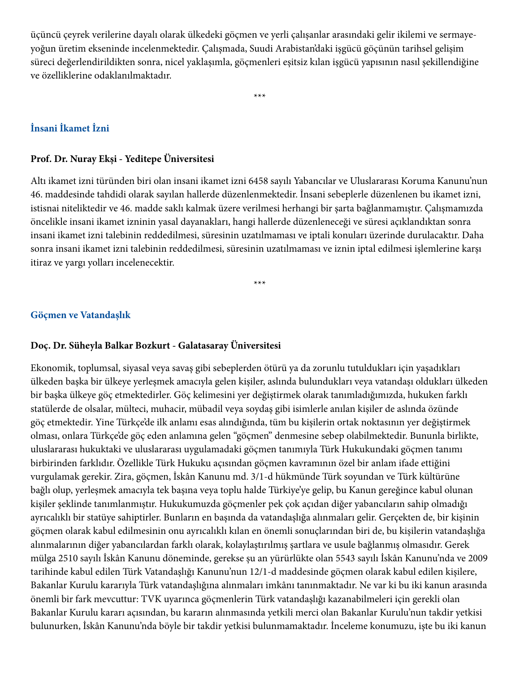üçüncü çeyrek verilerine dayalı olarak ülkedeki göçmen ve yerli çalışanlar arasındaki gelir ikilemi ve sermayeyoğun üretim ekseninde incelenmektedir. Çalışmada, Suudi Arabistan'daki işgücü göçünün tarihsel gelişim süreci değerlendirildikten sonra, nicel yaklaşımla, göçmenleri eşitsiz kılan işgücü yapısının nasıl şekillendiğine ve özelliklerine odaklanılmaktadır.

\*\*\*

#### **İnsani İkamet İzni**

#### **Prof. Dr. Nuray Ekşi - Yeditepe Üniversitesi**

Altı ikamet izni türünden biri olan insani ikamet izni 6458 sayılı Yabancılar ve Uluslararası Koruma Kanunu'nun 46. maddesinde tahdidi olarak sayılan hallerde düzenlenmektedir. İnsani sebeplerle düzenlenen bu ikamet izni, istisnai niteliktedir ve 46. madde saklı kalmak üzere verilmesi herhangi bir şarta bağlanmamıştır. Çalışmamızda öncelikle insani ikamet izninin yasal dayanakları, hangi hallerde düzenleneceği ve süresi açıklandıktan sonra insani ikamet izni talebinin reddedilmesi, süresinin uzatılmaması ve iptali konuları üzerinde durulacaktır. Daha sonra insani ikamet izni talebinin reddedilmesi, süresinin uzatılmaması ve iznin iptal edilmesi işlemlerine karşı itiraz ve yargı yolları incelenecektir.

\*\*\*

#### **Göçmen ve Vatandaşlık**

#### **Doç. Dr. Süheyla Balkar Bozkurt - Galatasaray Üniversitesi**

Ekonomik, toplumsal, siyasal veya savaş gibi sebeplerden ötürü ya da zorunlu tutuldukları için yaşadıkları ülkeden başka bir ülkeye yerleşmek amacıyla gelen kişiler, aslında bulundukları veya vatandaşı oldukları ülkeden bir başka ülkeye göç etmektedirler. Göç kelimesini yer değiştirmek olarak tanımladığımızda, hukuken farklı statülerde de olsalar, mülteci, muhacir, mübadil veya soydaş gibi isimlerle anılan kişiler de aslında özünde göç etmektedir. Yine Türkçe'de ilk anlamı esas alındığında, tüm bu kişilerin ortak noktasının yer değiştirmek olması, onlara Türkçe'de göç eden anlamına gelen "göçmen" denmesine sebep olabilmektedir. Bununla birlikte, uluslararası hukuktaki ve uluslararası uygulamadaki göçmen tanımıyla Türk Hukukundaki göçmen tanımı birbirinden farklıdır. Özellikle Türk Hukuku açısından göçmen kavramının özel bir anlam ifade ettiğini vurgulamak gerekir. Zira, göçmen, İskân Kanunu md. 3/1-d hükmünde Türk soyundan ve Türk kültürüne bağlı olup, yerleşmek amacıyla tek başına veya toplu halde Türkiye'ye gelip, bu Kanun gereğince kabul olunan kişiler şeklinde tanımlanmıştır. Hukukumuzda göçmenler pek çok açıdan diğer yabancıların sahip olmadığı ayrıcalıklı bir statüye sahiptirler. Bunların en başında da vatandaşlığa alınmaları gelir. Gerçekten de, bir kişinin göçmen olarak kabul edilmesinin onu ayrıcalıklı kılan en önemli sonuçlarından biri de, bu kişilerin vatandaşlığa alınmalarının diğer yabancılardan farklı olarak, kolaylaştırılmış şartlara ve usule bağlanmış olmasıdır. Gerek mülga 2510 sayılı İskân Kanunu döneminde, gerekse şu an yürürlükte olan 5543 sayılı İskân Kanunu'nda ve 2009 tarihinde kabul edilen Türk Vatandaşlığı Kanunu'nun 12/1-d maddesinde göçmen olarak kabul edilen kişilere, Bakanlar Kurulu kararıyla Türk vatandaşlığına alınmaları imkânı tanınmaktadır. Ne var ki bu iki kanun arasında önemli bir fark mevcuttur: TVK uyarınca göçmenlerin Türk vatandaşlığı kazanabilmeleri için gerekli olan Bakanlar Kurulu kararı açısından, bu kararın alınmasında yetkili merci olan Bakanlar Kurulu'nun takdir yetkisi bulunurken, İskân Kanunu'nda böyle bir takdir yetkisi bulunmamaktadır. İnceleme konumuzu, işte bu iki kanun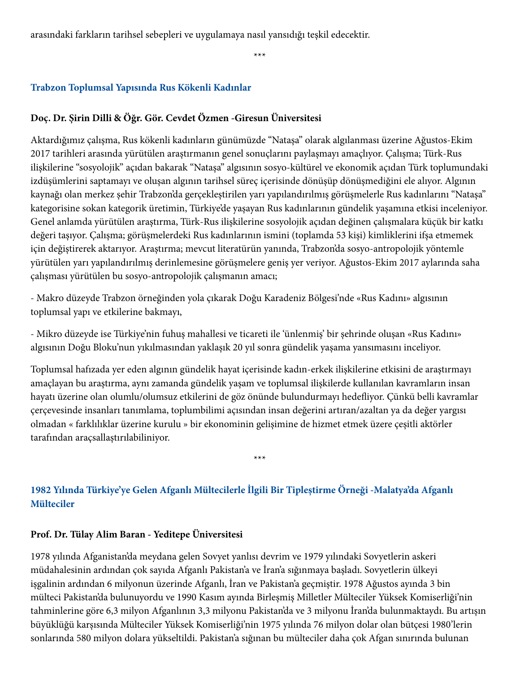arasındaki farkların tarihsel sebepleri ve uygulamaya nasıl yansıdığı teşkil edecektir.

\*\*\*

## **Trabzon Toplumsal Yapısında Rus Kökenli Kadınlar**

## **Doç. Dr. Şirin Dilli & Öğr. Gör. Cevdet Özmen -Giresun Üniversitesi**

Aktardığımız çalışma, Rus kökenli kadınların günümüzde "Nataşa" olarak algılanması üzerine Ağustos-Ekim 2017 tarihleri arasında yürütülen araştırmanın genel sonuçlarını paylaşmayı amaçlıyor. Çalışma; Türk-Rus ilişkilerine "sosyolojik" açıdan bakarak "Nataşa" algısının sosyo-kültürel ve ekonomik açıdan Türk toplumundaki izdüşümlerini saptamayı ve oluşan algının tarihsel süreç içerisinde dönüşüp dönüşmediğini ele alıyor. Algının kaynağı olan merkez şehir Trabzon'da gerçekleştirilen yarı yapılandırılmış görüşmelerle Rus kadınlarını "Nataşa" kategorisine sokan kategorik üretimin, Türkiye'de yaşayan Rus kadınlarının gündelik yaşamına etkisi inceleniyor. Genel anlamda yürütülen araştırma, Türk-Rus ilişkilerine sosyolojik açıdan değinen çalışmalara küçük bir katkı değeri taşıyor. Çalışma; görüşmelerdeki Rus kadınlarının ismini (toplamda 53 kişi) kimliklerini ifşa etmemek için değiştirerek aktarıyor. Araştırma; mevcut literatürün yanında, Trabzon'da sosyo-antropolojik yöntemle yürütülen yarı yapılandırılmış derinlemesine görüşmelere geniş yer veriyor. Ağustos-Ekim 2017 aylarında saha çalışması yürütülen bu sosyo-antropolojik çalışmanın amacı;

- Makro düzeyde Trabzon örneğinden yola çıkarak Doğu Karadeniz Bölgesi'nde «Rus Kadını» algısının toplumsal yapı ve etkilerine bakmayı,

- Mikro düzeyde ise Türkiye'nin fuhuş mahallesi ve ticareti ile 'ünlenmiş' bir şehrinde oluşan «Rus Kadını» algısının Doğu Bloku'nun yıkılmasından yaklaşık 20 yıl sonra gündelik yaşama yansımasını inceliyor.

Toplumsal hafızada yer eden algının gündelik hayat içerisinde kadın-erkek ilişkilerine etkisini de araştırmayı amaçlayan bu araştırma, aynı zamanda gündelik yaşam ve toplumsal ilişkilerde kullanılan kavramların insan hayatı üzerine olan olumlu/olumsuz etkilerini de göz önünde bulundurmayı hedefliyor. Çünkü belli kavramlar çerçevesinde insanları tanımlama, toplumbilimi açısından insan değerini artıran/azaltan ya da değer yargısı olmadan « farklılıklar üzerine kurulu » bir ekonominin gelişimine de hizmet etmek üzere çeşitli aktörler tarafından araçsallaştırılabiliniyor.

\*\*\*

## **1982 Yılında Türkiye'ye Gelen Afganlı Mültecilerle İlgili Bir Tipleştirme Örneği -Malatya'da Afganlı Mülteciler**

## **Prof. Dr. Tülay Alim Baran - Yeditepe Üniversitesi**

1978 yılında Afganistan'da meydana gelen Sovyet yanlısı devrim ve 1979 yılındaki Sovyetlerin askeri müdahalesinin ardından çok sayıda Afganlı Pakistan'a ve İran'a sığınmaya başladı. Sovyetlerin ülkeyi işgalinin ardından 6 milyonun üzerinde Afganlı, İran ve Pakistan'a geçmiştir. 1978 Ağustos ayında 3 bin mülteci Pakistan'da bulunuyordu ve 1990 Kasım ayında Birleşmiş Milletler Mülteciler Yüksek Komiserliği'nin tahminlerine göre 6,3 milyon Afganlının 3,3 milyonu Pakistan'da ve 3 milyonu İran'da bulunmaktaydı. Bu artışın büyüklüğü karşısında Mülteciler Yüksek Komiserliği'nin 1975 yılında 76 milyon dolar olan bütçesi 1980'lerin sonlarında 580 milyon dolara yükseltildi. Pakistan'a sığınan bu mülteciler daha çok Afgan sınırında bulunan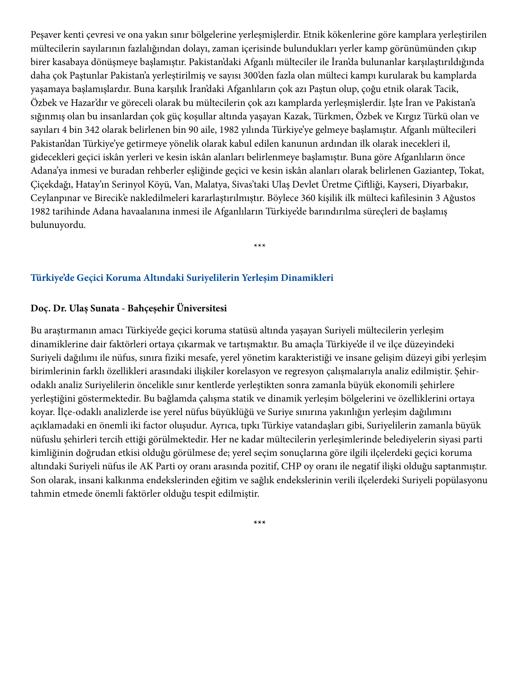Peşaver kenti çevresi ve ona yakın sınır bölgelerine yerleşmişlerdir. Etnik kökenlerine göre kamplara yerleştirilen mültecilerin sayılarının fazlalığından dolayı, zaman içerisinde bulundukları yerler kamp görünümünden çıkıp birer kasabaya dönüşmeye başlamıştır. Pakistan'daki Afganlı mülteciler ile İran'da bulunanlar karşılaştırıldığında daha çok Paştunlar Pakistan'a yerleştirilmiş ve sayısı 300'den fazla olan mülteci kampı kurularak bu kamplarda yaşamaya başlamışlardır. Buna karşılık İran'daki Afganlıların çok azı Paştun olup, çoğu etnik olarak Tacik, Özbek ve Hazar'dır ve göreceli olarak bu mültecilerin çok azı kamplarda yerleşmişlerdir. İşte İran ve Pakistan'a sığınmış olan bu insanlardan çok güç koşullar altında yaşayan Kazak, Türkmen, Özbek ve Kırgız Türkü olan ve sayıları 4 bin 342 olarak belirlenen bin 90 aile, 1982 yılında Türkiye'ye gelmeye başlamıştır. Afganlı mültecileri Pakistan'dan Türkiye'ye getirmeye yönelik olarak kabul edilen kanunun ardından ilk olarak inecekleri il, gidecekleri geçici iskân yerleri ve kesin iskân alanları belirlenmeye başlamıştır. Buna göre Afganlıların önce Adana'ya inmesi ve buradan rehberler eşliğinde geçici ve kesin iskân alanları olarak belirlenen Gaziantep, Tokat, Çiçekdağı, Hatay'ın Serinyol Köyü, Van, Malatya, Sivas'taki Ulaş Devlet Üretme Çiftliği, Kayseri, Diyarbakır, Ceylanpınar ve Birecik'e nakledilmeleri kararlaştırılmıştır. Böylece 360 kişilik ilk mülteci kafilesinin 3 Ağustos 1982 tarihinde Adana havaalanına inmesi ile Afganlıların Türkiye'de barındırılma süreçleri de başlamış bulunuyordu.

\*\*\*

#### **Türkiye'de Geçici Koruma Altındaki Suriyelilerin Yerleşim Dinamikleri**

#### **Doç. Dr. Ulaş Sunata - Bahçeşehir Üniversitesi**

Bu araştırmanın amacı Türkiye'de geçici koruma statüsü altında yaşayan Suriyeli mültecilerin yerleşim dinamiklerine dair faktörleri ortaya çıkarmak ve tartışmaktır. Bu amaçla Türkiye'de il ve ilçe düzeyindeki Suriyeli dağılımı ile nüfus, sınıra fiziki mesafe, yerel yönetim karakteristiği ve insane gelişim düzeyi gibi yerleşim birimlerinin farklı özellikleri arasındaki ilişkiler korelasyon ve regresyon çalışmalarıyla analiz edilmiştir. Şehirodaklı analiz Suriyelilerin öncelikle sınır kentlerde yerleştikten sonra zamanla büyük ekonomili şehirlere yerleştiğini göstermektedir. Bu bağlamda çalışma statik ve dinamik yerleşim bölgelerini ve özelliklerini ortaya koyar. İlçe-odaklı analizlerde ise yerel nüfus büyüklüğü ve Suriye sınırına yakınlığın yerleşim dağılımını açıklamadaki en önemli iki factor oluşudur. Ayrıca, tıpkı Türkiye vatandaşları gibi, Suriyelilerin zamanla büyük nüfuslu şehirleri tercih ettiği görülmektedir. Her ne kadar mültecilerin yerleşimlerinde belediyelerin siyasi parti kimliğinin doğrudan etkisi olduğu görülmese de; yerel seçim sonuçlarına göre ilgili ilçelerdeki geçici koruma altındaki Suriyeli nüfus ile AK Parti oy oranı arasında pozitif, CHP oy oranı ile negatif ilişki olduğu saptanmıştır. Son olarak, insani kalkınma endekslerinden eğitim ve sağlık endekslerinin verili ilçelerdeki Suriyeli popülasyonu tahmin etmede önemli faktörler olduğu tespit edilmiştir.

**\*\*\***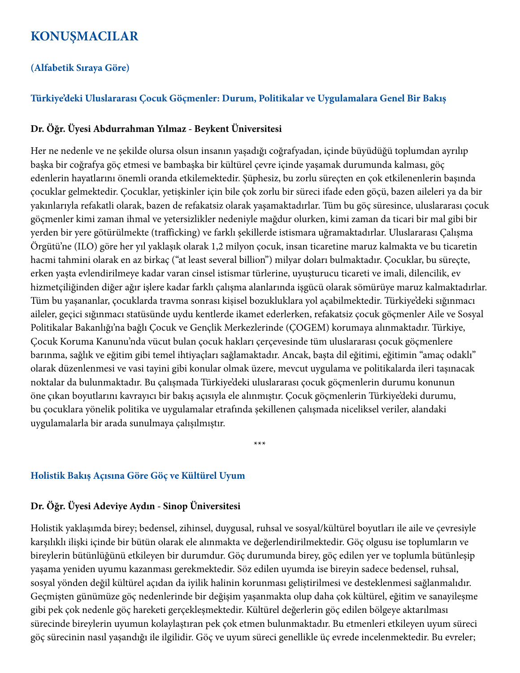## **KONUŞMACILAR**

## **(Alfabetik Sıraya Göre)**

### **Türkiye'deki Uluslararası Çocuk Göçmenler: Durum, Politikalar ve Uygulamalara Genel Bir Bakış**

#### **Dr. Öğr. Üyesi Abdurrahman Yılmaz - Beykent Üniversitesi**

Her ne nedenle ve ne şekilde olursa olsun insanın yaşadığı coğrafyadan, içinde büyüdüğü toplumdan ayrılıp başka bir coğrafya göç etmesi ve bambaşka bir kültürel çevre içinde yaşamak durumunda kalması, göç edenlerin hayatlarını önemli oranda etkilemektedir. Şüphesiz, bu zorlu süreçten en çok etkilenenlerin başında çocuklar gelmektedir. Çocuklar, yetişkinler için bile çok zorlu bir süreci ifade eden göçü, bazen aileleri ya da bir yakınlarıyla refakatli olarak, bazen de refakatsiz olarak yaşamaktadırlar. Tüm bu göç süresince, uluslararası çocuk göçmenler kimi zaman ihmal ve yetersizlikler nedeniyle mağdur olurken, kimi zaman da ticari bir mal gibi bir yerden bir yere götürülmekte (trafficking) ve farklı şekillerde istismara uğramaktadırlar. Uluslararası Çalışma Örgütü'ne (ILO) göre her yıl yaklaşık olarak 1,2 milyon çocuk, insan ticaretine maruz kalmakta ve bu ticaretin hacmi tahmini olarak en az birkaç ("at least several billion") milyar doları bulmaktadır. Çocuklar, bu süreçte, erken yaşta evlendirilmeye kadar varan cinsel istismar türlerine, uyuşturucu ticareti ve imali, dilencilik, ev hizmetçiliğinden diğer ağır işlere kadar farklı çalışma alanlarında işgücü olarak sömürüye maruz kalmaktadırlar. Tüm bu yaşananlar, çocuklarda travma sonrası kişisel bozukluklara yol açabilmektedir. Türkiye'deki sığınmacı aileler, geçici sığınmacı statüsünde uydu kentlerde ikamet ederlerken, refakatsiz çocuk göçmenler Aile ve Sosyal Politikalar Bakanlığı'na bağlı Çocuk ve Gençlik Merkezlerinde (ÇOGEM) korumaya alınmaktadır. Türkiye, Çocuk Koruma Kanunu'nda vücut bulan çocuk hakları çerçevesinde tüm uluslararası çocuk göçmenlere barınma, sağlık ve eğitim gibi temel ihtiyaçları sağlamaktadır. Ancak, başta dil eğitimi, eğitimin "amaç odaklı" olarak düzenlenmesi ve vasi tayini gibi konular olmak üzere, mevcut uygulama ve politikalarda ileri taşınacak noktalar da bulunmaktadır. Bu çalışmada Türkiye'deki uluslararası çocuk göçmenlerin durumu konunun öne çıkan boyutlarını kavrayıcı bir bakış açısıyla ele alınmıştır. Çocuk göçmenlerin Türkiye'deki durumu, bu çocuklara yönelik politika ve uygulamalar etrafında şekillenen çalışmada niceliksel veriler, alandaki uygulamalarla bir arada sunulmaya çalışılmıştır.

\*\*\*

#### **Holistik Bakış Açısına Göre Göç ve Kültürel Uyum**

#### **Dr. Öğr. Üyesi Adeviye Aydın - Sinop Üniversitesi**

Holistik yaklaşımda birey; bedensel, zihinsel, duygusal, ruhsal ve sosyal/kültürel boyutları ile aile ve çevresiyle karşılıklı ilişki içinde bir bütün olarak ele alınmakta ve değerlendirilmektedir. Göç olgusu ise toplumların ve bireylerin bütünlüğünü etkileyen bir durumdur. Göç durumunda birey, göç edilen yer ve toplumla bütünleşip yaşama yeniden uyumu kazanması gerekmektedir. Söz edilen uyumda ise bireyin sadece bedensel, ruhsal, sosyal yönden değil kültürel açıdan da iyilik halinin korunması geliştirilmesi ve desteklenmesi sağlanmalıdır. Geçmişten günümüze göç nedenlerinde bir değişim yaşanmakta olup daha çok kültürel, eğitim ve sanayileşme gibi pek çok nedenle göç hareketi gerçekleşmektedir. Kültürel değerlerin göç edilen bölgeye aktarılması sürecinde bireylerin uyumun kolaylaştıran pek çok etmen bulunmaktadır. Bu etmenleri etkileyen uyum süreci göç sürecinin nasıl yaşandığı ile ilgilidir. Göç ve uyum süreci genellikle üç evrede incelenmektedir. Bu evreler;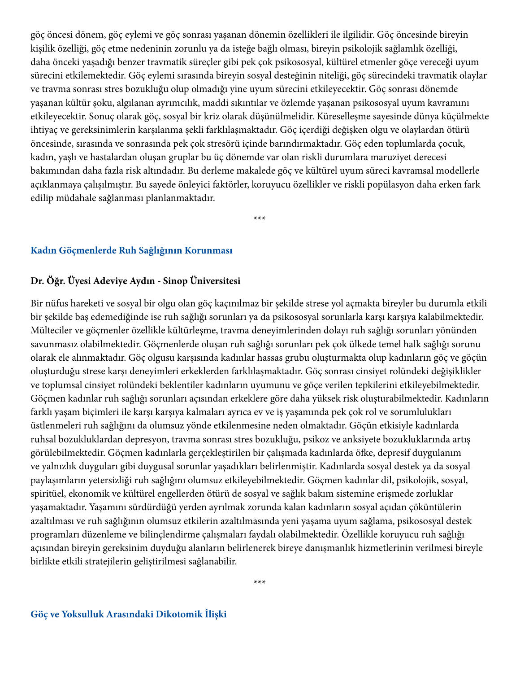göç öncesi dönem, göç eylemi ve göç sonrası yaşanan dönemin özellikleri ile ilgilidir. Göç öncesinde bireyin kişilik özelliği, göç etme nedeninin zorunlu ya da isteğe bağlı olması, bireyin psikolojik sağlamlık özelliği, daha önceki yaşadığı benzer travmatik süreçler gibi pek çok psikososyal, kültürel etmenler göçe vereceği uyum sürecini etkilemektedir. Göç eylemi sırasında bireyin sosyal desteğinin niteliği, göç sürecindeki travmatik olaylar ve travma sonrası stres bozukluğu olup olmadığı yine uyum sürecini etkileyecektir. Göç sonrası dönemde yaşanan kültür şoku, algılanan ayrımcılık, maddi sıkıntılar ve özlemde yaşanan psikososyal uyum kavramını etkileyecektir. Sonuç olarak göç, sosyal bir kriz olarak düşünülmelidir. Küreselleşme sayesinde dünya küçülmekte ihtiyaç ve gereksinimlerin karşılanma şekli farklılaşmaktadır. Göç içerdiği değişken olgu ve olaylardan ötürü öncesinde, sırasında ve sonrasında pek çok stresörü içinde barındırmaktadır. Göç eden toplumlarda çocuk, kadın, yaşlı ve hastalardan oluşan gruplar bu üç dönemde var olan riskli durumlara maruziyet derecesi bakımından daha fazla risk altındadır. Bu derleme makalede göç ve kültürel uyum süreci kavramsal modellerle açıklanmaya çalışılmıştır. Bu sayede önleyici faktörler, koruyucu özellikler ve riskli popülasyon daha erken fark edilip müdahale sağlanması planlanmaktadır.

\*\*\*

#### **Kadın Göçmenlerde Ruh Sağlığının Korunması**

#### **Dr. Öğr. Üyesi Adeviye Aydın - Sinop Üniversitesi**

Bir nüfus hareketi ve sosyal bir olgu olan göç kaçınılmaz bir şekilde strese yol açmakta bireyler bu durumla etkili bir şekilde baş edemediğinde ise ruh sağlığı sorunları ya da psikososyal sorunlarla karşı karşıya kalabilmektedir. Mülteciler ve göçmenler özellikle kültürleşme, travma deneyimlerinden dolayı ruh sağlığı sorunları yönünden savunmasız olabilmektedir. Göçmenlerde oluşan ruh sağlığı sorunları pek çok ülkede temel halk sağlığı sorunu olarak ele alınmaktadır. Göç olgusu karşısında kadınlar hassas grubu oluşturmakta olup kadınların göç ve göçün oluşturduğu strese karşı deneyimleri erkeklerden farklılaşmaktadır. Göç sonrası cinsiyet rolündeki değişiklikler ve toplumsal cinsiyet rolündeki beklentiler kadınların uyumunu ve göçe verilen tepkilerini etkileyebilmektedir. Göçmen kadınlar ruh sağlığı sorunları açısından erkeklere göre daha yüksek risk oluşturabilmektedir. Kadınların farklı yaşam biçimleri ile karşı karşıya kalmaları ayrıca ev ve iş yaşamında pek çok rol ve sorumlulukları üstlenmeleri ruh sağlığını da olumsuz yönde etkilenmesine neden olmaktadır. Göçün etkisiyle kadınlarda ruhsal bozukluklardan depresyon, travma sonrası stres bozukluğu, psikoz ve anksiyete bozukluklarında artış görülebilmektedir. Göçmen kadınlarla gerçekleştirilen bir çalışmada kadınlarda öfke, depresif duygulanım ve yalnızlık duyguları gibi duygusal sorunlar yaşadıkları belirlenmiştir. Kadınlarda sosyal destek ya da sosyal paylaşımların yetersizliği ruh sağlığını olumsuz etkileyebilmektedir. Göçmen kadınlar dil, psikolojik, sosyal, spiritüel, ekonomik ve kültürel engellerden ötürü de sosyal ve sağlık bakım sistemine erişmede zorluklar yaşamaktadır. Yaşamını sürdürdüğü yerden ayrılmak zorunda kalan kadınların sosyal açıdan çöküntülerin azaltılması ve ruh sağlığının olumsuz etkilerin azaltılmasında yeni yaşama uyum sağlama, psikososyal destek programları düzenleme ve bilinçlendirme çalışmaları faydalı olabilmektedir. Özellikle koruyucu ruh sağlığı açısından bireyin gereksinim duyduğu alanların belirlenerek bireye danışmanlık hizmetlerinin verilmesi bireyle birlikte etkili stratejilerin geliştirilmesi sağlanabilir.

\*\*\*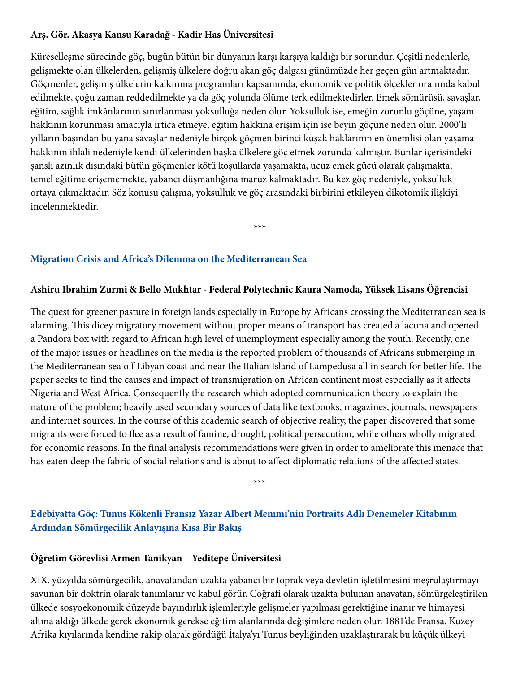### **Arş. Gör. Akasya Kansu Karadağ - Kadir Has Üniversitesi**

Küreselleşme sürecinde göç, bugün bütün bir dünyanın karşı karşıya kaldığı bir sorundur. Çeşitli nedenlerle, gelişmekte olan ülkelerden, gelişmiş ülkelere doğru akan göç dalgası günümüzde her geçen gün artmaktadır. Göçmenler, gelişmiş ülkelerin kalkınma programları kapsamında, ekonomik ve politik ölçekler oranında kabul edilmekte, çoğu zaman reddedilmekte ya da göç yolunda ölüme terk edilmektedirler. Emek sömürüsü, savaşlar, eğitim, sağlık imkânlarının sınırlanması yoksulluğa neden olur. Yoksulluk ise, emeğin zorunlu göçüne, yaşam hakkının korunması amacıyla irtica etmeye, eğitim hakkına erişim için ise beyin göçüne neden olur. 2000'li yılların başından bu yana savaşlar nedeniyle birçok göçmen birinci kuşak haklarının en önemlisi olan yaşama hakkının ihlali nedeniyle kendi ülkelerinden başka ülkelere göç etmek zorunda kalmıştır. Bunlar içerisindeki şanslı azınlık dışındaki bütün göçmenler kötü koşullarda yaşamakta, ucuz emek gücü olarak çalışmakta, temel eğitime erişememekte, yabancı düşmanlığına maruz kalmaktadır. Bu kez göç nedeniyle, yoksulluk ortaya çıkmaktadır. Söz konusu çalışma, yoksulluk ve göç arasındaki birbirini etkileyen dikotomik ilişkiyi incelenmektedir.

\*\*\*

### **Migration Crisis and Africa's Dilemma on the Mediterranean Sea**

#### **Ashiru Ibrahim Zurmi & Bello Mukhtar - Federal Polytechnic Kaura Namoda, Yüksek Lisans Öğrencisi**

The quest for greener pasture in foreign lands especially in Europe by Africans crossing the Mediterranean sea is alarming. This dicey migratory movement without proper means of transport has created a lacuna and opened a Pandora box with regard to African high level of unemployment especially among the youth. Recently, one of the major issues or headlines on the media is the reported problem of thousands of Africans submerging in the Mediterranean sea off Libyan coast and near the Italian Island of Lampedusa all in search for better life. The paper seeks to find the causes and impact of transmigration on African continent most especially as it affects Nigeria and West Africa. Consequently the research which adopted communication theory to explain the nature of the problem; heavily used secondary sources of data like textbooks, magazines, journals, newspapers and internet sources. In the course of this academic search of objective reality, the paper discovered that some migrants were forced to flee as a result of famine, drought, political persecution, while others wholly migrated for economic reasons. In the final analysis recommendations were given in order to ameliorate this menace that has eaten deep the fabric of social relations and is about to affect diplomatic relations of the affected states.

\*\*\*

## **Edebiyatta Göç: Tunus Kökenli Fransız Yazar Albert Memmi'nin Portraits Adlı Denemeler Kitabının Ardından Sömürgecilik Anlayışına Kısa Bir Bakış**

#### **Öğretim Görevlisi Armen Tanikyan – Yeditepe Üniversitesi**

XIX. yüzyılda sömürgecilik, anavatandan uzakta yabancı bir toprak veya devletin işletilmesini meşrulaştırmayı savunan bir doktrin olarak tanımlanır ve kabul görür. Coğrafi olarak uzakta bulunan anavatan, sömürgeleştirilen ülkede sosyoekonomik düzeyde bayındırlık işlemleriyle gelişmeler yapılması gerektiğine inanır ve himayesi altına aldığı ülkede gerek ekonomik gerekse eğitim alanlarında değişimlere neden olur. 1881'de Fransa, Kuzey Afrika kıyılarında kendine rakip olarak gördüğü İtalya'yı Tunus beyliğinden uzaklaştırarak bu küçük ülkeyi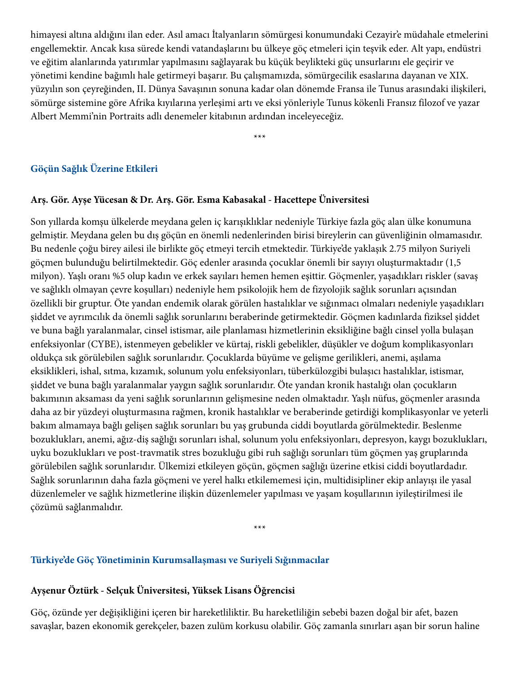himayesi altına aldığını ilan eder. Asıl amacı İtalyanların sömürgesi konumundaki Cezayir'e müdahale etmelerini engellemektir. Ancak kısa sürede kendi vatandaşlarını bu ülkeye göç etmeleri için teşvik eder. Alt yapı, endüstri ve eğitim alanlarında yatırımlar yapılmasını sağlayarak bu küçük beylikteki güç unsurlarını ele geçirir ve yönetimi kendine bağımlı hale getirmeyi başarır. Bu çalışmamızda, sömürgecilik esaslarına dayanan ve XIX. yüzyılın son çeyreğinden, II. Dünya Savaşının sonuna kadar olan dönemde Fransa ile Tunus arasındaki ilişkileri, sömürge sistemine göre Afrika kıyılarına yerleşimi artı ve eksi yönleriyle Tunus kökenli Fransız filozof ve yazar Albert Memmi'nin Portraits adlı denemeler kitabının ardından inceleyeceğiz.

\*\*\*

#### **Göçün Sağlık Üzerine Etkileri**

#### **Arş. Gör. Ayşe Yücesan & Dr. Arş. Gör. Esma Kabasakal - Hacettepe Üniversitesi**

Son yıllarda komşu ülkelerde meydana gelen iç karışıklıklar nedeniyle Türkiye fazla göç alan ülke konumuna gelmiştir. Meydana gelen bu dış göçün en önemli nedenlerinden birisi bireylerin can güvenliğinin olmamasıdır. Bu nedenle çoğu birey ailesi ile birlikte göç etmeyi tercih etmektedir. Türkiye'de yaklaşık 2.75 milyon Suriyeli göçmen bulunduğu belirtilmektedir. Göç edenler arasında çocuklar önemli bir sayıyı oluşturmaktadır (1,5 milyon). Yaşlı oranı %5 olup kadın ve erkek sayıları hemen hemen eşittir. Göçmenler, yaşadıkları riskler (savaş ve sağlıklı olmayan çevre koşulları) nedeniyle hem psikolojik hem de fizyolojik sağlık sorunları açısından özellikli bir gruptur. Öte yandan endemik olarak görülen hastalıklar ve sığınmacı olmaları nedeniyle yaşadıkları şiddet ve ayrımcılık da önemli sağlık sorunlarını beraberinde getirmektedir. Göçmen kadınlarda fiziksel şiddet ve buna bağlı yaralanmalar, cinsel istismar, aile planlaması hizmetlerinin eksikliğine bağlı cinsel yolla bulaşan enfeksiyonlar (CYBE), istenmeyen gebelikler ve kürtaj, riskli gebelikler, düşükler ve doğum komplikasyonları oldukça sık görülebilen sağlık sorunlarıdır. Çocuklarda büyüme ve gelişme gerilikleri, anemi, aşılama eksiklikleri, ishal, sıtma, kızamık, solunum yolu enfeksiyonları, tüberkülozgibi bulaşıcı hastalıklar, istismar, şiddet ve buna bağlı yaralanmalar yaygın sağlık sorunlarıdır. Öte yandan kronik hastalığı olan çocukların bakımının aksaması da yeni sağlık sorunlarının gelişmesine neden olmaktadır. Yaşlı nüfus, göçmenler arasında daha az bir yüzdeyi oluşturmasına rağmen, kronik hastalıklar ve beraberinde getirdiği komplikasyonlar ve yeterli bakım almamaya bağlı gelişen sağlık sorunları bu yaş grubunda ciddi boyutlarda görülmektedir. Beslenme bozuklukları, anemi, ağız-diş sağlığı sorunları ishal, solunum yolu enfeksiyonları, depresyon, kaygı bozuklukları, uyku bozuklukları ve post-travmatik stres bozukluğu gibi ruh sağlığı sorunları tüm göçmen yaş gruplarında görülebilen sağlık sorunlarıdır. Ülkemizi etkileyen göçün, göçmen sağlığı üzerine etkisi ciddi boyutlardadır. Sağlık sorunlarının daha fazla göçmeni ve yerel halkı etkilememesi için, multidisipliner ekip anlayışı ile yasal düzenlemeler ve sağlık hizmetlerine ilişkin düzenlemeler yapılması ve yaşam koşullarının iyileştirilmesi ile çözümü sağlanmalıdır.

#### **Türkiye'de Göç Yönetiminin Kurumsallaşması ve Suriyeli Sığınmacılar**

#### **Ayşenur Öztürk - Selçuk Üniversitesi, Yüksek Lisans Öğrencisi**

Göç, özünde yer değişikliğini içeren bir hareketliliktir. Bu hareketliliğin sebebi bazen doğal bir afet, bazen savaşlar, bazen ekonomik gerekçeler, bazen zulüm korkusu olabilir. Göç zamanla sınırları aşan bir sorun haline

\*\*\*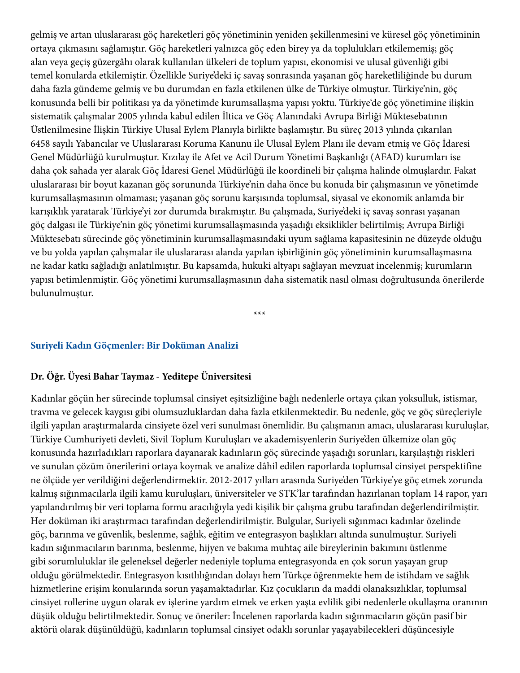gelmiş ve artan uluslararası göç hareketleri göç yönetiminin yeniden şekillenmesini ve küresel göç yönetiminin ortaya çıkmasını sağlamıştır. Göç hareketleri yalnızca göç eden birey ya da toplulukları etkilememiş; göç alan veya geçiş güzergâhı olarak kullanılan ülkeleri de toplum yapısı, ekonomisi ve ulusal güvenliği gibi temel konularda etkilemiştir. Özellikle Suriye'deki iç savaş sonrasında yaşanan göç hareketliliğinde bu durum daha fazla gündeme gelmiş ve bu durumdan en fazla etkilenen ülke de Türkiye olmuştur. Türkiye'nin, göç konusunda belli bir politikası ya da yönetimde kurumsallaşma yapısı yoktu. Türkiye'de göç yönetimine ilişkin sistematik çalışmalar 2005 yılında kabul edilen İltica ve Göç Alanındaki Avrupa Birliği Müktesebatının Üstlenilmesine İlişkin Türkiye Ulusal Eylem Planıyla birlikte başlamıştır. Bu süreç 2013 yılında çıkarılan 6458 sayılı Yabancılar ve Uluslararası Koruma Kanunu ile Ulusal Eylem Planı ile devam etmiş ve Göç İdaresi Genel Müdürlüğü kurulmuştur. Kızılay ile Afet ve Acil Durum Yönetimi Başkanlığı (AFAD) kurumları ise daha çok sahada yer alarak Göç İdaresi Genel Müdürlüğü ile koordineli bir çalışma halinde olmuşlardır. Fakat uluslararası bir boyut kazanan göç sorununda Türkiye'nin daha önce bu konuda bir çalışmasının ve yönetimde kurumsallaşmasının olmaması; yaşanan göç sorunu karşısında toplumsal, siyasal ve ekonomik anlamda bir karışıklık yaratarak Türkiye'yi zor durumda bırakmıştır. Bu çalışmada, Suriye'deki iç savaş sonrası yaşanan göç dalgası ile Türkiye'nin göç yönetimi kurumsallaşmasında yaşadığı eksiklikler belirtilmiş; Avrupa Birliği Müktesebatı sürecinde göç yönetiminin kurumsallaşmasındaki uyum sağlama kapasitesinin ne düzeyde olduğu ve bu yolda yapılan çalışmalar ile uluslararası alanda yapılan işbirliğinin göç yönetiminin kurumsallaşmasına ne kadar katkı sağladığı anlatılmıştır. Bu kapsamda, hukuki altyapı sağlayan mevzuat incelenmiş; kurumların yapısı betimlenmiştir. Göç yönetimi kurumsallaşmasının daha sistematik nasıl olması doğrultusunda önerilerde bulunulmuştur.

\*\*\*

#### **Suriyeli Kadın Göçmenler: Bir Doküman Analizi**

#### **Dr. Öğr. Üyesi Bahar Taymaz - Yeditepe Üniversitesi**

Kadınlar göçün her sürecinde toplumsal cinsiyet eşitsizliğine bağlı nedenlerle ortaya çıkan yoksulluk, istismar, travma ve gelecek kaygısı gibi olumsuzluklardan daha fazla etkilenmektedir. Bu nedenle, göç ve göç süreçleriyle ilgili yapılan araştırmalarda cinsiyete özel veri sunulması önemlidir. Bu çalışmanın amacı, uluslararası kuruluşlar, Türkiye Cumhuriyeti devleti, Sivil Toplum Kuruluşları ve akademisyenlerin Suriye'den ülkemize olan göç konusunda hazırladıkları raporlara dayanarak kadınların göç sürecinde yaşadığı sorunları, karşılaştığı riskleri ve sunulan çözüm önerilerini ortaya koymak ve analize dâhil edilen raporlarda toplumsal cinsiyet perspektifine ne ölçüde yer verildiğini değerlendirmektir. 2012-2017 yılları arasında Suriye'den Türkiye'ye göç etmek zorunda kalmış sığınmacılarla ilgili kamu kuruluşları, üniversiteler ve STK'lar tarafından hazırlanan toplam 14 rapor, yarı yapılandırılmış bir veri toplama formu aracılığıyla yedi kişilik bir çalışma grubu tarafından değerlendirilmiştir. Her doküman iki araştırmacı tarafından değerlendirilmiştir. Bulgular, Suriyeli sığınmacı kadınlar özelinde göç, barınma ve güvenlik, beslenme, sağlık, eğitim ve entegrasyon başlıkları altında sunulmuştur. Suriyeli kadın sığınmacıların barınma, beslenme, hijyen ve bakıma muhtaç aile bireylerinin bakımını üstlenme gibi sorumluluklar ile geleneksel değerler nedeniyle topluma entegrasyonda en çok sorun yaşayan grup olduğu görülmektedir. Entegrasyon kısıtlılığından dolayı hem Türkçe öğrenmekte hem de istihdam ve sağlık hizmetlerine erişim konularında sorun yaşamaktadırlar. Kız çocukların da maddi olanaksızlıklar, toplumsal cinsiyet rollerine uygun olarak ev işlerine yardım etmek ve erken yaşta evlilik gibi nedenlerle okullaşma oranının düşük olduğu belirtilmektedir. Sonuç ve öneriler: İncelenen raporlarda kadın sığınmacıların göçün pasif bir aktörü olarak düşünüldüğü, kadınların toplumsal cinsiyet odaklı sorunlar yaşayabilecekleri düşüncesiyle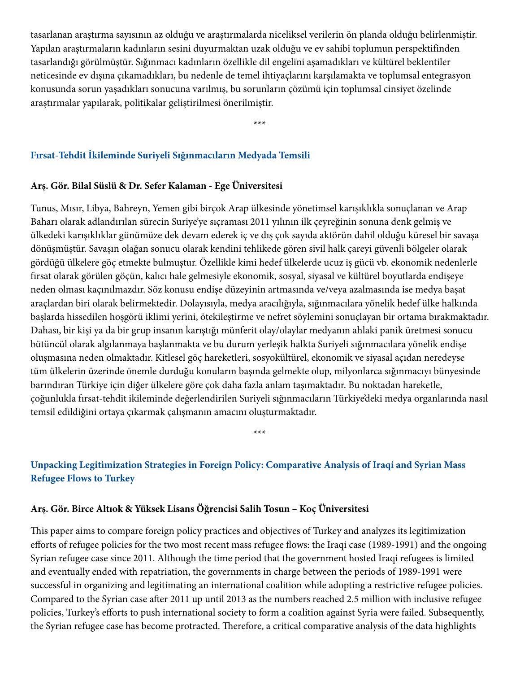tasarlanan araştırma sayısının az olduğu ve araştırmalarda niceliksel verilerin ön planda olduğu belirlenmiştir. Yapılan araştırmaların kadınların sesini duyurmaktan uzak olduğu ve ev sahibi toplumun perspektifinden tasarlandığı görülmüştür. Sığınmacı kadınların özellikle dil engelini aşamadıkları ve kültürel beklentiler neticesinde ev dışına çıkamadıkları, bu nedenle de temel ihtiyaçlarını karşılamakta ve toplumsal entegrasyon konusunda sorun yaşadıkları sonucuna varılmış, bu sorunların çözümü için toplumsal cinsiyet özelinde araştırmalar yapılarak, politikalar geliştirilmesi önerilmiştir.

\*\*\*

#### **Fırsat-Tehdit İkileminde Suriyeli Sığınmacıların Medyada Temsili**

#### **Arş. Gör. Bilal Süslü & Dr. Sefer Kalaman - Ege Üniversitesi**

Tunus, Mısır, Libya, Bahreyn, Yemen gibi birçok Arap ülkesinde yönetimsel karışıklıkla sonuçlanan ve Arap Baharı olarak adlandırılan sürecin Suriye'ye sıçraması 2011 yılının ilk çeyreğinin sonuna denk gelmiş ve ülkedeki karışıklıklar günümüze dek devam ederek iç ve dış çok sayıda aktörün dahil olduğu küresel bir savaşa dönüşmüştür. Savaşın olağan sonucu olarak kendini tehlikede gören sivil halk çareyi güvenli bölgeler olarak gördüğü ülkelere göç etmekte bulmuştur. Özellikle kimi hedef ülkelerde ucuz iş gücü vb. ekonomik nedenlerle fırsat olarak görülen göçün, kalıcı hale gelmesiyle ekonomik, sosyal, siyasal ve kültürel boyutlarda endişeye neden olması kaçınılmazdır. Söz konusu endişe düzeyinin artmasında ve/veya azalmasında ise medya başat araçlardan biri olarak belirmektedir. Dolayısıyla, medya aracılığıyla, sığınmacılara yönelik hedef ülke halkında başlarda hissedilen hoşgörü iklimi yerini, ötekileştirme ve nefret söylemini sonuçlayan bir ortama bırakmaktadır. Dahası, bir kişi ya da bir grup insanın karıştığı münferit olay/olaylar medyanın ahlaki panik üretmesi sonucu bütüncül olarak algılanmaya başlanmakta ve bu durum yerleşik halkta Suriyeli sığınmacılara yönelik endişe oluşmasına neden olmaktadır. Kitlesel göç hareketleri, sosyokültürel, ekonomik ve siyasal açıdan neredeyse tüm ülkelerin üzerinde önemle durduğu konuların başında gelmekte olup, milyonlarca sığınmacıyı bünyesinde barındıran Türkiye için diğer ülkelere göre çok daha fazla anlam taşımaktadır. Bu noktadan hareketle, çoğunlukla fırsat-tehdit ikileminde değerlendirilen Suriyeli sığınmacıların Türkiye'deki medya organlarında nasıl temsil edildiğini ortaya çıkarmak çalışmanın amacını oluşturmaktadır.

## **Unpacking Legitimization Strategies in Foreign Policy: Comparative Analysis of Iraqi and Syrian Mass Refugee Flows to Turkey**

\*\*\*

#### **Arş. Gör. Birce Altıok & Yüksek Lisans Öğrencisi Salih Tosun – Koç Üniversitesi**

This paper aims to compare foreign policy practices and objectives of Turkey and analyzes its legitimization efforts of refugee policies for the two most recent mass refugee flows: the Iraqi case (1989-1991) and the ongoing Syrian refugee case since 2011. Although the time period that the government hosted Iraqi refugees is limited and eventually ended with repatriation, the governments in charge between the periods of 1989-1991 were successful in organizing and legitimating an international coalition while adopting a restrictive refugee policies. Compared to the Syrian case after 2011 up until 2013 as the numbers reached 2.5 million with inclusive refugee policies, Turkey's efforts to push international society to form a coalition against Syria were failed. Subsequently, the Syrian refugee case has become protracted. Therefore, a critical comparative analysis of the data highlights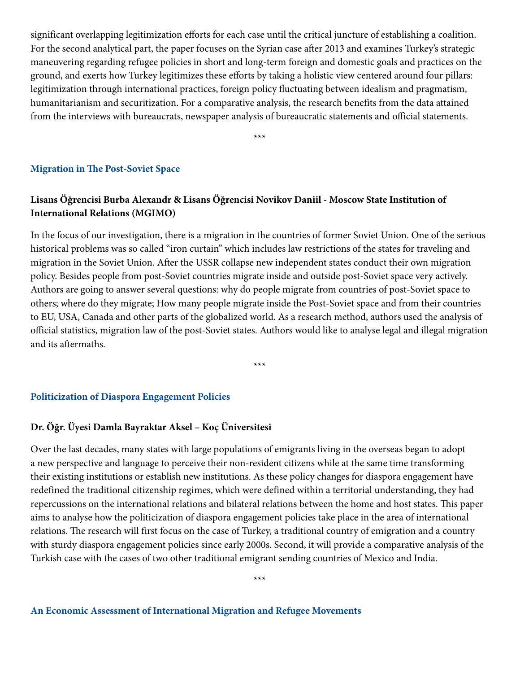significant overlapping legitimization efforts for each case until the critical juncture of establishing a coalition. For the second analytical part, the paper focuses on the Syrian case after 2013 and examines Turkey's strategic maneuvering regarding refugee policies in short and long-term foreign and domestic goals and practices on the ground, and exerts how Turkey legitimizes these efforts by taking a holistic view centered around four pillars: legitimization through international practices, foreign policy fluctuating between idealism and pragmatism, humanitarianism and securitization. For a comparative analysis, the research benefits from the data attained from the interviews with bureaucrats, newspaper analysis of bureaucratic statements and official statements.

\*\*\*

#### **Migration in The Post-Soviet Space**

### **Lisans Öğrencisi Burba Alexandr & Lisans Öğrencisi Novikov Daniil - Moscow State Institution of International Relations (MGIMO)**

In the focus of our investigation, there is a migration in the countries of former Soviet Union. One of the serious historical problems was so called "iron curtain" which includes law restrictions of the states for traveling and migration in the Soviet Union. After the USSR collapse new independent states conduct their own migration policy. Besides people from post-Soviet countries migrate inside and outside post-Soviet space very actively. Authors are going to answer several questions: why do people migrate from countries of post-Soviet space to others; where do they migrate; How many people migrate inside the Post-Soviet space and from their countries to EU, USA, Canada and other parts of the globalized world. As a research method, authors used the analysis of official statistics, migration law of the post-Soviet states. Authors would like to analyse legal and illegal migration and its aftermaths.

\*\*\*

#### **Politicization of Diaspora Engagement Policies**

#### **Dr. Öğr. Üyesi Damla Bayraktar Aksel – Koç Üniversitesi**

Over the last decades, many states with large populations of emigrants living in the overseas began to adopt a new perspective and language to perceive their non-resident citizens while at the same time transforming their existing institutions or establish new institutions. As these policy changes for diaspora engagement have redefined the traditional citizenship regimes, which were defined within a territorial understanding, they had repercussions on the international relations and bilateral relations between the home and host states. This paper aims to analyse how the politicization of diaspora engagement policies take place in the area of international relations. The research will first focus on the case of Turkey, a traditional country of emigration and a country with sturdy diaspora engagement policies since early 2000s. Second, it will provide a comparative analysis of the Turkish case with the cases of two other traditional emigrant sending countries of Mexico and India.

\*\*\*

**An Economic Assessment of International Migration and Refugee Movements**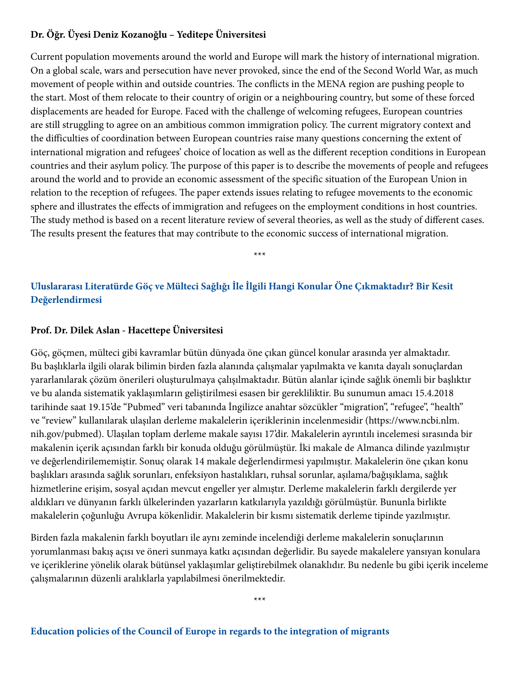## **Dr. Öğr. Üyesi Deniz Kozanoğlu – Yeditepe Üniversitesi**

Current population movements around the world and Europe will mark the history of international migration. On a global scale, wars and persecution have never provoked, since the end of the Second World War, as much movement of people within and outside countries. The conflicts in the MENA region are pushing people to the start. Most of them relocate to their country of origin or a neighbouring country, but some of these forced displacements are headed for Europe. Faced with the challenge of welcoming refugees, European countries are still struggling to agree on an ambitious common immigration policy. The current migratory context and the difficulties of coordination between European countries raise many questions concerning the extent of international migration and refugees' choice of location as well as the different reception conditions in European countries and their asylum policy. The purpose of this paper is to describe the movements of people and refugees around the world and to provide an economic assessment of the specific situation of the European Union in relation to the reception of refugees. The paper extends issues relating to refugee movements to the economic sphere and illustrates the effects of immigration and refugees on the employment conditions in host countries. The study method is based on a recent literature review of several theories, as well as the study of different cases. The results present the features that may contribute to the economic success of international migration.

\*\*\*

## **Uluslararası Literatürde Göç ve Mülteci Sağlığı İle İlgili Hangi Konular Öne Çıkmaktadır? Bir Kesit Değerlendirmesi**

#### **Prof. Dr. Dilek Aslan - Hacettepe Üniversitesi**

Göç, göçmen, mülteci gibi kavramlar bütün dünyada öne çıkan güncel konular arasında yer almaktadır. Bu başlıklarla ilgili olarak bilimin birden fazla alanında çalışmalar yapılmakta ve kanıta dayalı sonuçlardan yararlanılarak çözüm önerileri oluşturulmaya çalışılmaktadır. Bütün alanlar içinde sağlık önemli bir başlıktır ve bu alanda sistematik yaklaşımların geliştirilmesi esasen bir gerekliliktir. Bu sunumun amacı 15.4.2018 tarihinde saat 19.15'de "Pubmed" veri tabanında İngilizce anahtar sözcükler "migration", "refugee", "health" ve "review" kullanılarak ulaşılan derleme makalelerin içeriklerinin incelenmesidir (https://www.ncbi.nlm. nih.gov/pubmed). Ulaşılan toplam derleme makale sayısı 17'dir. Makalelerin ayrıntılı incelemesi sırasında bir makalenin içerik açısından farklı bir konuda olduğu görülmüştür. İki makale de Almanca dilinde yazılmıştır ve değerlendirilememiştir. Sonuç olarak 14 makale değerlendirmesi yapılmıştır. Makalelerin öne çıkan konu başlıkları arasında sağlık sorunları, enfeksiyon hastalıkları, ruhsal sorunlar, aşılama/bağışıklama, sağlık hizmetlerine erişim, sosyal açıdan mevcut engeller yer almıştır. Derleme makalelerin farklı dergilerde yer aldıkları ve dünyanın farklı ülkelerinden yazarların katkılarıyla yazıldığı görülmüştür. Bununla birlikte makalelerin çoğunluğu Avrupa kökenlidir. Makalelerin bir kısmı sistematik derleme tipinde yazılmıştır.

Birden fazla makalenin farklı boyutları ile aynı zeminde incelendiği derleme makalelerin sonuçlarının yorumlanması bakış açısı ve öneri sunmaya katkı açısından değerlidir. Bu sayede makalelere yansıyan konulara ve içeriklerine yönelik olarak bütünsel yaklaşımlar geliştirebilmek olanaklıdır. Bu nedenle bu gibi içerik inceleme çalışmalarının düzenli aralıklarla yapılabilmesi önerilmektedir.

\*\*\*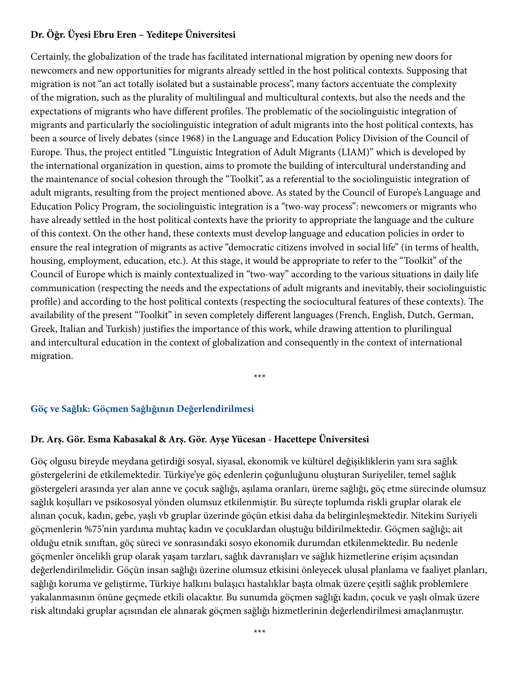### **Dr. Öğr. Üyesi Ebru Eren – Yeditepe Üniversitesi**

Certainly, the globalization of the trade has facilitated international migration by opening new doors for newcomers and new opportunities for migrants already settled in the host political contexts. Supposing that migration is not "an act totally isolated but a sustainable process", many factors accentuate the complexity of the migration, such as the plurality of multilingual and multicultural contexts, but also the needs and the expectations of migrants who have different profiles. The problematic of the sociolinguistic integration of migrants and particularly the sociolinguistic integration of adult migrants into the host political contexts, has been a source of lively debates (since 1968) in the Language and Education Policy Division of the Council of Europe. Thus, the project entitled "Linguistic Integration of Adult Migrants (LIAM)" which is developed by the international organization in question, aims to promote the building of intercultural understanding and the maintenance of social cohesion through the "Toolkit", as a referential to the sociolinguistic integration of adult migrants, resulting from the project mentioned above. As stated by the Council of Europe's Language and Education Policy Program, the sociolinguistic integration is a "two-way process": newcomers or migrants who have already settled in the host political contexts have the priority to appropriate the language and the culture of this context. On the other hand, these contexts must develop language and education policies in order to ensure the real integration of migrants as active "democratic citizens involved in social life" (in terms of health, housing, employment, education, etc.). At this stage, it would be appropriate to refer to the "Toolkit" of the Council of Europe which is mainly contextualized in "two-way" according to the various situations in daily life communication (respecting the needs and the expectations of adult migrants and inevitably, their sociolinguistic profile) and according to the host political contexts (respecting the sociocultural features of these contexts). The availability of the present "Toolkit" in seven completely different languages (French, English, Dutch, German, Greek, Italian and Turkish) justifies the importance of this work, while drawing attention to plurilingual and intercultural education in the context of globalization and consequently in the context of international migration.

#### \*\*\*

#### **Göç ve Sağlık: Göçmen Sağlığının Değerlendirilmesi**

#### **Dr. Arş. Gör. Esma Kabasakal & Arş. Gör. Ayşe Yücesan - Hacettepe Üniversitesi**

Göç olgusu bireyde meydana getirdiği sosyal, siyasal, ekonomik ve kültürel değişikliklerin yanı sıra sağlık göstergelerini de etkilemektedir. Türkiye'ye göç edenlerin çoğunluğunu oluşturan Suriyeliler, temel sağlık göstergeleri arasında yer alan anne ve çocuk sağlığı, aşılama oranları, üreme sağlığı, göç etme sürecinde olumsuz sağlık koşulları ve psikososyal yönden olumsuz etkilenmiştir. Bu süreçte toplumda riskli gruplar olarak ele alınan çocuk, kadın, gebe, yaşlı vb gruplar üzerinde göçün etkisi daha da belirginleşmektedir. Nitekim Suriyeli göçmenlerin %75'nin yardıma muhtaç kadın ve çocuklardan oluştuğu bildirilmektedir. Göçmen sağlığı; ait olduğu etnik sınıftan, göç süreci ve sonrasındaki sosyo ekonomik durumdan etkilenmektedir. Bu nedenle göçmenler öncelikli grup olarak yaşam tarzları, sağlık davranışları ve sağlık hizmetlerine erişim açısından değerlendirilmelidir. Göçün insan sağlığı üzerine olumsuz etkisini önleyecek ulusal planlama ve faaliyet planları, sağlığı koruma ve geliştirme, Türkiye halkını bulaşıcı hastalıklar başta olmak üzere çeşitli sağlık problemlere yakalanmasının önüne geçmede etkili olacaktır. Bu sunumda göçmen sağlığı kadın, çocuk ve yaşlı olmak üzere risk altındaki gruplar açısından ele alınarak göçmen sağlığı hizmetlerinin değerlendirilmesi amaçlanmıştır.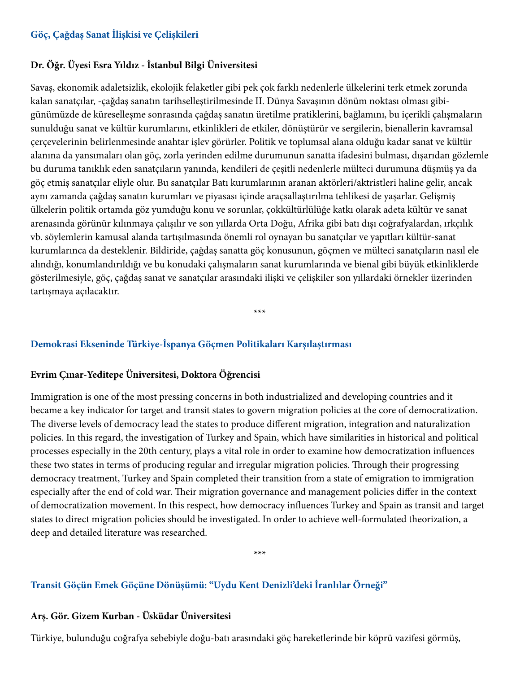#### **Göç, Çağdaş Sanat İlişkisi ve Çelişkileri**

#### **Dr. Öğr. Üyesi Esra Yıldız - İstanbul Bilgi Üniversitesi**

Savaş, ekonomik adaletsizlik, ekolojik felaketler gibi pek çok farklı nedenlerle ülkelerini terk etmek zorunda kalan sanatçılar, -çağdaş sanatın tarihselleştirilmesinde II. Dünya Savaşının dönüm noktası olması gibigünümüzde de küreselleşme sonrasında çağdaş sanatın üretilme pratiklerini, bağlamını, bu içerikli çalışmaların sunulduğu sanat ve kültür kurumlarını, etkinlikleri de etkiler, dönüştürür ve sergilerin, bienallerin kavramsal çerçevelerinin belirlenmesinde anahtar işlev görürler. Politik ve toplumsal alana olduğu kadar sanat ve kültür alanına da yansımaları olan göç, zorla yerinden edilme durumunun sanatta ifadesini bulması, dışarıdan gözlemle bu duruma tanıklık eden sanatçıların yanında, kendileri de çeşitli nedenlerle mülteci durumuna düşmüş ya da göç etmiş sanatçılar eliyle olur. Bu sanatçılar Batı kurumlarının aranan aktörleri/aktristleri haline gelir, ancak aynı zamanda çağdaş sanatın kurumları ve piyasası içinde araçsallaştırılma tehlikesi de yaşarlar. Gelişmiş ülkelerin politik ortamda göz yumduğu konu ve sorunlar, çokkültürlülüğe katkı olarak adeta kültür ve sanat arenasında görünür kılınmaya çalışılır ve son yıllarda Orta Doğu, Afrika gibi batı dışı coğrafyalardan, ırkçılık vb. söylemlerin kamusal alanda tartışılmasında önemli rol oynayan bu sanatçılar ve yapıtları kültür-sanat kurumlarınca da desteklenir. Bildiride, çağdaş sanatta göç konusunun, göçmen ve mülteci sanatçıların nasıl ele alındığı, konumlandırıldığı ve bu konudaki çalışmaların sanat kurumlarında ve bienal gibi büyük etkinliklerde gösterilmesiyle, göç, çağdaş sanat ve sanatçılar arasındaki ilişki ve çelişkiler son yıllardaki örnekler üzerinden tartışmaya açılacaktır.

\*\*\*

#### **Demokrasi Ekseninde Türkiye-İspanya Göçmen Politikaları Karşılaştırması**

#### **Evrim Çınar-Yeditepe Üniversitesi, Doktora Öğrencisi**

Immigration is one of the most pressing concerns in both industrialized and developing countries and it became a key indicator for target and transit states to govern migration policies at the core of democratization. The diverse levels of democracy lead the states to produce different migration, integration and naturalization policies. In this regard, the investigation of Turkey and Spain, which have similarities in historical and political processes especially in the 20th century, plays a vital role in order to examine how democratization influences these two states in terms of producing regular and irregular migration policies. Through their progressing democracy treatment, Turkey and Spain completed their transition from a state of emigration to immigration especially after the end of cold war. Their migration governance and management policies differ in the context of democratization movement. In this respect, how democracy influences Turkey and Spain as transit and target states to direct migration policies should be investigated. In order to achieve well-formulated theorization, a deep and detailed literature was researched.

\*\*\*

#### **Transit Göçün Emek Göçüne Dönüşümü: "Uydu Kent Denizli'deki İranlılar Örneği"**

#### **Arş. Gör. Gizem Kurban - Üsküdar Üniversitesi**

Türkiye, bulunduğu coğrafya sebebiyle doğu-batı arasındaki göç hareketlerinde bir köprü vazifesi görmüş,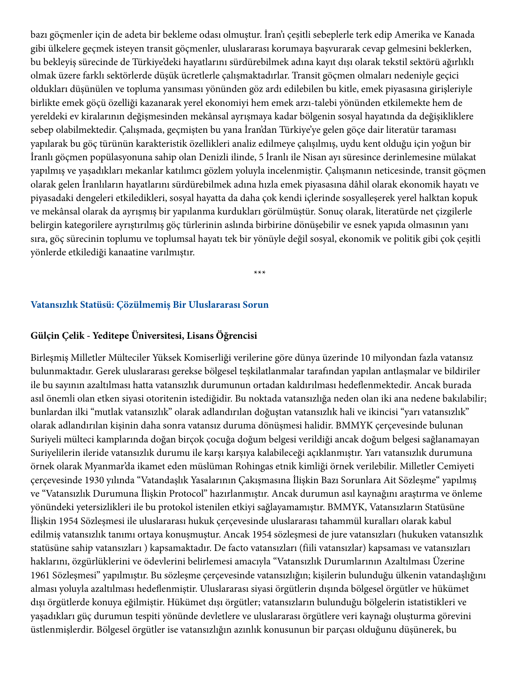bazı göçmenler için de adeta bir bekleme odası olmuştur. İran'ı çeşitli sebeplerle terk edip Amerika ve Kanada gibi ülkelere geçmek isteyen transit göçmenler, uluslararası korumaya başvurarak cevap gelmesini beklerken, bu bekleyiş sürecinde de Türkiye'deki hayatlarını sürdürebilmek adına kayıt dışı olarak tekstil sektörü ağırlıklı olmak üzere farklı sektörlerde düşük ücretlerle çalışmaktadırlar. Transit göçmen olmaları nedeniyle geçici oldukları düşünülen ve topluma yansıması yönünden göz ardı edilebilen bu kitle, emek piyasasına girişleriyle birlikte emek göçü özelliği kazanarak yerel ekonomiyi hem emek arzı-talebi yönünden etkilemekte hem de yereldeki ev kiralarının değişmesinden mekânsal ayrışmaya kadar bölgenin sosyal hayatında da değişikliklere sebep olabilmektedir. Çalışmada, geçmişten bu yana İran'dan Türkiye'ye gelen göçe dair literatür taraması yapılarak bu göç türünün karakteristik özellikleri analiz edilmeye çalışılmış, uydu kent olduğu için yoğun bir İranlı göçmen popülasyonuna sahip olan Denizli ilinde, 5 İranlı ile Nisan ayı süresince derinlemesine mülakat yapılmış ve yaşadıkları mekanlar katılımcı gözlem yoluyla incelenmiştir. Çalışmanın neticesinde, transit göçmen olarak gelen İranlıların hayatlarını sürdürebilmek adına hızla emek piyasasına dâhil olarak ekonomik hayatı ve piyasadaki dengeleri etkiledikleri, sosyal hayatta da daha çok kendi içlerinde sosyalleşerek yerel halktan kopuk ve mekânsal olarak da ayrışmış bir yapılanma kurdukları görülmüştür. Sonuç olarak, literatürde net çizgilerle belirgin kategorilere ayrıştırılmış göç türlerinin aslında birbirine dönüşebilir ve esnek yapıda olmasının yanı sıra, göç sürecinin toplumu ve toplumsal hayatı tek bir yönüyle değil sosyal, ekonomik ve politik gibi çok çeşitli yönlerde etkilediği kanaatine varılmıştır.

\*\*\*

#### **Vatansızlık Statüsü: Çözülmemiş Bir Uluslararası Sorun**

#### **Gülçin Çelik - Yeditepe Üniversitesi, Lisans Öğrencisi**

Birleşmiş Milletler Mülteciler Yüksek Komiserliği verilerine göre dünya üzerinde 10 milyondan fazla vatansız bulunmaktadır. Gerek uluslararası gerekse bölgesel teşkilatlanmalar tarafından yapılan antlaşmalar ve bildiriler ile bu sayının azaltılması hatta vatansızlık durumunun ortadan kaldırılması hedeflenmektedir. Ancak burada asıl önemli olan etken siyasi otoritenin istediğidir. Bu noktada vatansızlığa neden olan iki ana nedene bakılabilir; bunlardan ilki "mutlak vatansızlık" olarak adlandırılan doğuştan vatansızlık hali ve ikincisi "yarı vatansızlık" olarak adlandırılan kişinin daha sonra vatansız duruma dönüşmesi halidir. BMMYK çerçevesinde bulunan Suriyeli mülteci kamplarında doğan birçok çocuğa doğum belgesi verildiği ancak doğum belgesi sağlanamayan Suriyelilerin ileride vatansızlık durumu ile karşı karşıya kalabileceği açıklanmıştır. Yarı vatansızlık durumuna örnek olarak Myanmar'da ikamet eden müslüman Rohingas etnik kimliği örnek verilebilir. Milletler Cemiyeti çerçevesinde 1930 yılında "Vatandaşlık Yasalarının Çakışmasına İlişkin Bazı Sorunlara Ait Sözleşme" yapılmış ve "Vatansızlık Durumuna İlişkin Protocol" hazırlanmıştır. Ancak durumun asıl kaynağını araştırma ve önleme yönündeki yetersizlikleri ile bu protokol istenilen etkiyi sağlayamamıştır. BMMYK, Vatansızların Statüsüne İlişkin 1954 Sözleşmesi ile uluslararası hukuk çerçevesinde uluslararası tahammül kuralları olarak kabul edilmiş vatansızlık tanımı ortaya konuşmuştur. Ancak 1954 sözleşmesi de jure vatansızları (hukuken vatansızlık statüsüne sahip vatansızları ) kapsamaktadır. De facto vatansızları (fiili vatansızlar) kapsaması ve vatansızları haklarını, özgürlüklerini ve ödevlerini belirlemesi amacıyla "Vatansızlık Durumlarının Azaltılması Üzerine 1961 Sözleşmesi" yapılmıştır. Bu sözleşme çerçevesinde vatansızlığın; kişilerin bulunduğu ülkenin vatandaşlığını alması yoluyla azaltılması hedeflenmiştir. Uluslararası siyasi örgütlerin dışında bölgesel örgütler ve hükümet dışı örgütlerde konuya eğilmiştir. Hükümet dışı örgütler; vatansızların bulunduğu bölgelerin istatistikleri ve yaşadıkları güç durumun tespiti yönünde devletlere ve uluslararası örgütlere veri kaynağı oluşturma görevini üstlenmişlerdir. Bölgesel örgütler ise vatansızlığın azınlık konusunun bir parçası olduğunu düşünerek, bu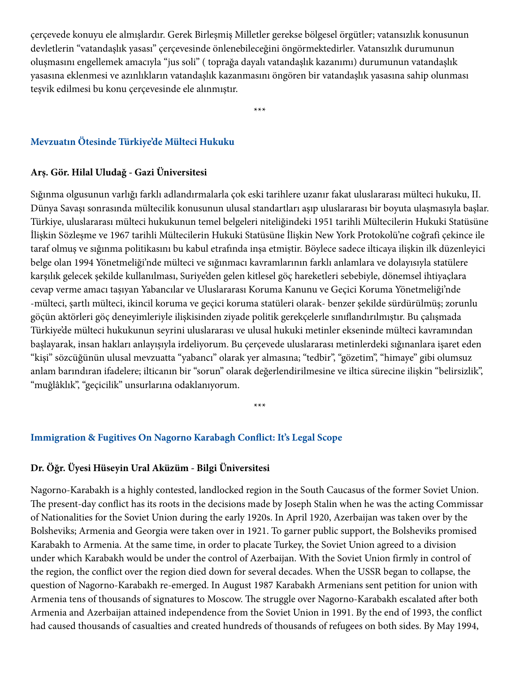çerçevede konuyu ele almışlardır. Gerek Birleşmiş Milletler gerekse bölgesel örgütler; vatansızlık konusunun devletlerin "vatandaşlık yasası" çerçevesinde önlenebileceğini öngörmektedirler. Vatansızlık durumunun oluşmasını engellemek amacıyla "jus soli" ( toprağa dayalı vatandaşlık kazanımı) durumunun vatandaşlık yasasına eklenmesi ve azınlıkların vatandaşlık kazanmasını öngören bir vatandaşlık yasasına sahip olunması teşvik edilmesi bu konu çerçevesinde ele alınmıştır.

\*\*\*

#### **Mevzuatın Ötesinde Türkiye'de Mülteci Hukuku**

#### **Arş. Gör. Hilal Uludağ - Gazi Üniversitesi**

Sığınma olgusunun varlığı farklı adlandırmalarla çok eski tarihlere uzanır fakat uluslararası mülteci hukuku, II. Dünya Savaşı sonrasında mültecilik konusunun ulusal standartları aşıp uluslararası bir boyuta ulaşmasıyla başlar. Türkiye, uluslararası mülteci hukukunun temel belgeleri niteliğindeki 1951 tarihli Mültecilerin Hukuki Statüsüne İlişkin Sözleşme ve 1967 tarihli Mültecilerin Hukuki Statüsüne İlişkin New York Protokolü'ne coğrafi çekince ile taraf olmuş ve sığınma politikasını bu kabul etrafında inşa etmiştir. Böylece sadece ilticaya ilişkin ilk düzenleyici belge olan 1994 Yönetmeliği'nde mülteci ve sığınmacı kavramlarının farklı anlamlara ve dolayısıyla statülere karşılık gelecek şekilde kullanılması, Suriye'den gelen kitlesel göç hareketleri sebebiyle, dönemsel ihtiyaçlara cevap verme amacı taşıyan Yabancılar ve Uluslararası Koruma Kanunu ve Geçici Koruma Yönetmeliği'nde -mülteci, şartlı mülteci, ikincil koruma ve geçici koruma statüleri olarak- benzer şekilde sürdürülmüş; zorunlu göçün aktörleri göç deneyimleriyle ilişkisinden ziyade politik gerekçelerle sınıflandırılmıştır. Bu çalışmada Türkiye'de mülteci hukukunun seyrini uluslararası ve ulusal hukuki metinler ekseninde mülteci kavramından başlayarak, insan hakları anlayışıyla irdeliyorum. Bu çerçevede uluslararası metinlerdeki sığınanlara işaret eden "kişi" sözcüğünün ulusal mevzuatta "yabancı" olarak yer almasına; "tedbir", "gözetim", "himaye" gibi olumsuz anlam barındıran ifadelere; ilticanın bir "sorun" olarak değerlendirilmesine ve iltica sürecine ilişkin "belirsizlik", "muğlâklık", "geçicilik" unsurlarına odaklanıyorum.

\*\*\*

## **Immigration & Fugitives On Nagorno Karabagh Conflict: It's Legal Scope**

#### **Dr. Öğr. Üyesi Hüseyin Ural Aküzüm - Bilgi Üniversitesi**

Nagorno-Karabakh is a highly contested, landlocked region in the South Caucasus of the former Soviet Union. The present-day conflict has its roots in the decisions made by Joseph Stalin when he was the acting Commissar of Nationalities for the Soviet Union during the early 1920s. In April 1920, Azerbaijan was taken over by the Bolsheviks; Armenia and Georgia were taken over in 1921. To garner public support, the Bolsheviks promised Karabakh to Armenia. At the same time, in order to placate Turkey, the Soviet Union agreed to a division under which Karabakh would be under the control of Azerbaijan. With the Soviet Union firmly in control of the region, the conflict over the region died down for several decades. When the USSR began to collapse, the question of Nagorno-Karabakh re-emerged. In August 1987 Karabakh Armenians sent petition for union with Armenia tens of thousands of signatures to Moscow. The struggle over Nagorno-Karabakh escalated after both Armenia and Azerbaijan attained independence from the Soviet Union in 1991. By the end of 1993, the conflict had caused thousands of casualties and created hundreds of thousands of refugees on both sides. By May 1994,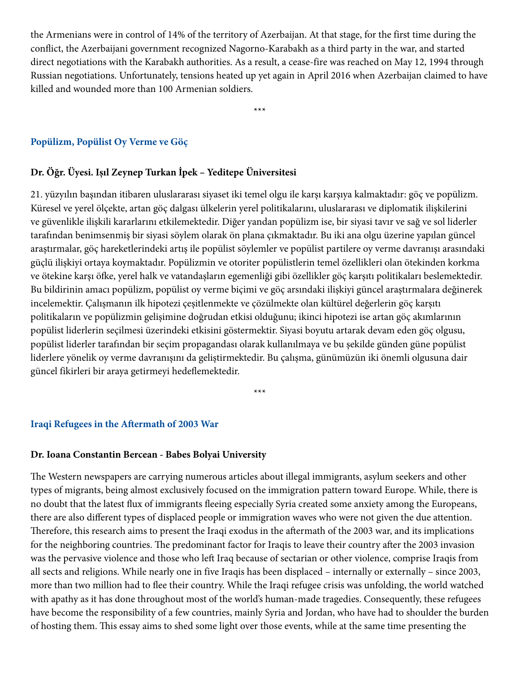the Armenians were in control of 14% of the territory of Azerbaijan. At that stage, for the first time during the conflict, the Azerbaijani government recognized Nagorno-Karabakh as a third party in the war, and started direct negotiations with the Karabakh authorities. As a result, a cease-fire was reached on May 12, 1994 through Russian negotiations. Unfortunately, tensions heated up yet again in April 2016 when Azerbaijan claimed to have killed and wounded more than 100 Armenian soldiers.

\*\*\*

#### **Popülizm, Popülist Oy Verme ve Göç**

## **Dr. Öğr. Üyesi. Işıl Zeynep Turkan İpek – Yeditepe Üniversitesi**

21. yüzyılın başından itibaren uluslararası siyaset iki temel olgu ile karşı karşıya kalmaktadır: göç ve popülizm. Küresel ve yerel ölçekte, artan göç dalgası ülkelerin yerel politikalarını, uluslararası ve diplomatik ilişkilerini ve güvenlikle ilişkili kararlarını etkilemektedir. Diğer yandan popülizm ise, bir siyasi tavır ve sağ ve sol liderler tarafından benimsenmiş bir siyasi söylem olarak ön plana çıkmaktadır. Bu iki ana olgu üzerine yapılan güncel araştırmalar, göç hareketlerindeki artış ile popülist söylemler ve popülist partilere oy verme davranışı arasındaki güçlü ilişkiyi ortaya koymaktadır. Popülizmin ve otoriter popülistlerin temel özellikleri olan ötekinden korkma ve ötekine karşı öfke, yerel halk ve vatandaşların egemenliği gibi özellikler göç karşıtı politikaları beslemektedir. Bu bildirinin amacı popülizm, popülist oy verme biçimi ve göç arsındaki ilişkiyi güncel araştırmalara değinerek incelemektir. Çalışmanın ilk hipotezi çeşitlenmekte ve çözülmekte olan kültürel değerlerin göç karşıtı politikaların ve popülizmin gelişimine doğrudan etkisi olduğunu; ikinci hipotezi ise artan göç akımlarının popülist liderlerin seçilmesi üzerindeki etkisini göstermektir. Siyasi boyutu artarak devam eden göç olgusu, popülist liderler tarafından bir seçim propagandası olarak kullanılmaya ve bu şekilde günden güne popülist liderlere yönelik oy verme davranışını da geliştirmektedir. Bu çalışma, günümüzün iki önemli olgusuna dair güncel fikirleri bir araya getirmeyi hedeflemektedir.

\*\*\*

#### **Iraqi Refugees in the Aftermath of 2003 War**

#### **Dr. Ioana Constantin Bercean - Babes Bolyai University**

The Western newspapers are carrying numerous articles about illegal immigrants, asylum seekers and other types of migrants, being almost exclusively focused on the immigration pattern toward Europe. While, there is no doubt that the latest flux of immigrants fleeing especially Syria created some anxiety among the Europeans, there are also different types of displaced people or immigration waves who were not given the due attention. Therefore, this research aims to present the Iraqi exodus in the aftermath of the 2003 war, and its implications for the neighboring countries. The predominant factor for Iraqis to leave their country after the 2003 invasion was the pervasive violence and those who left Iraq because of sectarian or other violence, comprise Iraqis from all sects and religions. While nearly one in five Iraqis has been displaced – internally or externally – since 2003, more than two million had to flee their country. While the Iraqi refugee crisis was unfolding, the world watched with apathy as it has done throughout most of the world's human-made tragedies. Consequently, these refugees have become the responsibility of a few countries, mainly Syria and Jordan, who have had to shoulder the burden of hosting them. This essay aims to shed some light over those events, while at the same time presenting the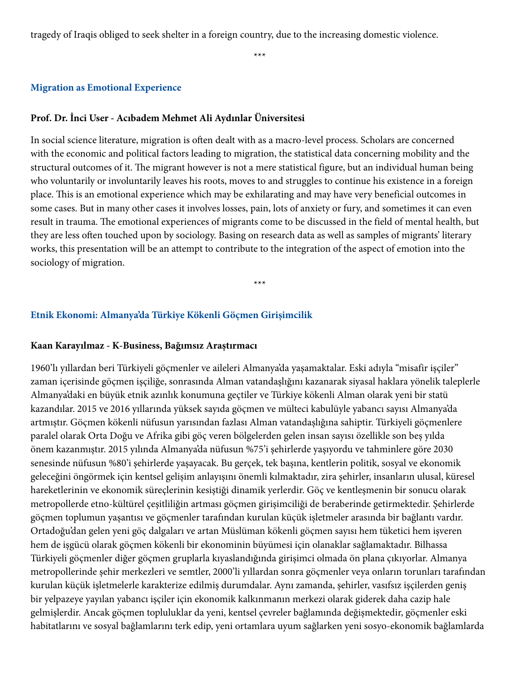tragedy of Iraqis obliged to seek shelter in a foreign country, due to the increasing domestic violence.

\*\*\*

#### **Migration as Emotional Experience**

#### **Prof. Dr. İnci User - Acıbadem Mehmet Ali Aydınlar Üniversitesi**

In social science literature, migration is often dealt with as a macro-level process. Scholars are concerned with the economic and political factors leading to migration, the statistical data concerning mobility and the structural outcomes of it. The migrant however is not a mere statistical figure, but an individual human being who voluntarily or involuntarily leaves his roots, moves to and struggles to continue his existence in a foreign place. This is an emotional experience which may be exhilarating and may have very beneficial outcomes in some cases. But in many other cases it involves losses, pain, lots of anxiety or fury, and sometimes it can even result in trauma. The emotional experiences of migrants come to be discussed in the field of mental health, but they are less often touched upon by sociology. Basing on research data as well as samples of migrants' literary works, this presentation will be an attempt to contribute to the integration of the aspect of emotion into the sociology of migration.

\*\*\*

#### **Etnik Ekonomi: Almanya'da Türkiye Kökenli Göçmen Girişimcilik**

#### **Kaan Karayılmaz - K-Business, Bağımsız Araştırmacı**

1960'lı yıllardan beri Türkiyeli göçmenler ve aileleri Almanya'da yaşamaktalar. Eski adıyla "misafir işçiler" zaman içerisinde göçmen işçiliğe, sonrasında Alman vatandaşlığını kazanarak siyasal haklara yönelik taleplerle Almanya'daki en büyük etnik azınlık konumuna geçtiler ve Türkiye kökenli Alman olarak yeni bir statü kazandılar. 2015 ve 2016 yıllarında yüksek sayıda göçmen ve mülteci kabulüyle yabancı sayısı Almanya'da artmıştır. Göçmen kökenli nüfusun yarısından fazlası Alman vatandaşlığına sahiptir. Türkiyeli göçmenlere paralel olarak Orta Doğu ve Afrika gibi göç veren bölgelerden gelen insan sayısı özellikle son beş yılda önem kazanmıştır. 2015 yılında Almanya'da nüfusun %75'i şehirlerde yaşıyordu ve tahminlere göre 2030 senesinde nüfusun %80'i şehirlerde yaşayacak. Bu gerçek, tek başına, kentlerin politik, sosyal ve ekonomik geleceğini öngörmek için kentsel gelişim anlayışını önemli kılmaktadır, zira şehirler, insanların ulusal, küresel hareketlerinin ve ekonomik süreçlerinin kesiştiği dinamik yerlerdir. Göç ve kentleşmenin bir sonucu olarak metropollerde etno-kültürel çeşitliliğin artması göçmen girişimciliği de beraberinde getirmektedir. Şehirlerde göçmen toplumun yaşantısı ve göçmenler tarafından kurulan küçük işletmeler arasında bir bağlantı vardır. Ortadoğu'dan gelen yeni göç dalgaları ve artan Müslüman kökenli göçmen sayısı hem tüketici hem işveren hem de işgücü olarak göçmen kökenli bir ekonominin büyümesi için olanaklar sağlamaktadır. Bilhassa Türkiyeli göçmenler diğer göçmen gruplarla kıyaslandığında girişimci olmada ön plana çıkıyorlar. Almanya metropollerinde şehir merkezleri ve semtler, 2000'li yıllardan sonra göçmenler veya onların torunları tarafından kurulan küçük işletmelerle karakterize edilmiş durumdalar. Aynı zamanda, şehirler, vasıfsız işçilerden geniş bir yelpazeye yayılan yabancı işçiler için ekonomik kalkınmanın merkezi olarak giderek daha cazip hale gelmişlerdir. Ancak göçmen topluluklar da yeni, kentsel çevreler bağlamında değişmektedir, göçmenler eski habitatlarını ve sosyal bağlamlarını terk edip, yeni ortamlara uyum sağlarken yeni sosyo-ekonomik bağlamlarda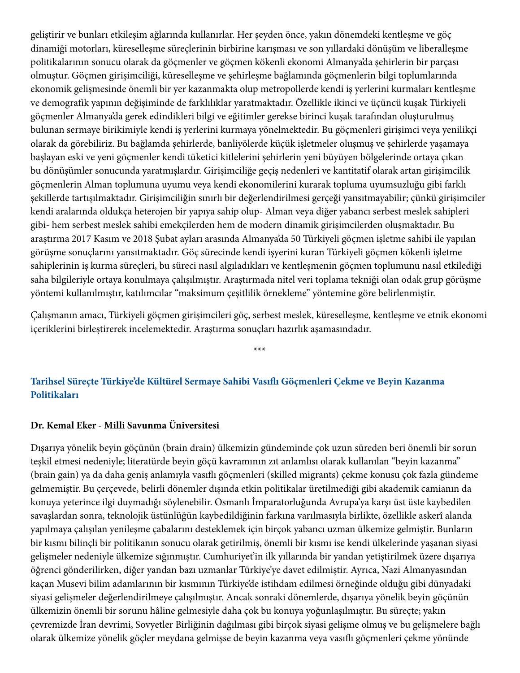geliştirir ve bunları etkileşim ağlarında kullanırlar. Her şeyden önce, yakın dönemdeki kentleşme ve göç dinamiği motorları, küreselleşme süreçlerinin birbirine karışması ve son yıllardaki dönüşüm ve liberalleşme politikalarının sonucu olarak da göçmenler ve göçmen kökenli ekonomi Almanya'da şehirlerin bir parçası olmuştur. Göçmen girişimciliği, küreselleşme ve şehirleşme bağlamında göçmenlerin bilgi toplumlarında ekonomik gelişmesinde önemli bir yer kazanmakta olup metropollerde kendi iş yerlerini kurmaları kentleşme ve demografik yapının değişiminde de farklılıklar yaratmaktadır. Özellikle ikinci ve üçüncü kuşak Türkiyeli göçmenler Almanya'da gerek edindikleri bilgi ve eğitimler gerekse birinci kuşak tarafından oluşturulmuş bulunan sermaye birikimiyle kendi iş yerlerini kurmaya yönelmektedir. Bu göçmenleri girişimci veya yenilikçi olarak da görebiliriz. Bu bağlamda şehirlerde, banliyölerde küçük işletmeler oluşmuş ve şehirlerde yaşamaya başlayan eski ve yeni göçmenler kendi tüketici kitlelerini şehirlerin yeni büyüyen bölgelerinde ortaya çıkan bu dönüşümler sonucunda yaratmışlardır. Girişimciliğe geçiş nedenleri ve kantitatif olarak artan girişimcilik göçmenlerin Alman toplumuna uyumu veya kendi ekonomilerini kurarak topluma uyumsuzluğu gibi farklı şekillerde tartışılmaktadır. Girişimciliğin sınırlı bir değerlendirilmesi gerçeği yansıtmayabilir; çünkü girişimciler kendi aralarında oldukça heterojen bir yapıya sahip olup- Alman veya diğer yabancı serbest meslek sahipleri gibi- hem serbest meslek sahibi emekçilerden hem de modern dinamik girişimcilerden oluşmaktadır. Bu araştırma 2017 Kasım ve 2018 Şubat ayları arasında Almanya'da 50 Türkiyeli göçmen işletme sahibi ile yapılan görüşme sonuçlarını yansıtmaktadır. Göç sürecinde kendi işyerini kuran Türkiyeli göçmen kökenli işletme sahiplerinin iş kurma süreçleri, bu süreci nasıl algıladıkları ve kentleşmenin göçmen toplumunu nasıl etkilediği saha bilgileriyle ortaya konulmaya çalışılmıştır. Araştırmada nitel veri toplama tekniği olan odak grup görüşme yöntemi kullanılmıştır, katılımcılar "maksimum çeşitlilik örnekleme" yöntemine göre belirlenmiştir.

Çalışmanın amacı, Türkiyeli göçmen girişimcileri göç, serbest meslek, küreselleşme, kentleşme ve etnik ekonomi içeriklerini birleştirerek incelemektedir. Araştırma sonuçları hazırlık aşamasındadır.

\*\*\*

## **Tarihsel Süreçte Türkiye'de Kültürel Sermaye Sahibi Vasıflı Göçmenleri Çekme ve Beyin Kazanma Politikaları**

#### **Dr. Kemal Eker - Milli Savunma Üniversitesi**

Dışarıya yönelik beyin göçünün (brain drain) ülkemizin gündeminde çok uzun süreden beri önemli bir sorun teşkil etmesi nedeniyle; literatürde beyin göçü kavramının zıt anlamlısı olarak kullanılan "beyin kazanma" (brain gain) ya da daha geniş anlamıyla vasıflı göçmenleri (skilled migrants) çekme konusu çok fazla gündeme gelmemiştir. Bu çerçevede, belirli dönemler dışında etkin politikalar üretilmediği gibi akademik camianın da konuya yeterince ilgi duymadığı söylenebilir. Osmanlı İmparatorluğunda Avrupa'ya karşı üst üste kaybedilen savaşlardan sonra, teknolojik üstünlüğün kaybedildiğinin farkına varılmasıyla birlikte, özellikle askerî alanda yapılmaya çalışılan yenileşme çabalarını desteklemek için birçok yabancı uzman ülkemize gelmiştir. Bunların bir kısmı bilinçli bir politikanın sonucu olarak getirilmiş, önemli bir kısmı ise kendi ülkelerinde yaşanan siyasi gelişmeler nedeniyle ülkemize sığınmıştır. Cumhuriyet'in ilk yıllarında bir yandan yetiştirilmek üzere dışarıya öğrenci gönderilirken, diğer yandan bazı uzmanlar Türkiye'ye davet edilmiştir. Ayrıca, Nazi Almanyasından kaçan Musevi bilim adamlarının bir kısmının Türkiye'de istihdam edilmesi örneğinde olduğu gibi dünyadaki siyasi gelişmeler değerlendirilmeye çalışılmıştır. Ancak sonraki dönemlerde, dışarıya yönelik beyin göçünün ülkemizin önemli bir sorunu hâline gelmesiyle daha çok bu konuya yoğunlaşılmıştır. Bu süreçte; yakın çevremizde İran devrimi, Sovyetler Birliğinin dağılması gibi birçok siyasi gelişme olmuş ve bu gelişmelere bağlı olarak ülkemize yönelik göçler meydana gelmişse de beyin kazanma veya vasıflı göçmenleri çekme yönünde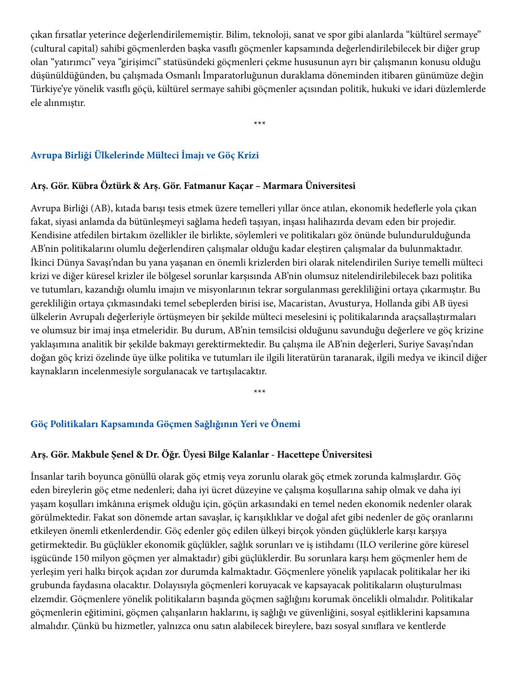çıkan fırsatlar yeterince değerlendirilememiştir. Bilim, teknoloji, sanat ve spor gibi alanlarda "kültürel sermaye" (cultural capital) sahibi göçmenlerden başka vasıflı göçmenler kapsamında değerlendirilebilecek bir diğer grup olan "yatırımcı" veya "girişimci" statüsündeki göçmenleri çekme hususunun ayrı bir çalışmanın konusu olduğu düşünüldüğünden, bu çalışmada Osmanlı İmparatorluğunun duraklama döneminden itibaren günümüze değin Türkiye'ye yönelik vasıflı göçü, kültürel sermaye sahibi göçmenler açısından politik, hukuki ve idari düzlemlerde ele alınmıştır.

\*\*\*

#### **Avrupa Birliği Ülkelerinde Mülteci İmajı ve Göç Krizi**

#### **Arş. Gör. Kübra Öztürk & Arş. Gör. Fatmanur Kaçar – Marmara Üniversitesi**

Avrupa Birliği (AB), kıtada barışı tesis etmek üzere temelleri yıllar önce atılan, ekonomik hedeflerle yola çıkan fakat, siyasi anlamda da bütünleşmeyi sağlama hedefi taşıyan, inşası halihazırda devam eden bir projedir. Kendisine atfedilen birtakım özellikler ile birlikte, söylemleri ve politikaları göz önünde bulundurulduğunda AB'nin politikalarını olumlu değerlendiren çalışmalar olduğu kadar eleştiren çalışmalar da bulunmaktadır. İkinci Dünya Savaşı'ndan bu yana yaşanan en önemli krizlerden biri olarak nitelendirilen Suriye temelli mülteci krizi ve diğer küresel krizler ile bölgesel sorunlar karşısında AB'nin olumsuz nitelendirilebilecek bazı politika ve tutumları, kazandığı olumlu imajın ve misyonlarının tekrar sorgulanması gerekliliğini ortaya çıkarmıştır. Bu gerekliliğin ortaya çıkmasındaki temel sebeplerden birisi ise, Macaristan, Avusturya, Hollanda gibi AB üyesi ülkelerin Avrupalı değerleriyle örtüşmeyen bir şekilde mülteci meselesini iç politikalarında araçsallaştırmaları ve olumsuz bir imaj inşa etmeleridir. Bu durum, AB'nin temsilcisi olduğunu savunduğu değerlere ve göç krizine yaklaşımına analitik bir şekilde bakmayı gerektirmektedir. Bu çalışma ile AB'nin değerleri, Suriye Savaşı'ndan doğan göç krizi özelinde üye ülke politika ve tutumları ile ilgili literatürün taranarak, ilgili medya ve ikincil diğer kaynakların incelenmesiyle sorgulanacak ve tartışılacaktır.

\*\*\*

#### **Göç Politikaları Kapsamında Göçmen Sağlığının Yeri ve Önemi**

#### **Arş. Gör. Makbule Şenel & Dr. Öğr. Üyesi Bilge Kalanlar - Hacettepe Üniversitesi**

İnsanlar tarih boyunca gönüllü olarak göç etmiş veya zorunlu olarak göç etmek zorunda kalmışlardır. Göç eden bireylerin göç etme nedenleri; daha iyi ücret düzeyine ve çalışma koşullarına sahip olmak ve daha iyi yaşam koşulları imkânına erişmek olduğu için, göçün arkasındaki en temel neden ekonomik nedenler olarak görülmektedir. Fakat son dönemde artan savaşlar, iç karışıklıklar ve doğal afet gibi nedenler de göç oranlarını etkileyen önemli etkenlerdendir. Göç edenler göç edilen ülkeyi birçok yönden güçlüklerle karşı karşıya getirmektedir. Bu güçlükler ekonomik güçlükler, sağlık sorunları ve iş istihdamı (ILO verilerine göre küresel işgücünde 150 milyon göçmen yer almaktadır) gibi güçlüklerdir. Bu sorunlara karşı hem göçmenler hem de yerleşim yeri halkı birçok açıdan zor durumda kalmaktadır. Göçmenlere yönelik yapılacak politikalar her iki grubunda faydasına olacaktır. Dolayısıyla göçmenleri koruyacak ve kapsayacak politikaların oluşturulması elzemdir. Göçmenlere yönelik politikaların başında göçmen sağlığını korumak öncelikli olmalıdır. Politikalar göçmenlerin eğitimini, göçmen çalışanların haklarını, iş sağlığı ve güvenliğini, sosyal eşitliklerini kapsamına almalıdır. Çünkü bu hizmetler, yalnızca onu satın alabilecek bireylere, bazı sosyal sınıflara ve kentlerde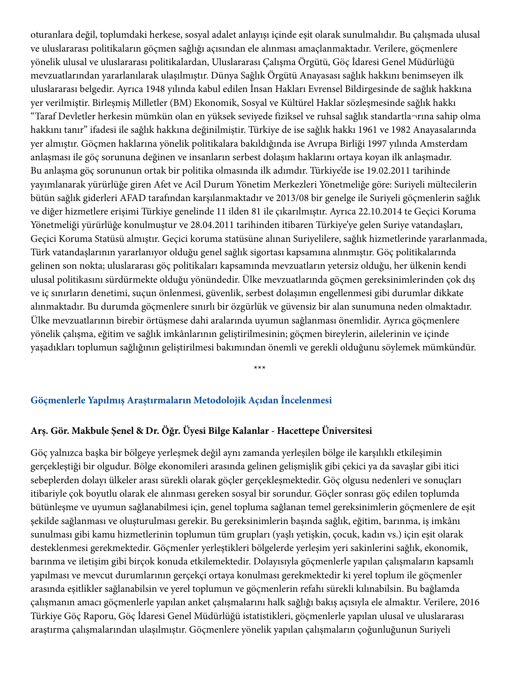oturanlara değil, toplumdaki herkese, sosyal adalet anlayışı içinde eşit olarak sunulmalıdır. Bu çalışmada ulusal ve uluslararası politikaların göçmen sağlığı açısından ele alınması amaçlanmaktadır. Verilere, göçmenlere yönelik ulusal ve uluslararası politikalardan, Uluslararası Çalışma Örgütü, Göç İdaresi Genel Müdürlüğü mevzuatlarından yararlanılarak ulaşılmıştır. Dünya Sağlık Örgütü Anayasası sağlık hakkını benimseyen ilk uluslararası belgedir. Ayrıca 1948 yılında kabul edilen İnsan Hakları Evrensel Bildirgesinde de sağlık hakkına yer verilmiştir. Birleşmiş Milletler (BM) Ekonomik, Sosyal ve Kültürel Haklar sözleşmesinde sağlık hakkı "Taraf Devletler herkesin mümkün olan en yüksek seviyede fiziksel ve ruhsal sağlık standartla¬rına sahip olma hakkını tanır" ifadesi ile sağlık hakkına değinilmiştir. Türkiye de ise sağlık hakkı 1961 ve 1982 Anayasalarında yer almıştır. Göçmen haklarına yönelik politikalara bakıldığında ise Avrupa Birliği 1997 yılında Amsterdam anlaşması ile göç sorununa değinen ve insanların serbest dolaşım haklarını ortaya koyan ilk anlaşmadır. Bu anlaşma göç sorununun ortak bir politika olmasında ilk adımdır. Türkiye'de ise 19.02.2011 tarihinde yayımlanarak yürürlüğe giren Afet ve Acil Durum Yönetim Merkezleri Yönetmeliğe göre: Suriyeli mültecilerin bütün sağlık giderleri AFAD tarafından karşılanmaktadır ve 2013/08 bir genelge ile Suriyeli göçmenlerin sağlık ve diğer hizmetlere erişimi Türkiye genelinde 11 ilden 81 ile çıkarılmıştır. Ayrıca 22.10.2014 te Geçici Koruma Yönetmeliği yürürlüğe konulmuştur ve 28.04.2011 tarihinden itibaren Türkiye'ye gelen Suriye vatandaşları, Geçici Koruma Statüsü almıştır. Geçici koruma statüsüne alınan Suriyelilere, sağlık hizmetlerinde yararlanmada, Türk vatandaşlarının yararlanıyor olduğu genel sağlık sigortası kapsamına alınmıştır. Göç politikalarında gelinen son nokta; uluslararası göç politikaları kapsamında mevzuatların yetersiz olduğu, her ülkenin kendi ulusal politikasını sürdürmekte olduğu yönündedir. Ülke mevzuatlarında göçmen gereksinimlerinden çok dış ve iç sınırların denetimi, suçun önlenmesi, güvenlik, serbest dolaşımın engellenmesi gibi durumlar dikkate alınmaktadır. Bu durumda göçmenlere sınırlı bir özgürlük ve güvensiz bir alan sunumuna neden olmaktadır. Ülke mevzuatlarının birebir örtüşmese dahi aralarında uyumun sağlanması önemlidir. Ayrıca göçmenlere yönelik çalışma, eğitim ve sağlık imkânlarının geliştirilmesinin; göçmen bireylerin, ailelerinin ve içinde yaşadıkları toplumun sağlığının geliştirilmesi bakımından önemli ve gerekli olduğunu söylemek mümkündür.

\*\*\*

#### **Göçmenlerle Yapılmış Araştırmaların Metodolojik Açıdan İncelenmesi**

## **Arş. Gör. Makbule Şenel & Dr. Öğr. Üyesi Bilge Kalanlar - Hacettepe Üniversitesi**

Göç yalnızca başka bir bölgeye yerleşmek değil aynı zamanda yerleşilen bölge ile karşılıklı etkileşimin gerçekleştiği bir olgudur. Bölge ekonomileri arasında gelinen gelişmişlik gibi çekici ya da savaşlar gibi itici sebeplerden dolayı ülkeler arası sürekli olarak göçler gerçekleşmektedir. Göç olgusu nedenleri ve sonuçları itibariyle çok boyutlu olarak ele alınması gereken sosyal bir sorundur. Göçler sonrası göç edilen toplumda bütünleşme ve uyumun sağlanabilmesi için, genel topluma sağlanan temel gereksinimlerin göçmenlere de eşit şekilde sağlanması ve oluşturulması gerekir. Bu gereksinimlerin başında sağlık, eğitim, barınma, iş imkânı sunulması gibi kamu hizmetlerinin toplumun tüm grupları (yaşlı yetişkin, çocuk, kadın vs.) için eşit olarak desteklenmesi gerekmektedir. Göçmenler yerleştikleri bölgelerde yerleşim yeri sakinlerini sağlık, ekonomik, barınma ve iletişim gibi birçok konuda etkilemektedir. Dolayısıyla göçmenlerle yapılan çalışmaların kapsamlı yapılması ve mevcut durumlarının gerçekçi ortaya konulması gerekmektedir ki yerel toplum ile göçmenler arasında eşitlikler sağlanabilsin ve yerel toplumun ve göçmenlerin refahı sürekli kılınabilsin. Bu bağlamda çalışmanın amacı göçmenlerle yapılan anket çalışmalarını halk sağlığı bakış açısıyla ele almaktır. Verilere, 2016 Türkiye Göç Raporu, Göç İdaresi Genel Müdürlüğü istatistikleri, göçmenlerle yapılan ulusal ve uluslararası araştırma çalışmalarından ulaşılmıştır. Göçmenlere yönelik yapılan çalışmaların çoğunluğunun Suriyeli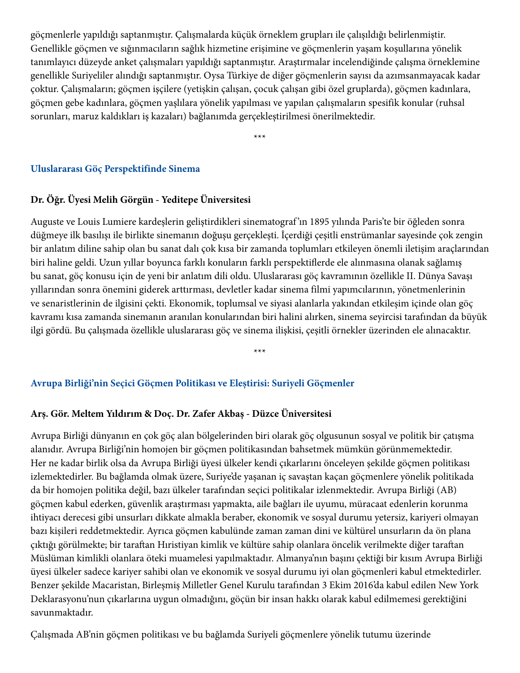göçmenlerle yapıldığı saptanmıştır. Çalışmalarda küçük örneklem grupları ile çalışıldığı belirlenmiştir. Genellikle göçmen ve sığınmacıların sağlık hizmetine erişimine ve göçmenlerin yaşam koşullarına yönelik tanımlayıcı düzeyde anket çalışmaları yapıldığı saptanmıştır. Araştırmalar incelendiğinde çalışma örneklemine genellikle Suriyeliler alındığı saptanmıştır. Oysa Türkiye de diğer göçmenlerin sayısı da azımsanmayacak kadar çoktur. Çalışmaların; göçmen işçilere (yetişkin çalışan, çocuk çalışan gibi özel gruplarda), göçmen kadınlara, göçmen gebe kadınlara, göçmen yaşlılara yönelik yapılması ve yapılan çalışmaların spesifik konular (ruhsal sorunları, maruz kaldıkları iş kazaları) bağlanımda gerçekleştirilmesi önerilmektedir.

\*\*\*

#### **Uluslararası Göç Perspektifinde Sinema**

#### **Dr. Öğr. Üyesi Melih Görgün - Yeditepe Üniversitesi**

Auguste ve Louis Lumiere kardeşlerin geliştirdikleri sinematograf 'ın 1895 yılında Paris'te bir öğleden sonra düğmeye ilk basılışı ile birlikte sinemanın doğuşu gerçekleşti. İçerdiği çeşitli enstrümanlar sayesinde çok zengin bir anlatım diline sahip olan bu sanat dalı çok kısa bir zamanda toplumları etkileyen önemli iletişim araçlarından biri haline geldi. Uzun yıllar boyunca farklı konuların farklı perspektiflerde ele alınmasına olanak sağlamış bu sanat, göç konusu için de yeni bir anlatım dili oldu. Uluslararası göç kavramının özellikle II. Dünya Savaşı yıllarından sonra önemini giderek arttırması, devletler kadar sinema filmi yapımcılarının, yönetmenlerinin ve senaristlerinin de ilgisini çekti. Ekonomik, toplumsal ve siyasi alanlarla yakından etkileşim içinde olan göç kavramı kısa zamanda sinemanın aranılan konularından biri halini alırken, sinema seyircisi tarafından da büyük ilgi gördü. Bu çalışmada özellikle uluslararası göç ve sinema ilişkisi, çeşitli örnekler üzerinden ele alınacaktır.

\*\*\*

#### **Avrupa Birliği'nin Seçici Göçmen Politikası ve Eleştirisi: Suriyeli Göçmenler**

#### **Arş. Gör. Meltem Yıldırım & Doç. Dr. Zafer Akbaş - Düzce Üniversitesi**

Avrupa Birliği dünyanın en çok göç alan bölgelerinden biri olarak göç olgusunun sosyal ve politik bir çatışma alanıdır. Avrupa Birliği'nin homojen bir göçmen politikasından bahsetmek mümkün görünmemektedir. Her ne kadar birlik olsa da Avrupa Birliği üyesi ülkeler kendi çıkarlarını önceleyen şekilde göçmen politikası izlemektedirler. Bu bağlamda olmak üzere, Suriye'de yaşanan iç savaştan kaçan göçmenlere yönelik politikada da bir homojen politika değil, bazı ülkeler tarafından seçici politikalar izlenmektedir. Avrupa Birliği (AB) göçmen kabul ederken, güvenlik araştırması yapmakta, aile bağları ile uyumu, müracaat edenlerin korunma ihtiyacı derecesi gibi unsurları dikkate almakla beraber, ekonomik ve sosyal durumu yetersiz, kariyeri olmayan bazı kişileri reddetmektedir. Ayrıca göçmen kabulünde zaman zaman dini ve kültürel unsurların da ön plana çıktığı görülmekte; bir taraftan Hıristiyan kimlik ve kültüre sahip olanlara öncelik verilmekte diğer taraftan Müslüman kimlikli olanlara öteki muamelesi yapılmaktadır. Almanya'nın başını çektiği bir kısım Avrupa Birliği üyesi ülkeler sadece kariyer sahibi olan ve ekonomik ve sosyal durumu iyi olan göçmenleri kabul etmektedirler. Benzer şekilde Macaristan, Birleşmiş Milletler Genel Kurulu tarafından 3 Ekim 2016'da kabul edilen New York Deklarasyonu'nun çıkarlarına uygun olmadığını, göçün bir insan hakkı olarak kabul edilmemesi gerektiğini savunmaktadır.

Çalışmada AB'nin göçmen politikası ve bu bağlamda Suriyeli göçmenlere yönelik tutumu üzerinde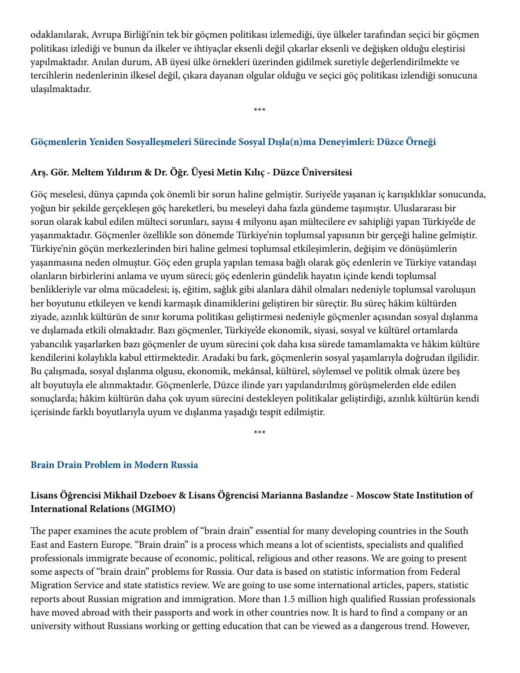odaklanılarak, Avrupa Birliği'nin tek bir göçmen politikası izlemediği, üye ülkeler tarafından seçici bir göçmen politikası izlediği ve bunun da ilkeler ve ihtiyaçlar eksenli değil çıkarlar eksenli ve değişken olduğu eleştirisi yapılmaktadır. Anılan durum, AB üyesi ülke örnekleri üzerinden gidilmek suretiyle değerlendirilmekte ve tercihlerin nedenlerinin ilkesel değil, çıkara dayanan olgular olduğu ve seçici göç politikası izlendiği sonucuna ulaşılmaktadır.

\*\*\*

#### **Göçmenlerin Yeniden Sosyalleşmeleri Sürecinde Sosyal Dışla(n)ma Deneyimleri: Düzce Örneği**

#### **Arş. Gör. Meltem Yıldırım & Dr. Öğr. Üyesi Metin Kılıç - Düzce Üniversitesi**

Göç meselesi, dünya çapında çok önemli bir sorun haline gelmiştir. Suriye'de yaşanan iç karışıklıklar sonucunda, yoğun bir şekilde gerçekleşen göç hareketleri, bu meseleyi daha fazla gündeme taşımıştır. Uluslararası bir sorun olarak kabul edilen mülteci sorunları, sayısı 4 milyonu aşan mültecilere ev sahipliği yapan Türkiye'de de yaşanmaktadır. Göçmenler özellikle son dönemde Türkiye'nin toplumsal yapısının bir gerçeği haline gelmiştir. Türkiye'nin göçün merkezlerinden biri haline gelmesi toplumsal etkileşimlerin, değişim ve dönüşümlerin yaşanmasına neden olmuştur. Göç eden grupla yapılan temasa bağlı olarak göç edenlerin ve Türkiye vatandaşı olanların birbirlerini anlama ve uyum süreci; göç edenlerin gündelik hayatın içinde kendi toplumsal benlikleriyle var olma mücadelesi; iş, eğitim, sağlık gibi alanlara dâhil olmaları nedeniyle toplumsal varoluşun her boyutunu etkileyen ve kendi karmaşık dinamiklerini geliştiren bir süreçtir. Bu süreç hâkim kültürden ziyade, azınlık kültürün de sınır koruma politikası geliştirmesi nedeniyle göçmenler açısından sosyal dışlanma ve dışlamada etkili olmaktadır. Bazı göçmenler, Türkiye'de ekonomik, siyasi, sosyal ve kültürel ortamlarda yabancılık yaşarlarken bazı göçmenler de uyum sürecini çok daha kısa sürede tamamlamakta ve hâkim kültüre kendilerini kolaylıkla kabul ettirmektedir. Aradaki bu fark, göçmenlerin sosyal yaşamlarıyla doğrudan ilgilidir. Bu çalışmada, sosyal dışlanma olgusu, ekonomik, mekânsal, kültürel, söylemsel ve politik olmak üzere beş alt boyutuyla ele alınmaktadır. Göçmenlerle, Düzce ilinde yarı yapılandırılmış görüşmelerden elde edilen sonuçlarda; hâkim kültürün daha çok uyum sürecini destekleyen politikalar geliştirdiği, azınlık kültürün kendi içerisinde farklı boyutlarıyla uyum ve dışlanma yaşadığı tespit edilmiştir.

#### **Brain Drain Problem in Modern Russia**

## **Lisans Öğrencisi Mikhail Dzeboev & Lisans Öğrencisi Marianna Baslandze - Moscow State Institution of International Relations (MGIMO)**

\*\*\*

The paper examines the acute problem of "brain drain" essential for many developing countries in the South East and Eastern Europe. "Brain drain" is a process which means a lot of scientists, specialists and qualified professionals immigrate because of economic, political, religious and other reasons. We are going to present some aspects of "brain drain" problems for Russia. Our data is based on statistic information from Federal Migration Service and state statistics review. We are going to use some international articles, papers, statistic reports about Russian migration and immigration. More than 1.5 million high qualified Russian professionals have moved abroad with their passports and work in other countries now. It is hard to find a company or an university without Russians working or getting education that can be viewed as a dangerous trend. However,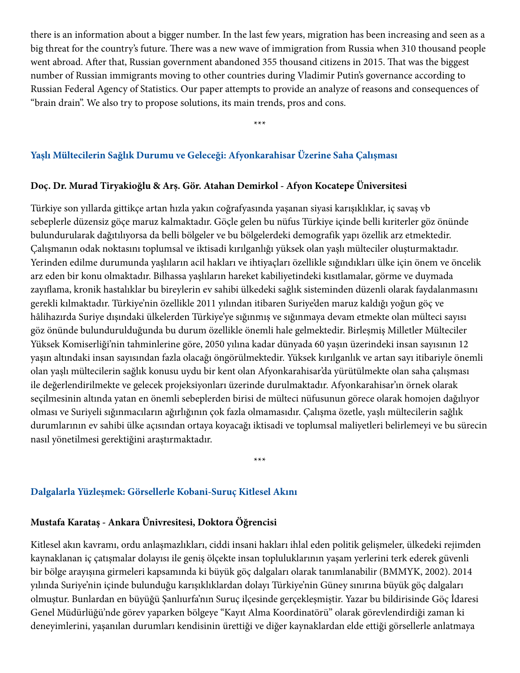there is an information about a bigger number. In the last few years, migration has been increasing and seen as a big threat for the country's future. There was a new wave of immigration from Russia when 310 thousand people went abroad. After that, Russian government abandoned 355 thousand citizens in 2015. That was the biggest number of Russian immigrants moving to other countries during Vladimir Putin's governance according to Russian Federal Agency of Statistics. Our paper attempts to provide an analyze of reasons and consequences of "brain drain". We also try to propose solutions, its main trends, pros and cons.

\*\*\*

#### **Yaşlı Mültecilerin Sağlık Durumu ve Geleceği: Afyonkarahisar Üzerine Saha Çalışması**

#### **Doç. Dr. Murad Tiryakioğlu & Arş. Gör. Atahan Demirkol - Afyon Kocatepe Üniversitesi**

Türkiye son yıllarda gittikçe artan hızla yakın coğrafyasında yaşanan siyasi karışıklıklar, iç savaş vb sebeplerle düzensiz göçe maruz kalmaktadır. Göçle gelen bu nüfus Türkiye içinde belli kıriterler göz önünde bulundurularak dağıtılıyorsa da belli bölgeler ve bu bölgelerdeki demografik yapı özellik arz etmektedir. Çalışmanın odak noktasını toplumsal ve iktisadi kırılganlığı yüksek olan yaşlı mülteciler oluşturmaktadır. Yerinden edilme durumunda yaşlıların acil hakları ve ihtiyaçları özellikle sığındıkları ülke için önem ve öncelik arz eden bir konu olmaktadır. Bilhassa yaşlıların hareket kabiliyetindeki kısıtlamalar, görme ve duymada zayıflama, kronik hastalıklar bu bireylerin ev sahibi ülkedeki sağlık sisteminden düzenli olarak faydalanmasını gerekli kılmaktadır. Türkiye'nin özellikle 2011 yılından itibaren Suriye'den maruz kaldığı yoğun göç ve hâlihazırda Suriye dışındaki ülkelerden Türkiye'ye sığınmış ve sığınmaya devam etmekte olan mülteci sayısı göz önünde bulundurulduğunda bu durum özellikle önemli hale gelmektedir. Birleşmiş Milletler Mülteciler Yüksek Komiserliği'nin tahminlerine göre, 2050 yılına kadar dünyada 60 yaşın üzerindeki insan sayısının 12 yaşın altındaki insan sayısından fazla olacağı öngörülmektedir. Yüksek kırılganlık ve artan sayı itibariyle önemli olan yaşlı mültecilerin sağlık konusu uydu bir kent olan Afyonkarahisar'da yürütülmekte olan saha çalışması ile değerlendirilmekte ve gelecek projeksiyonları üzerinde durulmaktadır. Afyonkarahisar'ın örnek olarak seçilmesinin altında yatan en önemli sebeplerden birisi de mülteci nüfusunun görece olarak homojen dağılıyor olması ve Suriyeli sığınmacıların ağırlığının çok fazla olmamasıdır. Çalışma özetle, yaşlı mültecilerin sağlık durumlarının ev sahibi ülke açısından ortaya koyacağı iktisadi ve toplumsal maliyetleri belirlemeyi ve bu sürecin nasıl yönetilmesi gerektiğini araştırmaktadır.

\*\*\*

#### **Dalgalarla Yüzleşmek: Görsellerle Kobani-Suruç Kitlesel Akını**

## **Mustafa Karataş - Ankara Ünivresitesi, Doktora Öğrencisi**

Kitlesel akın kavramı, ordu anlaşmazlıkları, ciddi insani hakları ihlal eden politik gelişmeler, ülkedeki rejimden kaynaklanan iç çatışmalar dolayısı ile geniş ölçekte insan topluluklarının yaşam yerlerini terk ederek güvenli bir bölge arayışına girmeleri kapsamında ki büyük göç dalgaları olarak tanımlanabilir (BMMYK, 2002). 2014 yılında Suriye'nin içinde bulunduğu karışıklıklardan dolayı Türkiye'nin Güney sınırına büyük göç dalgaları olmuştur. Bunlardan en büyüğü Şanlıurfa'nın Suruç ilçesinde gerçekleşmiştir. Yazar bu bildirisinde Göç İdaresi Genel Müdürlüğü'nde görev yaparken bölgeye "Kayıt Alma Koordinatörü" olarak görevlendirdiği zaman ki deneyimlerini, yaşanılan durumları kendisinin ürettiği ve diğer kaynaklardan elde ettiği görsellerle anlatmaya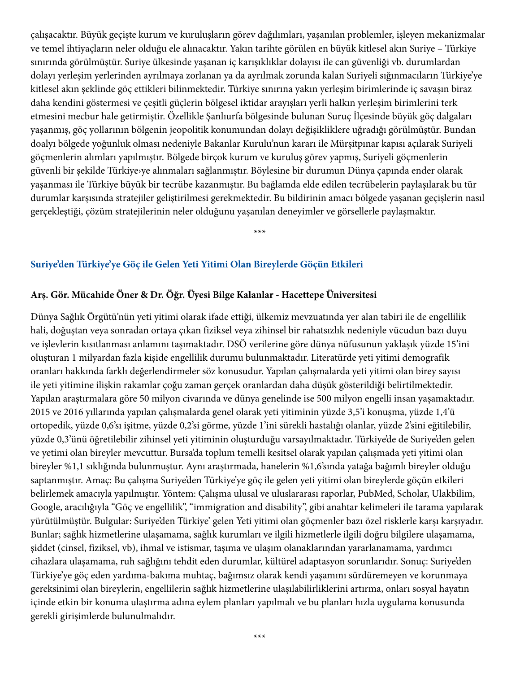çalışacaktır. Büyük geçişte kurum ve kuruluşların görev dağılımları, yaşanılan problemler, işleyen mekanizmalar ve temel ihtiyaçların neler olduğu ele alınacaktır. Yakın tarihte görülen en büyük kitlesel akın Suriye – Türkiye sınırında görülmüştür. Suriye ülkesinde yaşanan iç karışıklıklar dolayısı ile can güvenliği vb. durumlardan dolayı yerleşim yerlerinden ayrılmaya zorlanan ya da ayrılmak zorunda kalan Suriyeli sığınmacıların Türkiye'ye kitlesel akın şeklinde göç ettikleri bilinmektedir. Türkiye sınırına yakın yerleşim birimlerinde iç savaşın biraz daha kendini göstermesi ve çeşitli güçlerin bölgesel iktidar arayışları yerli halkın yerleşim birimlerini terk etmesini mecbur hale getirmiştir. Özellikle Şanlıurfa bölgesinde bulunan Suruç İlçesinde büyük göç dalgaları yaşanmış, göç yollarının bölgenin jeopolitik konumundan dolayı değişikliklere uğradığı görülmüştür. Bundan doalyı bölgede yoğunluk olması nedeniyle Bakanlar Kurulu'nun kararı ile Mürşitpınar kapısı açılarak Suriyeli göçmenlerin alımları yapılmıştır. Bölgede birçok kurum ve kuruluş görev yapmış, Suriyeli göçmenlerin güvenli bir şekilde Türkiye›ye alınmaları sağlanmıştır. Böylesine bir durumun Dünya çapında ender olarak yaşanması ile Türkiye büyük bir tecrübe kazanmıştır. Bu bağlamda elde edilen tecrübelerin paylaşılarak bu tür durumlar karşısında stratejiler geliştirilmesi gerekmektedir. Bu bildirinin amacı bölgede yaşanan geçişlerin nasıl gerçekleştiği, çözüm stratejilerinin neler olduğunu yaşanılan deneyimler ve görsellerle paylaşmaktır.

\*\*\*

#### **Suriye'den Türkiye'ye Göç ile Gelen Yeti Yitimi Olan Bireylerde Göçün Etkileri**

#### **Arş. Gör. Mücahide Öner & Dr. Öğr. Üyesi Bilge Kalanlar - Hacettepe Üniversitesi**

Dünya Sağlık Örgütü'nün yeti yitimi olarak ifade ettiği, ülkemiz mevzuatında yer alan tabiri ile de engellilik hali, doğuştan veya sonradan ortaya çıkan fiziksel veya zihinsel bir rahatsızlık nedeniyle vücudun bazı duyu ve işlevlerin kısıtlanması anlamını taşımaktadır. DSÖ verilerine göre dünya nüfusunun yaklaşık yüzde 15'ini oluşturan 1 milyardan fazla kişide engellilik durumu bulunmaktadır. Literatürde yeti yitimi demografik oranları hakkında farklı değerlendirmeler söz konusudur. Yapılan çalışmalarda yeti yitimi olan birey sayısı ile yeti yitimine ilişkin rakamlar çoğu zaman gerçek oranlardan daha düşük gösterildiği belirtilmektedir. Yapılan araştırmalara göre 50 milyon civarında ve dünya genelinde ise 500 milyon engelli insan yaşamaktadır. 2015 ve 2016 yıllarında yapılan çalışmalarda genel olarak yeti yitiminin yüzde 3,5'i konuşma, yüzde 1,4'ü ortopedik, yüzde 0,6'sı işitme, yüzde 0,2'si görme, yüzde 1'ini sürekli hastalığı olanlar, yüzde 2'sini eğitilebilir, yüzde 0,3'ünü öğretilebilir zihinsel yeti yitiminin oluşturduğu varsayılmaktadır. Türkiye'de de Suriye'den gelen ve yetimi olan bireyler mevcuttur. Bursa'da toplum temelli kesitsel olarak yapılan çalışmada yeti yitimi olan bireyler %1,1 sıklığında bulunmuştur. Aynı araştırmada, hanelerin %1,6'sında yatağa bağımlı bireyler olduğu saptanmıştır. Amaç: Bu çalışma Suriye'den Türkiye'ye göç ile gelen yeti yitimi olan bireylerde göçün etkileri belirlemek amacıyla yapılmıştır. Yöntem: Çalışma ulusal ve uluslararası raporlar, PubMed, Scholar, Ulakbilim, Google, aracılığıyla "Göç ve engellilik", "immigration and disability", gibi anahtar kelimeleri ile tarama yapılarak yürütülmüştür. Bulgular: Suriye'den Türkiye' gelen Yeti yitimi olan göçmenler bazı özel risklerle karşı karşıyadır. Bunlar; sağlık hizmetlerine ulaşamama, sağlık kurumları ve ilgili hizmetlerle ilgili doğru bilgilere ulaşamama, şiddet (cinsel, fiziksel, vb), ihmal ve istismar, taşıma ve ulaşım olanaklarından yararlanamama, yardımcı cihazlara ulaşamama, ruh sağlığını tehdit eden durumlar, kültürel adaptasyon sorunlarıdır. Sonuç: Suriye'den Türkiye'ye göç eden yardıma-bakıma muhtaç, bağımsız olarak kendi yaşamını sürdüremeyen ve korunmaya gereksinimi olan bireylerin, engellilerin sağlık hizmetlerine ulaşılabilirliklerini artırma, onları sosyal hayatın içinde etkin bir konuma ulaştırma adına eylem planları yapılmalı ve bu planları hızla uygulama konusunda gerekli girişimlerde bulunulmalıdır.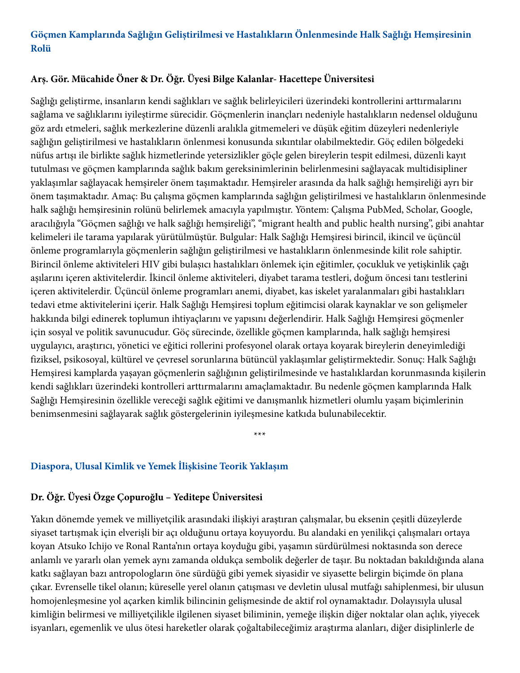## **Göçmen Kamplarında Sağlığın Geliştirilmesi ve Hastalıkların Önlenmesinde Halk Sağlığı Hemşiresinin Rolü**

### **Arş. Gör. Mücahide Öner & Dr. Öğr. Üyesi Bilge Kalanlar- Hacettepe Üniversitesi**

Sağlığı geliştirme, insanların kendi sağlıkları ve sağlık belirleyicileri üzerindeki kontrollerini arttırmalarını sağlama ve sağlıklarını iyileştirme sürecidir. Göçmenlerin inançları nedeniyle hastalıkların nedensel olduğunu göz ardı etmeleri, sağlık merkezlerine düzenli aralıkla gitmemeleri ve düşük eğitim düzeyleri nedenleriyle sağlığın geliştirilmesi ve hastalıkların önlenmesi konusunda sıkıntılar olabilmektedir. Göç edilen bölgedeki nüfus artışı ile birlikte sağlık hizmetlerinde yetersizlikler göçle gelen bireylerin tespit edilmesi, düzenli kayıt tutulması ve göçmen kamplarında sağlık bakım gereksinimlerinin belirlenmesini sağlayacak multidisipliner yaklaşımlar sağlayacak hemşireler önem taşımaktadır. Hemşireler arasında da halk sağlığı hemşireliği ayrı bir önem taşımaktadır. Amaç: Bu çalışma göçmen kamplarında sağlığın geliştirilmesi ve hastalıkların önlenmesinde halk sağlığı hemşiresinin rolünü belirlemek amacıyla yapılmıştır. Yöntem: Çalışma PubMed, Scholar, Google, aracılığıyla "Göçmen sağlığı ve halk sağlığı hemşireliği", "migrant health and public health nursing", gibi anahtar kelimeleri ile tarama yapılarak yürütülmüştür. Bulgular: Halk Sağlığı Hemşiresi birincil, ikincil ve üçüncül önleme programlarıyla göçmenlerin sağlığın geliştirilmesi ve hastalıkların önlenmesinde kilit role sahiptir. Birincil önleme aktiviteleri HIV gibi bulaşıcı hastalıkları önlemek için eğitimler, çocukluk ve yetişkinlik çağı aşılarını içeren aktivitelerdir. İkincil önleme aktiviteleri, diyabet tarama testleri, doğum öncesi tanı testlerini içeren aktivitelerdir. Üçüncül önleme programları anemi, diyabet, kas iskelet yaralanmaları gibi hastalıkları tedavi etme aktivitelerini içerir. Halk Sağlığı Hemşiresi toplum eğitimcisi olarak kaynaklar ve son gelişmeler hakkında bilgi edinerek toplumun ihtiyaçlarını ve yapısını değerlendirir. Halk Sağlığı Hemşiresi göçmenler için sosyal ve politik savunucudur. Göç sürecinde, özellikle göçmen kamplarında, halk sağlığı hemşiresi uygulayıcı, araştırıcı, yönetici ve eğitici rollerini profesyonel olarak ortaya koyarak bireylerin deneyimlediği fiziksel, psikosoyal, kültürel ve çevresel sorunlarına bütüncül yaklaşımlar geliştirmektedir. Sonuç: Halk Sağlığı Hemşiresi kamplarda yaşayan göçmenlerin sağlığının geliştirilmesinde ve hastalıklardan korunmasında kişilerin kendi sağlıkları üzerindeki kontrolleri arttırmalarını amaçlamaktadır. Bu nedenle göçmen kamplarında Halk Sağlığı Hemşiresinin özellikle vereceği sağlık eğitimi ve danışmanlık hizmetleri olumlu yaşam biçimlerinin benimsenmesini sağlayarak sağlık göstergelerinin iyileşmesine katkıda bulunabilecektir.

#### **Diaspora, Ulusal Kimlik ve Yemek İlişkisine Teorik Yaklaşım**

## **Dr. Öğr. Üyesi Özge Çopuroğlu – Yeditepe Üniversitesi**

Yakın dönemde yemek ve milliyetçilik arasındaki ilişkiyi araştıran çalışmalar, bu eksenin çeşitli düzeylerde siyaset tartışmak için elverişli bir açı olduğunu ortaya koyuyordu. Bu alandaki en yenilikçi çalışmaları ortaya koyan Atsuko Ichijo ve Ronal Ranta'nın ortaya koyduğu gibi, yaşamın sürdürülmesi noktasında son derece anlamlı ve yararlı olan yemek aynı zamanda oldukça sembolik değerler de taşır. Bu noktadan bakıldığında alana katkı sağlayan bazı antropologların öne sürdüğü gibi yemek siyasidir ve siyasette belirgin biçimde ön plana çıkar. Evrenselle tikel olanın; küreselle yerel olanın çatışması ve devletin ulusal mutfağı sahiplenmesi, bir ulusun homojenleşmesine yol açarken kimlik bilincinin gelişmesinde de aktif rol oynamaktadır. Dolayısıyla ulusal kimliğin belirmesi ve milliyetçilikle ilgilenen siyaset biliminin, yemeğe ilişkin diğer noktalar olan açlık, yiyecek isyanları, egemenlik ve ulus ötesi hareketler olarak çoğaltabileceğimiz araştırma alanları, diğer disiplinlerle de

\*\*\*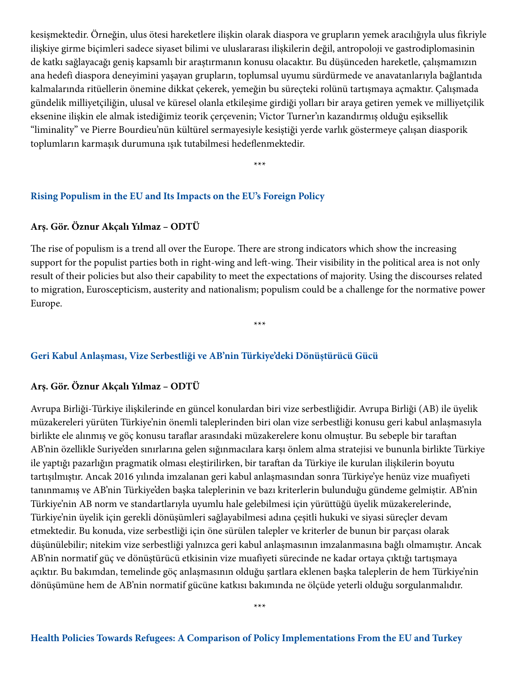kesişmektedir. Örneğin, ulus ötesi hareketlere ilişkin olarak diaspora ve grupların yemek aracılığıyla ulus fikriyle ilişkiye girme biçimleri sadece siyaset bilimi ve uluslararası ilişkilerin değil, antropoloji ve gastrodiplomasinin de katkı sağlayacağı geniş kapsamlı bir araştırmanın konusu olacaktır. Bu düşünceden hareketle, çalışmamızın ana hedefi diaspora deneyimini yaşayan grupların, toplumsal uyumu sürdürmede ve anavatanlarıyla bağlantıda kalmalarında ritüellerin önemine dikkat çekerek, yemeğin bu süreçteki rolünü tartışmaya açmaktır. Çalışmada gündelik milliyetçiliğin, ulusal ve küresel olanla etkileşime girdiği yolları bir araya getiren yemek ve milliyetçilik eksenine ilişkin ele almak istediğimiz teorik çerçevenin; Victor Turner'ın kazandırmış olduğu eşiksellik "liminality" ve Pierre Bourdieu'nün kültürel sermayesiyle kesiştiği yerde varlık göstermeye çalışan diasporik toplumların karmaşık durumuna ışık tutabilmesi hedeflenmektedir.

\*\*\*

#### **Rising Populism in the EU and Its Impacts on the EU's Foreign Policy**

#### **Arş. Gör. Öznur Akçalı Yılmaz – ODTÜ**

The rise of populism is a trend all over the Europe. There are strong indicators which show the increasing support for the populist parties both in right-wing and left-wing. Their visibility in the political area is not only result of their policies but also their capability to meet the expectations of majority. Using the discourses related to migration, Euroscepticism, austerity and nationalism; populism could be a challenge for the normative power Europe.

\*\*\*

#### **Geri Kabul Anlaşması, Vize Serbestliği ve AB'nin Türkiye'deki Dönüştürücü Gücü**

#### **Arş. Gör. Öznur Akçalı Yılmaz – ODTÜ**

Avrupa Birliği-Türkiye ilişkilerinde en güncel konulardan biri vize serbestliğidir. Avrupa Birliği (AB) ile üyelik müzakereleri yürüten Türkiye'nin önemli taleplerinden biri olan vize serbestliği konusu geri kabul anlaşmasıyla birlikte ele alınmış ve göç konusu taraflar arasındaki müzakerelere konu olmuştur. Bu sebeple bir taraftan AB'nin özellikle Suriye'den sınırlarına gelen sığınmacılara karşı önlem alma stratejisi ve bununla birlikte Türkiye ile yaptığı pazarlığın pragmatik olması eleştirilirken, bir taraftan da Türkiye ile kurulan ilişkilerin boyutu tartışılmıştır. Ancak 2016 yılında imzalanan geri kabul anlaşmasından sonra Türkiye'ye henüz vize muafiyeti tanınmamış ve AB'nin Türkiye'den başka taleplerinin ve bazı kriterlerin bulunduğu gündeme gelmiştir. AB'nin Türkiye'nin AB norm ve standartlarıyla uyumlu hale gelebilmesi için yürüttüğü üyelik müzakerelerinde, Türkiye'nin üyelik için gerekli dönüşümleri sağlayabilmesi adına çeşitli hukuki ve siyasi süreçler devam etmektedir. Bu konuda, vize serbestliği için öne sürülen talepler ve kriterler de bunun bir parçası olarak düşünülebilir; nitekim vize serbestliği yalnızca geri kabul anlaşmasının imzalanmasına bağlı olmamıştır. Ancak AB'nin normatif güç ve dönüştürücü etkisinin vize muafiyeti sürecinde ne kadar ortaya çıktığı tartışmaya açıktır. Bu bakımdan, temelinde göç anlaşmasının olduğu şartlara eklenen başka taleplerin de hem Türkiye'nin dönüşümüne hem de AB'nin normatif gücüne katkısı bakımında ne ölçüde yeterli olduğu sorgulanmalıdır.

\*\*\*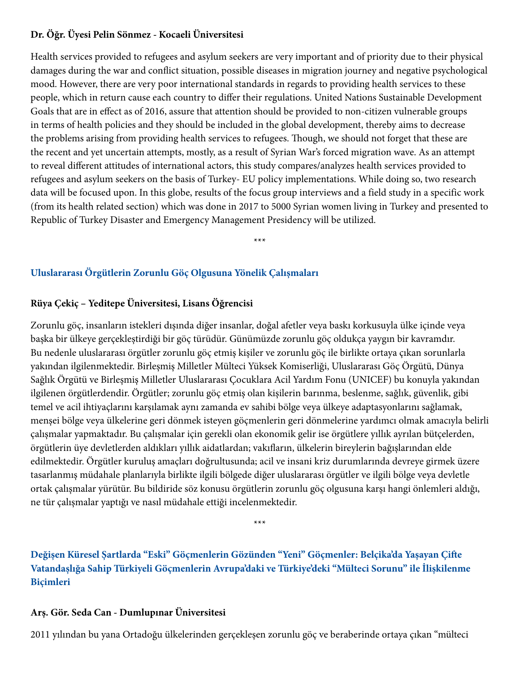## **Dr. Öğr. Üyesi Pelin Sönmez - Kocaeli Üniversitesi**

Health services provided to refugees and asylum seekers are very important and of priority due to their physical damages during the war and conflict situation, possible diseases in migration journey and negative psychological mood. However, there are very poor international standards in regards to providing health services to these people, which in return cause each country to differ their regulations. United Nations Sustainable Development Goals that are in effect as of 2016, assure that attention should be provided to non-citizen vulnerable groups in terms of health policies and they should be included in the global development, thereby aims to decrease the problems arising from providing health services to refugees. Though, we should not forget that these are the recent and yet uncertain attempts, mostly, as a result of Syrian War's forced migration wave. As an attempt to reveal different attitudes of international actors, this study compares/analyzes health services provided to refugees and asylum seekers on the basis of Turkey- EU policy implementations. While doing so, two research data will be focused upon. In this globe, results of the focus group interviews and a field study in a specific work (from its health related section) which was done in 2017 to 5000 Syrian women living in Turkey and presented to Republic of Turkey Disaster and Emergency Management Presidency will be utilized.

\*\*\*

### **Uluslararası Örgütlerin Zorunlu Göç Olgusuna Yönelik Çalışmaları**

#### **Rüya Çekiç – Yeditepe Üniversitesi, Lisans Öğrencisi**

Zorunlu göç, insanların istekleri dışında diğer insanlar, doğal afetler veya baskı korkusuyla ülke içinde veya başka bir ülkeye gerçekleştirdiği bir göç türüdür. Günümüzde zorunlu göç oldukça yaygın bir kavramdır. Bu nedenle uluslararası örgütler zorunlu göç etmiş kişiler ve zorunlu göç ile birlikte ortaya çıkan sorunlarla yakından ilgilenmektedir. Birleşmiş Milletler Mülteci Yüksek Komiserliği, Uluslararası Göç Örgütü, Dünya Sağlık Örgütü ve Birleşmiş Milletler Uluslararası Çocuklara Acil Yardım Fonu (UNICEF) bu konuyla yakından ilgilenen örgütlerdendir. Örgütler; zorunlu göç etmiş olan kişilerin barınma, beslenme, sağlık, güvenlik, gibi temel ve acil ihtiyaçlarını karşılamak aynı zamanda ev sahibi bölge veya ülkeye adaptasyonlarını sağlamak, menşei bölge veya ülkelerine geri dönmek isteyen göçmenlerin geri dönmelerine yardımcı olmak amacıyla belirli çalışmalar yapmaktadır. Bu çalışmalar için gerekli olan ekonomik gelir ise örgütlere yıllık ayrılan bütçelerden, örgütlerin üye devletlerden aldıkları yıllık aidatlardan; vakıfların, ülkelerin bireylerin bağışlarından elde edilmektedir. Örgütler kuruluş amaçları doğrultusunda; acil ve insani kriz durumlarında devreye girmek üzere tasarlanmış müdahale planlarıyla birlikte ilgili bölgede diğer uluslararası örgütler ve ilgili bölge veya devletle ortak çalışmalar yürütür. Bu bildiride söz konusu örgütlerin zorunlu göç olgusuna karşı hangi önlemleri aldığı, ne tür çalışmalar yaptığı ve nasıl müdahale ettiği incelenmektedir.

**Değişen Küresel Şartlarda "Eski" Göçmenlerin Gözünden "Yeni" Göçmenler: Belçika'da Yaşayan Çifte Vatandaşlığa Sahip Türkiyeli Göçmenlerin Avrupa'daki ve Türkiye'deki "Mülteci Sorunu" ile İlişkilenme Biçimleri**

\*\*\*

#### **Arş. Gör. Seda Can - Dumlupınar Üniversitesi**

2011 yılından bu yana Ortadoğu ülkelerinden gerçekleşen zorunlu göç ve beraberinde ortaya çıkan "mülteci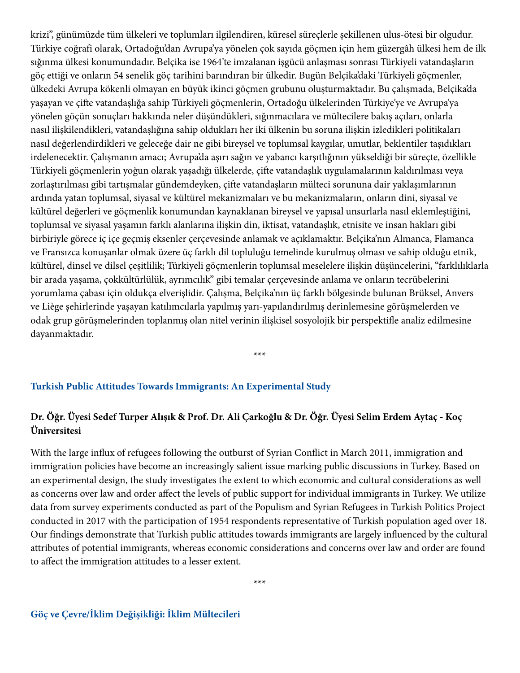krizi", günümüzde tüm ülkeleri ve toplumları ilgilendiren, küresel süreçlerle şekillenen ulus-ötesi bir olgudur. Türkiye coğrafi olarak, Ortadoğu'dan Avrupa'ya yönelen çok sayıda göçmen için hem güzergâh ülkesi hem de ilk sığınma ülkesi konumundadır. Belçika ise 1964'te imzalanan işgücü anlaşması sonrası Türkiyeli vatandaşların göç ettiği ve onların 54 senelik göç tarihini barındıran bir ülkedir. Bugün Belçika'daki Türkiyeli göçmenler, ülkedeki Avrupa kökenli olmayan en büyük ikinci göçmen grubunu oluşturmaktadır. Bu çalışmada, Belçika'da yaşayan ve çifte vatandaşlığa sahip Türkiyeli göçmenlerin, Ortadoğu ülkelerinden Türkiye'ye ve Avrupa'ya yönelen göçün sonuçları hakkında neler düşündükleri, sığınmacılara ve mültecilere bakış açıları, onlarla nasıl ilişkilendikleri, vatandaşlığına sahip oldukları her iki ülkenin bu soruna ilişkin izledikleri politikaları nasıl değerlendirdikleri ve geleceğe dair ne gibi bireysel ve toplumsal kaygılar, umutlar, beklentiler taşıdıkları irdelenecektir. Çalışmanın amacı; Avrupa'da aşırı sağın ve yabancı karşıtlığının yükseldiği bir süreçte, özellikle Türkiyeli göçmenlerin yoğun olarak yaşadığı ülkelerde, çifte vatandaşlık uygulamalarının kaldırılması veya zorlaştırılması gibi tartışmalar gündemdeyken, çifte vatandaşların mülteci sorununa dair yaklaşımlarının ardında yatan toplumsal, siyasal ve kültürel mekanizmaları ve bu mekanizmaların, onların dini, siyasal ve kültürel değerleri ve göçmenlik konumundan kaynaklanan bireysel ve yapısal unsurlarla nasıl eklemleştiğini, toplumsal ve siyasal yaşamın farklı alanlarına ilişkin din, iktisat, vatandaşlık, etnisite ve insan hakları gibi birbiriyle görece iç içe geçmiş eksenler çerçevesinde anlamak ve açıklamaktır. Belçika'nın Almanca, Flamanca ve Fransızca konuşanlar olmak üzere üç farklı dil topluluğu temelinde kurulmuş olması ve sahip olduğu etnik, kültürel, dinsel ve dilsel çeşitlilik; Türkiyeli göçmenlerin toplumsal meselelere ilişkin düşüncelerini, "farklılıklarla bir arada yaşama, çokkültürlülük, ayrımcılık" gibi temalar çerçevesinde anlama ve onların tecrübelerini yorumlama çabası için oldukça elverişlidir. Çalışma, Belçika'nın üç farklı bölgesinde bulunan Brüksel, Anvers ve Liège şehirlerinde yaşayan katılımcılarla yapılmış yarı-yapılandırılmış derinlemesine görüşmelerden ve odak grup görüşmelerinden toplanmış olan nitel verinin ilişkisel sosyolojik bir perspektifle analiz edilmesine dayanmaktadır.

#### **Turkish Public Attitudes Towards Immigrants: An Experimental Study**

#### **Dr. Öğr. Üyesi Sedef Turper Alışık & Prof. Dr. Ali Çarkoğlu & Dr. Öğr. Üyesi Selim Erdem Aytaç - Koç Üniversitesi**

\*\*\*

With the large influx of refugees following the outburst of Syrian Conflict in March 2011, immigration and immigration policies have become an increasingly salient issue marking public discussions in Turkey. Based on an experimental design, the study investigates the extent to which economic and cultural considerations as well as concerns over law and order affect the levels of public support for individual immigrants in Turkey. We utilize data from survey experiments conducted as part of the Populism and Syrian Refugees in Turkish Politics Project conducted in 2017 with the participation of 1954 respondents representative of Turkish population aged over 18. Our findings demonstrate that Turkish public attitudes towards immigrants are largely influenced by the cultural attributes of potential immigrants, whereas economic considerations and concerns over law and order are found to affect the immigration attitudes to a lesser extent.

\*\*\*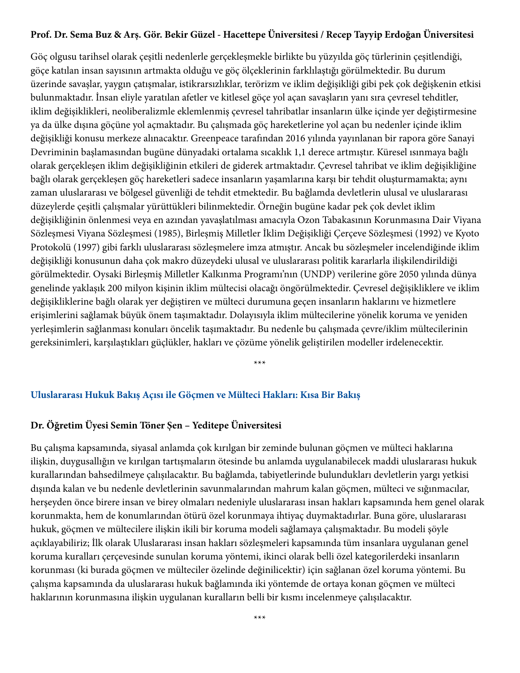#### **Prof. Dr. Sema Buz & Arş. Gör. Bekir Güzel - Hacettepe Üniversitesi / Recep Tayyip Erdoğan Üniversitesi**

Göç olgusu tarihsel olarak çeşitli nedenlerle gerçekleşmekle birlikte bu yüzyılda göç türlerinin çeşitlendiği, göçe katılan insan sayısının artmakta olduğu ve göç ölçeklerinin farklılaştığı görülmektedir. Bu durum üzerinde savaşlar, yaygın çatışmalar, istikrarsızlıklar, terörizm ve iklim değişikliği gibi pek çok değişkenin etkisi bulunmaktadır. İnsan eliyle yaratılan afetler ve kitlesel göçe yol açan savaşların yanı sıra çevresel tehditler, iklim değişiklikleri, neoliberalizmle eklemlenmiş çevresel tahribatlar insanların ülke içinde yer değiştirmesine ya da ülke dışına göçüne yol açmaktadır. Bu çalışmada göç hareketlerine yol açan bu nedenler içinde iklim değişikliği konusu merkeze alınacaktır. Greenpeace tarafından 2016 yılında yayınlanan bir rapora göre Sanayi Devriminin başlamasından bugüne dünyadaki ortalama sıcaklık 1,1 derece artmıştır. Küresel ısınmaya bağlı olarak gerçekleşen iklim değişikliğinin etkileri de giderek artmaktadır. Çevresel tahribat ve iklim değişikliğine bağlı olarak gerçekleşen göç hareketleri sadece insanların yaşamlarına karşı bir tehdit oluşturmamakta; aynı zaman uluslararası ve bölgesel güvenliği de tehdit etmektedir. Bu bağlamda devletlerin ulusal ve uluslararası düzeylerde çeşitli çalışmalar yürüttükleri bilinmektedir. Örneğin bugüne kadar pek çok devlet iklim değişikliğinin önlenmesi veya en azından yavaşlatılması amacıyla Ozon Tabakasının Korunmasına Dair Viyana Sözleşmesi Viyana Sözleşmesi (1985), Birleşmiş Milletler İklim Değişikliği Çerçeve Sözleşmesi (1992) ve Kyoto Protokolü (1997) gibi farklı uluslararası sözleşmelere imza atmıştır. Ancak bu sözleşmeler incelendiğinde iklim değişikliği konusunun daha çok makro düzeydeki ulusal ve uluslararası politik kararlarla ilişkilendirildiği görülmektedir. Oysaki Birleşmiş Milletler Kalkınma Programı'nın (UNDP) verilerine göre 2050 yılında dünya genelinde yaklaşık 200 milyon kişinin iklim mültecisi olacağı öngörülmektedir. Çevresel değişikliklere ve iklim değişikliklerine bağlı olarak yer değiştiren ve mülteci durumuna geçen insanların haklarını ve hizmetlere erişimlerini sağlamak büyük önem taşımaktadır. Dolayısıyla iklim mültecilerine yönelik koruma ve yeniden yerleşimlerin sağlanması konuları öncelik taşımaktadır. Bu nedenle bu çalışmada çevre/iklim mültecilerinin gereksinimleri, karşılaştıkları güçlükler, hakları ve çözüme yönelik geliştirilen modeller irdelenecektir.

\*\*\*

#### **Uluslararası Hukuk Bakış Açısı ile Göçmen ve Mülteci Hakları: Kısa Bir Bakış**

#### **Dr. Öğretim Üyesi Semin Töner Şen – Yeditepe Üniversitesi**

Bu çalışma kapsamında, siyasal anlamda çok kırılgan bir zeminde bulunan göçmen ve mülteci haklarına ilişkin, duygusallığın ve kırılgan tartışmaların ötesinde bu anlamda uygulanabilecek maddi uluslararası hukuk kurallarından bahsedilmeye çalışılacaktır. Bu bağlamda, tabiyetlerinde bulundukları devletlerin yargı yetkisi dışında kalan ve bu nedenle devletlerinin savunmalarından mahrum kalan göçmen, mülteci ve sığınmacılar, herşeyden önce birere insan ve birey olmaları nedeniyle uluslararası insan hakları kapsamında hem genel olarak korunmakta, hem de konumlarından ötürü özel korunmaya ihtiyaç duymaktadırlar. Buna göre, uluslararası hukuk, göçmen ve mültecilere ilişkin ikili bir koruma modeli sağlamaya çalışmaktadır. Bu modeli şöyle açıklayabiliriz; İlk olarak Uluslararası insan hakları sözleşmeleri kapsamında tüm insanlara uygulanan genel koruma kuralları çerçevesinde sunulan koruma yöntemi, ikinci olarak belli özel kategorilerdeki insanların korunması (ki burada göçmen ve mülteciler özelinde değinilicektir) için sağlanan özel koruma yöntemi. Bu çalışma kapsamında da uluslararası hukuk bağlamında iki yöntemde de ortaya konan göçmen ve mülteci haklarının korunmasına ilişkin uygulanan kuralların belli bir kısmı incelenmeye çalışılacaktır.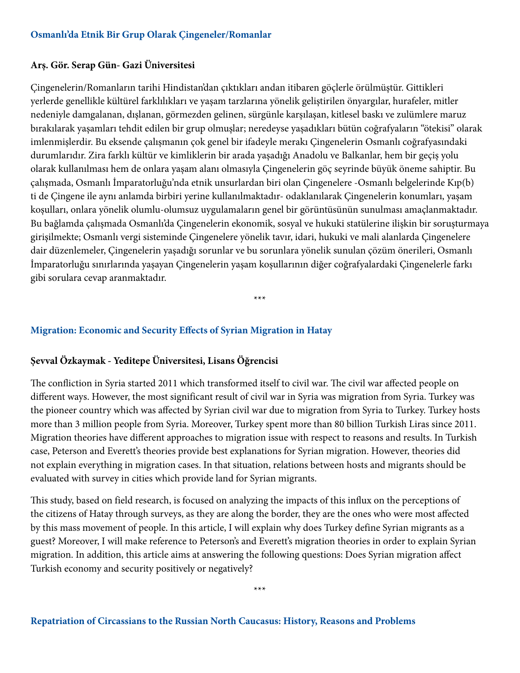#### **Osmanlı'da Etnik Bir Grup Olarak Çingeneler/Romanlar**

#### **Arş. Gör. Serap Gün- Gazi Üniversitesi**

Çingenelerin/Romanların tarihi Hindistan'dan çıktıkları andan itibaren göçlerle örülmüştür. Gittikleri yerlerde genellikle kültürel farklılıkları ve yaşam tarzlarına yönelik geliştirilen önyargılar, hurafeler, mitler nedeniyle damgalanan, dışlanan, görmezden gelinen, sürgünle karşılaşan, kitlesel baskı ve zulümlere maruz bırakılarak yaşamları tehdit edilen bir grup olmuşlar; neredeyse yaşadıkları bütün coğrafyaların "ötekisi" olarak imlenmişlerdir. Bu eksende çalışmanın çok genel bir ifadeyle merakı Çingenelerin Osmanlı coğrafyasındaki durumlarıdır. Zira farklı kültür ve kimliklerin bir arada yaşadığı Anadolu ve Balkanlar, hem bir geçiş yolu olarak kullanılması hem de onlara yaşam alanı olmasıyla Çingenelerin göç seyrinde büyük öneme sahiptir. Bu çalışmada, Osmanlı İmparatorluğu'nda etnik unsurlardan biri olan Çingenelere -Osmanlı belgelerinde Kıp(b) ti de Çingene ile aynı anlamda birbiri yerine kullanılmaktadır- odaklanılarak Çingenelerin konumları, yaşam koşulları, onlara yönelik olumlu-olumsuz uygulamaların genel bir görüntüsünün sunulması amaçlanmaktadır. Bu bağlamda çalışmada Osmanlı'da Çingenelerin ekonomik, sosyal ve hukuki statülerine ilişkin bir soruşturmaya girişilmekte; Osmanlı vergi sisteminde Çingenelere yönelik tavır, idari, hukuki ve mali alanlarda Çingenelere dair düzenlemeler, Çingenelerin yaşadığı sorunlar ve bu sorunlara yönelik sunulan çözüm önerileri, Osmanlı İmparatorluğu sınırlarında yaşayan Çingenelerin yaşam koşullarının diğer coğrafyalardaki Çingenelerle farkı gibi sorulara cevap aranmaktadır.

\*\*\*

#### **Migration: Economic and Security Effects of Syrian Migration in Hatay**

#### **Şevval Özkaymak - Yeditepe Üniversitesi, Lisans Öğrencisi**

The confliction in Syria started 2011 which transformed itself to civil war. The civil war affected people on different ways. However, the most significant result of civil war in Syria was migration from Syria. Turkey was the pioneer country which was affected by Syrian civil war due to migration from Syria to Turkey. Turkey hosts more than 3 million people from Syria. Moreover, Turkey spent more than 80 billion Turkish Liras since 2011. Migration theories have different approaches to migration issue with respect to reasons and results. In Turkish case, Peterson and Everett's theories provide best explanations for Syrian migration. However, theories did not explain everything in migration cases. In that situation, relations between hosts and migrants should be evaluated with survey in cities which provide land for Syrian migrants.

This study, based on field research, is focused on analyzing the impacts of this influx on the perceptions of the citizens of Hatay through surveys, as they are along the border, they are the ones who were most affected by this mass movement of people. In this article, I will explain why does Turkey define Syrian migrants as a guest? Moreover, I will make reference to Peterson's and Everett's migration theories in order to explain Syrian migration. In addition, this article aims at answering the following questions: Does Syrian migration affect Turkish economy and security positively or negatively?

\*\*\*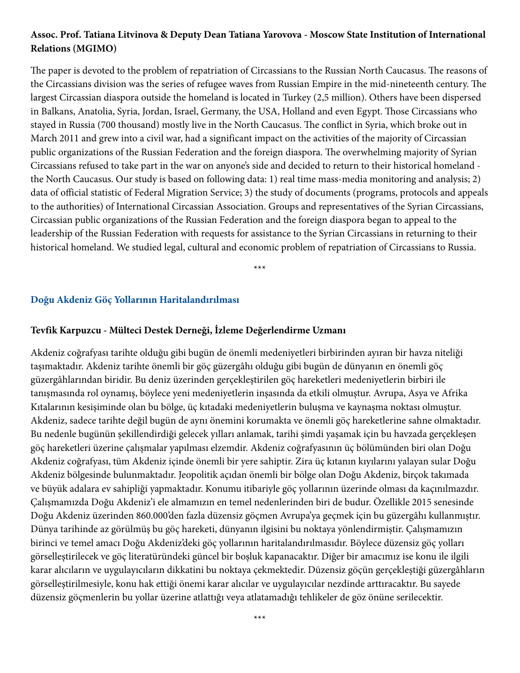#### **Assoc. Prof. Tatiana Litvinova & Deputy Dean Tatiana Yarovova - Moscow State Institution of International Relations (MGIMO)**

The paper is devoted to the problem of repatriation of Circassians to the Russian North Caucasus. The reasons of the Circassians division was the series of refugee waves from Russian Empire in the mid-nineteenth century. The largest Circassian diaspora outside the homeland is located in Turkey (2,5 million). Others have been dispersed in Balkans, Anatolia, Syria, Jordan, Israel, Germany, the USA, Holland and even Egypt. Those Circassians who stayed in Russia (700 thousand) mostly live in the North Caucasus. The conflict in Syria, which broke out in March 2011 and grew into a civil war, had a significant impact on the activities of the majority of Circassian public organizations of the Russian Federation and the foreign diaspora. The overwhelming majority of Syrian Circassians refused to take part in the war on anyone's side and decided to return to their historical homeland the North Caucasus. Our study is based on following data: 1) real time mass-media monitoring and analysis; 2) data of official statistic of Federal Migration Service; 3) the study of documents (programs, protocols and appeals to the authorities) of International Circassian Association. Groups and representatives of the Syrian Circassians, Circassian public organizations of the Russian Federation and the foreign diaspora began to appeal to the leadership of the Russian Federation with requests for assistance to the Syrian Circassians in returning to their historical homeland. We studied legal, cultural and economic problem of repatriation of Circassians to Russia.

\*\*\*

#### **Doğu Akdeniz Göç Yollarının Haritalandırılması**

#### **Tevfik Karpuzcu - Mülteci Destek Derneği, İzleme Değerlendirme Uzmanı**

Akdeniz coğrafyası tarihte olduğu gibi bugün de önemli medeniyetleri birbirinden ayıran bir havza niteliği taşımaktadır. Akdeniz tarihte önemli bir göç güzergâhı olduğu gibi bugün de dünyanın en önemli göç güzergâhlarından biridir. Bu deniz üzerinden gerçekleştirilen göç hareketleri medeniyetlerin birbiri ile tanışmasında rol oynamış, böylece yeni medeniyetlerin inşasında da etkili olmuştur. Avrupa, Asya ve Afrika Kıtalarının kesişiminde olan bu bölge, üç kıtadaki medeniyetlerin buluşma ve kaynaşma noktası olmuştur. Akdeniz, sadece tarihte değil bugün de aynı önemini korumakta ve önemli göç hareketlerine sahne olmaktadır. Bu nedenle bugünün şekillendirdiği gelecek yılları anlamak, tarihi şimdi yaşamak için bu havzada gerçekleşen göç hareketleri üzerine çalışmalar yapılması elzemdir. Akdeniz coğrafyasının üç bölümünden biri olan Doğu Akdeniz coğrafyası, tüm Akdeniz içinde önemli bir yere sahiptir. Zira üç kıtanın kıyılarını yalayan sular Doğu Akdeniz bölgesinde bulunmaktadır. Jeopolitik açıdan önemli bir bölge olan Doğu Akdeniz, birçok takımada ve büyük adalara ev sahipliği yapmaktadır. Konumu itibariyle göç yollarının üzerinde olması da kaçınılmazdır. Çalışmamızda Doğu Akdeniz'i ele almamızın en temel nedenlerinden biri de budur. Özellikle 2015 senesinde Doğu Akdeniz üzerinden 860.000'den fazla düzensiz göçmen Avrupa'ya geçmek için bu güzergâhı kullanmıştır. Dünya tarihinde az görülmüş bu göç hareketi, dünyanın ilgisini bu noktaya yönlendirmiştir. Çalışmamızın birinci ve temel amacı Doğu Akdeniz'deki göç yollarının haritalandırılmasıdır. Böylece düzensiz göç yolları görselleştirilecek ve göç literatüründeki güncel bir boşluk kapanacaktır. Diğer bir amacımız ise konu ile ilgili karar alıcıların ve uygulayıcıların dikkatini bu noktaya çekmektedir. Düzensiz göçün gerçekleştiği güzergâhların görselleştirilmesiyle, konu hak ettiği önemi karar alıcılar ve uygulayıcılar nezdinde arttıracaktır. Bu sayede düzensiz göçmenlerin bu yollar üzerine atlattığı veya atlatamadığı tehlikeler de göz önüne serilecektir.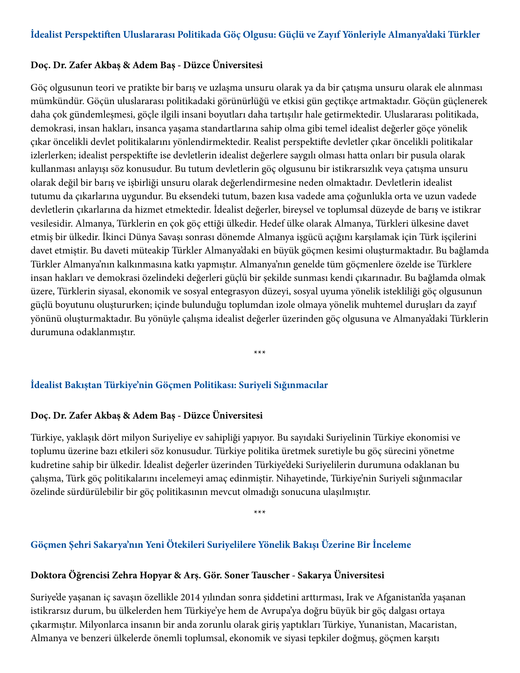#### **Doç. Dr. Zafer Akbaş & Adem Baş - Düzce Üniversitesi**

Göç olgusunun teori ve pratikte bir barış ve uzlaşma unsuru olarak ya da bir çatışma unsuru olarak ele alınması mümkündür. Göçün uluslararası politikadaki görünürlüğü ve etkisi gün geçtikçe artmaktadır. Göçün güçlenerek daha çok gündemleşmesi, göçle ilgili insani boyutları daha tartışılır hale getirmektedir. Uluslararası politikada, demokrasi, insan hakları, insanca yaşama standartlarına sahip olma gibi temel idealist değerler göçe yönelik çıkar öncelikli devlet politikalarını yönlendirmektedir. Realist perspektifte devletler çıkar öncelikli politikalar izlerlerken; idealist perspektifte ise devletlerin idealist değerlere saygılı olması hatta onları bir pusula olarak kullanması anlayışı söz konusudur. Bu tutum devletlerin göç olgusunu bir istikrarsızlık veya çatışma unsuru olarak değil bir barış ve işbirliği unsuru olarak değerlendirmesine neden olmaktadır. Devletlerin idealist tutumu da çıkarlarına uygundur. Bu eksendeki tutum, bazen kısa vadede ama çoğunlukla orta ve uzun vadede devletlerin çıkarlarına da hizmet etmektedir. İdealist değerler, bireysel ve toplumsal düzeyde de barış ve istikrar vesilesidir. Almanya, Türklerin en çok göç ettiği ülkedir. Hedef ülke olarak Almanya, Türkleri ülkesine davet etmiş bir ülkedir. İkinci Dünya Savaşı sonrası dönemde Almanya işgücü açığını karşılamak için Türk işçilerini davet etmiştir. Bu daveti müteakip Türkler Almanya'daki en büyük göçmen kesimi oluşturmaktadır. Bu bağlamda Türkler Almanya'nın kalkınmasına katkı yapmıştır. Almanya'nın genelde tüm göçmenlere özelde ise Türklere insan hakları ve demokrasi özelindeki değerleri güçlü bir şekilde sunması kendi çıkarınadır. Bu bağlamda olmak üzere, Türklerin siyasal, ekonomik ve sosyal entegrasyon düzeyi, sosyal uyuma yönelik istekliliği göç olgusunun güçlü boyutunu oluştururken; içinde bulunduğu toplumdan izole olmaya yönelik muhtemel duruşları da zayıf yönünü oluşturmaktadır. Bu yönüyle çalışma idealist değerler üzerinden göç olgusuna ve Almanya'daki Türklerin durumuna odaklanmıştır.

\*\*\*

#### **İdealist Bakıştan Türkiye'nin Göçmen Politikası: Suriyeli Sığınmacılar**

#### **Doç. Dr. Zafer Akbaş & Adem Baş - Düzce Üniversitesi**

Türkiye, yaklaşık dört milyon Suriyeliye ev sahipliği yapıyor. Bu sayıdaki Suriyelinin Türkiye ekonomisi ve toplumu üzerine bazı etkileri söz konusudur. Türkiye politika üretmek suretiyle bu göç sürecini yönetme kudretine sahip bir ülkedir. İdealist değerler üzerinden Türkiye'deki Suriyelilerin durumuna odaklanan bu çalışma, Türk göç politikalarını incelemeyi amaç edinmiştir. Nihayetinde, Türkiye'nin Suriyeli sığınmacılar özelinde sürdürülebilir bir göç politikasının mevcut olmadığı sonucuna ulaşılmıştır.

\*\*\*

#### **Göçmen Şehri Sakarya'nın Yeni Ötekileri Suriyelilere Yönelik Bakışı Üzerine Bir İnceleme**

#### **Doktora Öğrencisi Zehra Hopyar & Arş. Gör. Soner Tauscher - Sakarya Üniversitesi**

Suriye'de yaşanan iç savaşın özellikle 2014 yılından sonra şiddetini arttırması, Irak ve Afganistan'da yaşanan istikrarsız durum, bu ülkelerden hem Türkiye'ye hem de Avrupa'ya doğru büyük bir göç dalgası ortaya çıkarmıştır. Milyonlarca insanın bir anda zorunlu olarak giriş yaptıkları Türkiye, Yunanistan, Macaristan, Almanya ve benzeri ülkelerde önemli toplumsal, ekonomik ve siyasi tepkiler doğmuş, göçmen karşıtı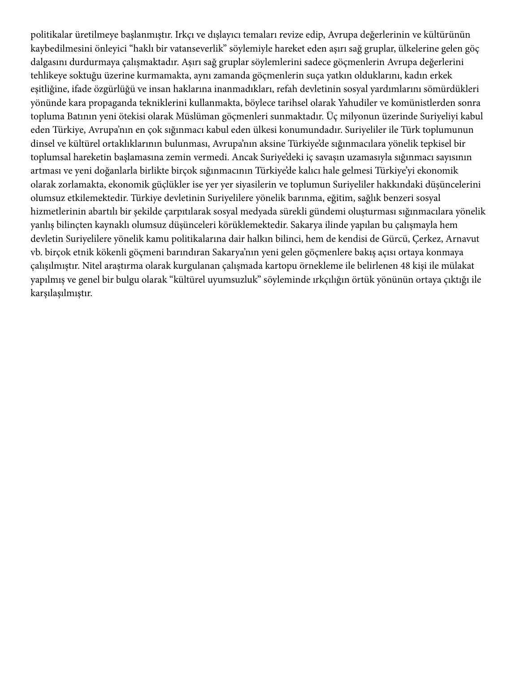politikalar üretilmeye başlanmıştır. Irkçı ve dışlayıcı temaları revize edip, Avrupa değerlerinin ve kültürünün kaybedilmesini önleyici "haklı bir vatanseverlik" söylemiyle hareket eden aşırı sağ gruplar, ülkelerine gelen göç dalgasını durdurmaya çalışmaktadır. Aşırı sağ gruplar söylemlerini sadece göçmenlerin Avrupa değerlerini tehlikeye soktuğu üzerine kurmamakta, aynı zamanda göçmenlerin suça yatkın olduklarını, kadın erkek eşitliğine, ifade özgürlüğü ve insan haklarına inanmadıkları, refah devletinin sosyal yardımlarını sömürdükleri yönünde kara propaganda tekniklerini kullanmakta, böylece tarihsel olarak Yahudiler ve komünistlerden sonra topluma Batının yeni ötekisi olarak Müslüman göçmenleri sunmaktadır. Üç milyonun üzerinde Suriyeliyi kabul eden Türkiye, Avrupa'nın en çok sığınmacı kabul eden ülkesi konumundadır. Suriyeliler ile Türk toplumunun dinsel ve kültürel ortaklıklarının bulunması, Avrupa'nın aksine Türkiye'de sığınmacılara yönelik tepkisel bir toplumsal hareketin başlamasına zemin vermedi. Ancak Suriye'deki iç savaşın uzamasıyla sığınmacı sayısının artması ve yeni doğanlarla birlikte birçok sığınmacının Türkiye'de kalıcı hale gelmesi Türkiye'yi ekonomik olarak zorlamakta, ekonomik güçlükler ise yer yer siyasilerin ve toplumun Suriyeliler hakkındaki düşüncelerini olumsuz etkilemektedir. Türkiye devletinin Suriyelilere yönelik barınma, eğitim, sağlık benzeri sosyal hizmetlerinin abartılı bir şekilde çarpıtılarak sosyal medyada sürekli gündemi oluşturması sığınmacılara yönelik yanlış bilinçten kaynaklı olumsuz düşünceleri körüklemektedir. Sakarya ilinde yapılan bu çalışmayla hem devletin Suriyelilere yönelik kamu politikalarına dair halkın bilinci, hem de kendisi de Gürcü, Çerkez, Arnavut vb. birçok etnik kökenli göçmeni barındıran Sakarya'nın yeni gelen göçmenlere bakış açısı ortaya konmaya çalışılmıştır. Nitel araştırma olarak kurgulanan çalışmada kartopu örnekleme ile belirlenen 48 kişi ile mülakat yapılmış ve genel bir bulgu olarak "kültürel uyumsuzluk" söyleminde ırkçılığın örtük yönünün ortaya çıktığı ile karşılaşılmıştır.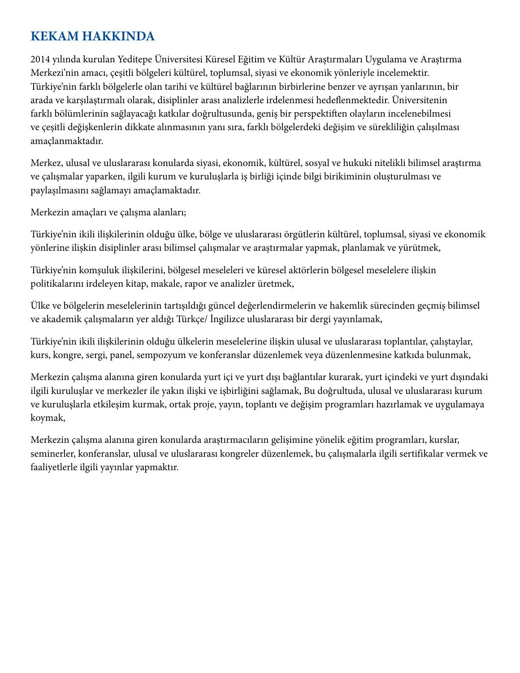## **KEKAM HAKKINDA**

2014 yılında kurulan Yeditepe Üniversitesi Küresel Eğitim ve Kültür Araştırmaları Uygulama ve Araştırma Merkezi'nin amacı, çeşitli bölgeleri kültürel, toplumsal, siyasi ve ekonomik yönleriyle incelemektir. Türkiye'nin farklı bölgelerle olan tarihi ve kültürel bağlarının birbirlerine benzer ve ayrışan yanlarının, bir arada ve karşılaştırmalı olarak, disiplinler arası analizlerle irdelenmesi hedeflenmektedir. Üniversitenin farklı bölümlerinin sağlayacağı katkılar doğrultusunda, geniş bir perspektiften olayların incelenebilmesi ve çeşitli değişkenlerin dikkate alınmasının yanı sıra, farklı bölgelerdeki değişim ve sürekliliğin çalışılması amaçlanmaktadır.

Merkez, ulusal ve uluslararası konularda siyasi, ekonomik, kültürel, sosyal ve hukuki nitelikli bilimsel araştırma ve çalışmalar yaparken, ilgili kurum ve kuruluşlarla iş birliği içinde bilgi birikiminin oluşturulması ve paylaşılmasını sağlamayı amaçlamaktadır.

Merkezin amaçları ve çalışma alanları;

Türkiye'nin ikili ilişkilerinin olduğu ülke, bölge ve uluslararası örgütlerin kültürel, toplumsal, siyasi ve ekonomik yönlerine ilişkin disiplinler arası bilimsel çalışmalar ve araştırmalar yapmak, planlamak ve yürütmek,

Türkiye'nin komşuluk ilişkilerini, bölgesel meseleleri ve küresel aktörlerin bölgesel meselelere ilişkin politikalarını irdeleyen kitap, makale, rapor ve analizler üretmek,

Ülke ve bölgelerin meselelerinin tartışıldığı güncel değerlendirmelerin ve hakemlik sürecinden geçmiş bilimsel ve akademik çalışmaların yer aldığı Türkçe/ İngilizce uluslararası bir dergi yayınlamak,

Türkiye'nin ikili ilişkilerinin olduğu ülkelerin meselelerine ilişkin ulusal ve uluslararası toplantılar, çalıştaylar, kurs, kongre, sergi, panel, sempozyum ve konferanslar düzenlemek veya düzenlenmesine katkıda bulunmak,

Merkezin çalışma alanına giren konularda yurt içi ve yurt dışı bağlantılar kurarak, yurt içindeki ve yurt dışındaki ilgili kuruluşlar ve merkezler ile yakın ilişki ve işbirliğini sağlamak, Bu doğrultuda, ulusal ve uluslararası kurum ve kuruluşlarla etkileşim kurmak, ortak proje, yayın, toplantı ve değişim programları hazırlamak ve uygulamaya koymak,

Merkezin çalışma alanına giren konularda araştırmacıların gelişimine yönelik eğitim programları, kurslar, seminerler, konferanslar, ulusal ve uluslararası kongreler düzenlemek, bu çalışmalarla ilgili sertifikalar vermek ve faaliyetlerle ilgili yayınlar yapmaktır.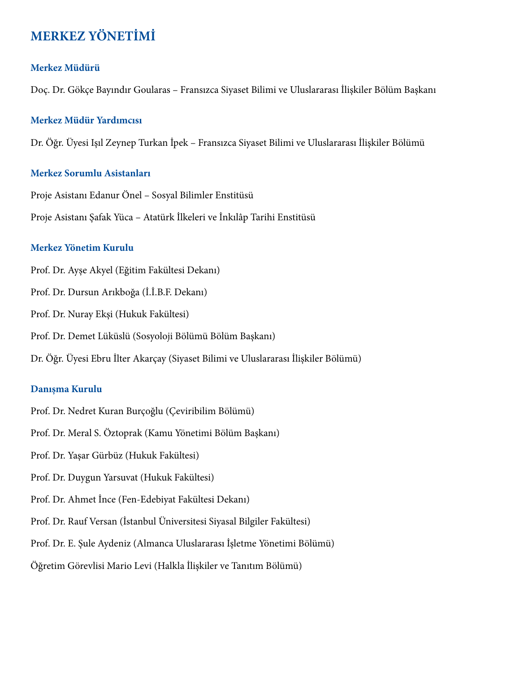## **MERKEZ YÖNETİMİ**

#### **Merkez Müdürü**

Doç. Dr. Gökçe Bayındır Goularas – Fransızca Siyaset Bilimi ve Uluslararası İlişkiler Bölüm Başkanı

#### **Merkez Müdür Yardımcısı**

Dr. Öğr. Üyesi Işıl Zeynep Turkan İpek – Fransızca Siyaset Bilimi ve Uluslararası İlişkiler Bölümü

#### **Merkez Sorumlu Asistanları**

Proje Asistanı Edanur Önel – Sosyal Bilimler Enstitüsü Proje Asistanı Şafak Yüca – Atatürk İlkeleri ve İnkılâp Tarihi Enstitüsü

#### **Merkez Yönetim Kurulu**

Prof. Dr. Ayşe Akyel (Eğitim Fakültesi Dekanı) Prof. Dr. Dursun Arıkboğa (İ.İ.B.F. Dekanı) Prof. Dr. Nuray Ekşi (Hukuk Fakültesi) Prof. Dr. Demet Lüküslü (Sosyoloji Bölümü Bölüm Başkanı)

## Dr. Öğr. Üyesi Ebru İlter Akarçay (Siyaset Bilimi ve Uluslararası İlişkiler Bölümü)

#### **Danışma Kurulu**

- Prof. Dr. Nedret Kuran Burçoğlu (Çeviribilim Bölümü)
- Prof. Dr. Meral S. Öztoprak (Kamu Yönetimi Bölüm Başkanı)
- Prof. Dr. Yaşar Gürbüz (Hukuk Fakültesi)
- Prof. Dr. Duygun Yarsuvat (Hukuk Fakültesi)
- Prof. Dr. Ahmet İnce (Fen-Edebiyat Fakültesi Dekanı)
- Prof. Dr. Rauf Versan (İstanbul Üniversitesi Siyasal Bilgiler Fakültesi)
- Prof. Dr. E. Şule Aydeniz (Almanca Uluslararası İşletme Yönetimi Bölümü)
- Öğretim Görevlisi Mario Levi (Halkla İlişkiler ve Tanıtım Bölümü)